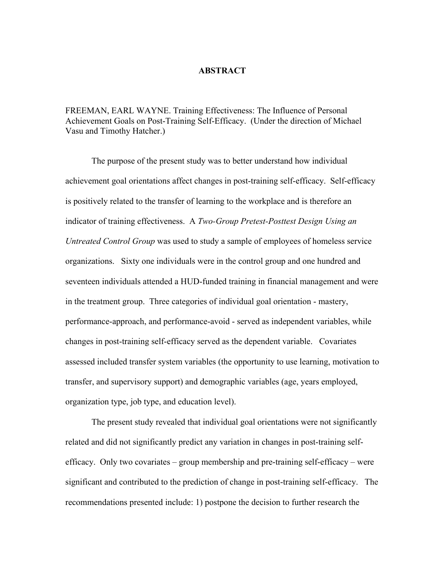## **ABSTRACT**

FREEMAN, EARL WAYNE. Training Effectiveness: The Influence of Personal Achievement Goals on Post-Training Self-Efficacy. (Under the direction of Michael Vasu and Timothy Hatcher.)

The purpose of the present study was to better understand how individual achievement goal orientations affect changes in post-training self-efficacy. Self-efficacy is positively related to the transfer of learning to the workplace and is therefore an indicator of training effectiveness. A *Two-Group Pretest-Posttest Design Using an Untreated Control Group* was used to study a sample of employees of homeless service organizations. Sixty one individuals were in the control group and one hundred and seventeen individuals attended a HUD-funded training in financial management and were in the treatment group. Three categories of individual goal orientation - mastery, performance-approach, and performance-avoid - served as independent variables, while changes in post-training self-efficacy served as the dependent variable. Covariates assessed included transfer system variables (the opportunity to use learning, motivation to transfer, and supervisory support) and demographic variables (age, years employed, organization type, job type, and education level).

The present study revealed that individual goal orientations were not significantly related and did not significantly predict any variation in changes in post-training selfefficacy. Only two covariates – group membership and pre-training self-efficacy – were significant and contributed to the prediction of change in post-training self-efficacy. The recommendations presented include: 1) postpone the decision to further research the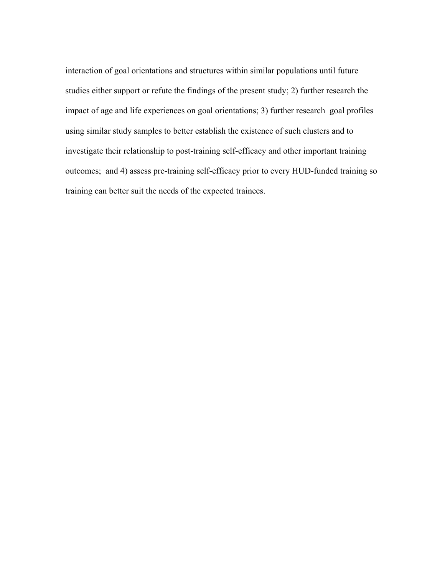interaction of goal orientations and structures within similar populations until future studies either support or refute the findings of the present study; 2) further research the impact of age and life experiences on goal orientations; 3) further research goal profiles using similar study samples to better establish the existence of such clusters and to investigate their relationship to post-training self-efficacy and other important training outcomes; and 4) assess pre-training self-efficacy prior to every HUD-funded training so training can better suit the needs of the expected trainees.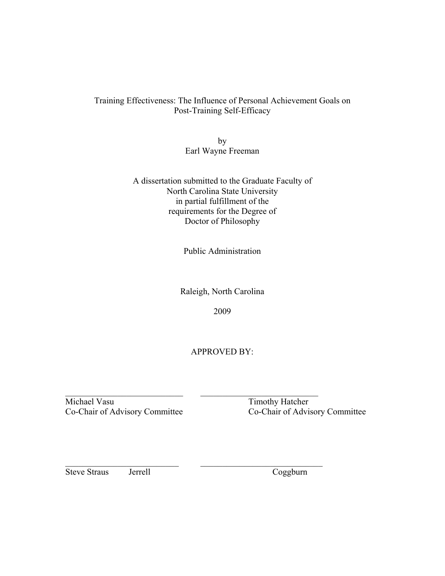## Training Effectiveness: The Influence of Personal Achievement Goals on Post-Training Self-Efficacy

by Earl Wayne Freeman

A dissertation submitted to the Graduate Faculty of North Carolina State University in partial fulfillment of the requirements for the Degree of Doctor of Philosophy

Public Administration

Raleigh, North Carolina

2009

APPROVED BY:

\_\_\_\_\_\_\_\_\_\_\_\_\_\_\_\_\_\_\_\_\_\_\_\_\_\_\_ \_\_\_\_\_\_\_\_\_\_\_\_\_\_\_\_\_\_\_\_\_\_\_\_\_\_\_ Michael Vasu Timothy Hatcher<br>
Co-Chair of Advisory Committee Co-Chair of Advi

Co-Chair of Advisory Committee

Steve Straus Jerrell Coggburn

\_\_\_\_\_\_\_\_\_\_\_\_\_\_\_\_\_\_\_\_\_\_\_\_\_\_ \_\_\_\_\_\_\_\_\_\_\_\_\_\_\_\_\_\_\_\_\_\_\_\_\_\_\_\_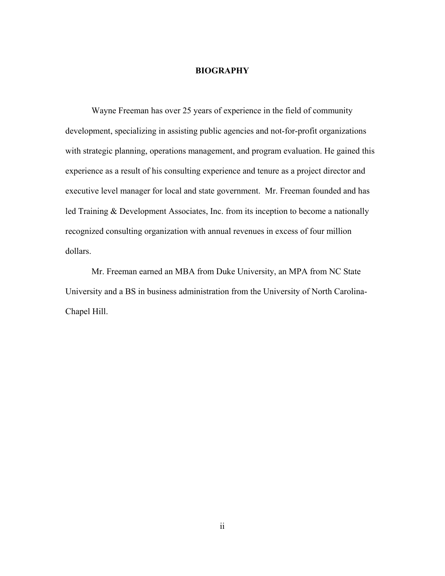## **BIOGRAPHY**

Wayne Freeman has over 25 years of experience in the field of community development, specializing in assisting public agencies and not-for-profit organizations with strategic planning, operations management, and program evaluation. He gained this experience as a result of his consulting experience and tenure as a project director and executive level manager for local and state government. Mr. Freeman founded and has led Training & Development Associates, Inc. from its inception to become a nationally recognized consulting organization with annual revenues in excess of four million dollars.

Mr. Freeman earned an MBA from Duke University, an MPA from NC State University and a BS in business administration from the University of North Carolina-Chapel Hill.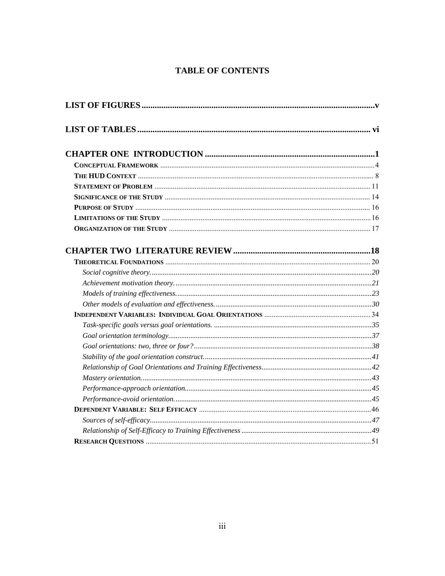## **TABLE OF CONTENTS**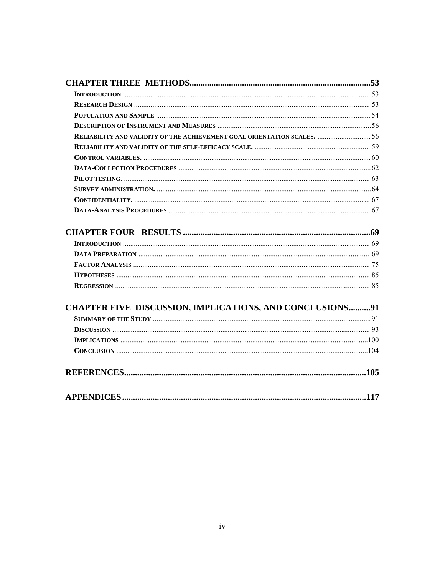| RELIABILITY AND VALIDITY OF THE ACHIEVEMENT GOAL ORIENTATION SCALES.  56 |      |
|--------------------------------------------------------------------------|------|
|                                                                          |      |
|                                                                          |      |
|                                                                          |      |
|                                                                          |      |
|                                                                          |      |
|                                                                          |      |
|                                                                          |      |
|                                                                          |      |
|                                                                          |      |
|                                                                          |      |
|                                                                          |      |
|                                                                          |      |
|                                                                          |      |
| CHAPTER FIVE DISCUSSION, IMPLICATIONS, AND CONCLUSIONS91                 |      |
|                                                                          |      |
|                                                                          |      |
|                                                                          |      |
|                                                                          |      |
|                                                                          |      |
|                                                                          |      |
| <b>APPENDICES</b>                                                        | .117 |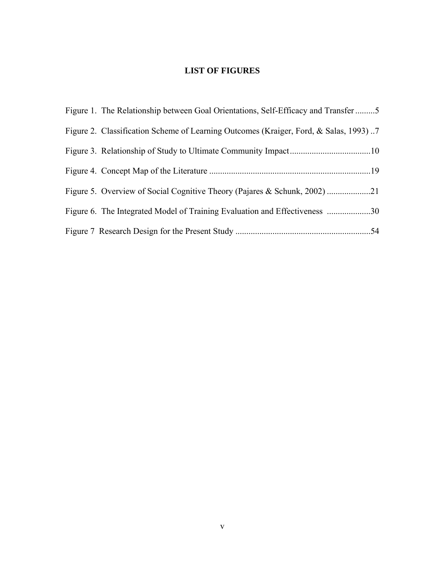# **LIST OF FIGURES**

| Figure 1. The Relationship between Goal Orientations, Self-Efficacy and Transfer 5   |  |
|--------------------------------------------------------------------------------------|--|
| Figure 2. Classification Scheme of Learning Outcomes (Kraiger, Ford, & Salas, 1993)7 |  |
|                                                                                      |  |
|                                                                                      |  |
|                                                                                      |  |
| Figure 6. The Integrated Model of Training Evaluation and Effectiveness 30           |  |
|                                                                                      |  |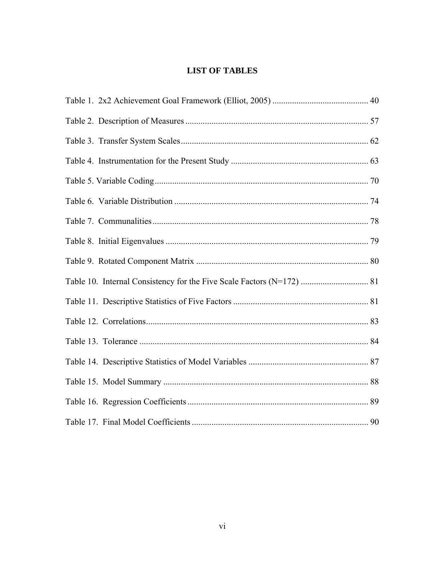# **LIST OF TABLES**

| 90 |
|----|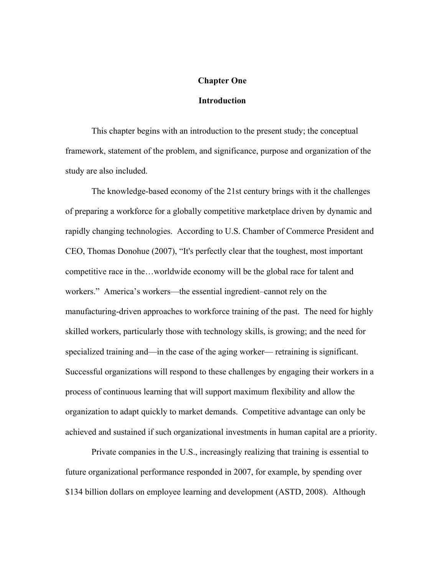## **Chapter One**

## **Introduction**

 This chapter begins with an introduction to the present study; the conceptual framework, statement of the problem, and significance, purpose and organization of the study are also included.

The knowledge-based economy of the 21st century brings with it the challenges of preparing a workforce for a globally competitive marketplace driven by dynamic and rapidly changing technologies. According to U.S. Chamber of Commerce President and CEO, Thomas Donohue (2007), "It's perfectly clear that the toughest, most important competitive race in the…worldwide economy will be the global race for talent and workers." America's workers—the essential ingredient–cannot rely on the manufacturing-driven approaches to workforce training of the past. The need for highly skilled workers, particularly those with technology skills, is growing; and the need for specialized training and—in the case of the aging worker— retraining is significant. Successful organizations will respond to these challenges by engaging their workers in a process of continuous learning that will support maximum flexibility and allow the organization to adapt quickly to market demands. Competitive advantage can only be achieved and sustained if such organizational investments in human capital are a priority.

Private companies in the U.S., increasingly realizing that training is essential to future organizational performance responded in 2007, for example, by spending over \$134 billion dollars on employee learning and development (ASTD, 2008). Although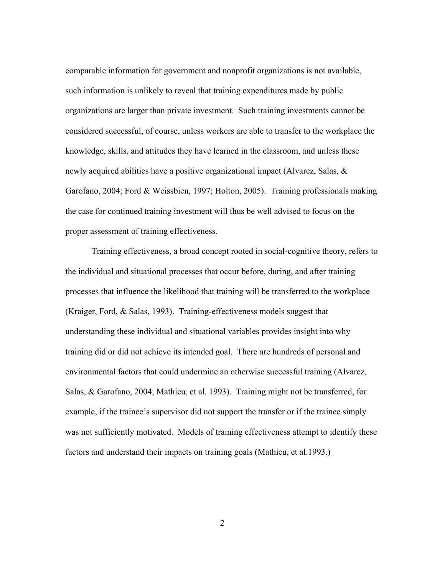comparable information for government and nonprofit organizations is not available, such information is unlikely to reveal that training expenditures made by public organizations are larger than private investment. Such training investments cannot be considered successful, of course, unless workers are able to transfer to the workplace the knowledge, skills, and attitudes they have learned in the classroom, and unless these newly acquired abilities have a positive organizational impact (Alvarez, Salas, & Garofano, 2004; Ford & Weissbien, 1997; Holton, 2005). Training professionals making the case for continued training investment will thus be well advised to focus on the proper assessment of training effectiveness.

Training effectiveness, a broad concept rooted in social-cognitive theory, refers to the individual and situational processes that occur before, during, and after training processes that influence the likelihood that training will be transferred to the workplace (Kraiger, Ford, & Salas, 1993). Training-effectiveness models suggest that understanding these individual and situational variables provides insight into why training did or did not achieve its intended goal. There are hundreds of personal and environmental factors that could undermine an otherwise successful training (Alvarez, Salas, & Garofano, 2004; Mathieu, et al. 1993). Training might not be transferred, for example, if the trainee's supervisor did not support the transfer or if the trainee simply was not sufficiently motivated. Models of training effectiveness attempt to identify these factors and understand their impacts on training goals (Mathieu, et al.1993.)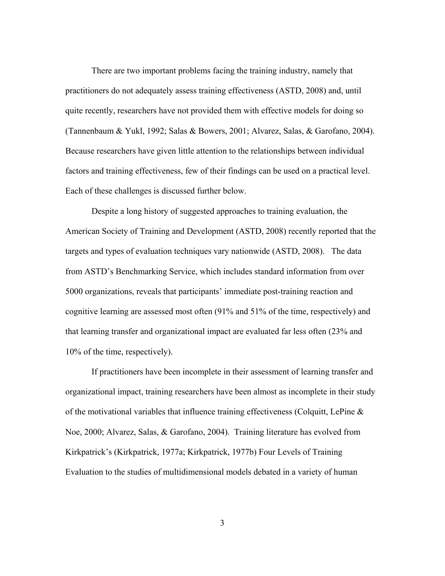There are two important problems facing the training industry, namely that practitioners do not adequately assess training effectiveness (ASTD, 2008) and, until quite recently, researchers have not provided them with effective models for doing so (Tannenbaum & Yukl, 1992; Salas & Bowers, 2001; Alvarez, Salas, & Garofano, 2004). Because researchers have given little attention to the relationships between individual factors and training effectiveness, few of their findings can be used on a practical level. Each of these challenges is discussed further below.

Despite a long history of suggested approaches to training evaluation, the American Society of Training and Development (ASTD, 2008) recently reported that the targets and types of evaluation techniques vary nationwide (ASTD, 2008). The data from ASTD's Benchmarking Service, which includes standard information from over 5000 organizations, reveals that participants' immediate post-training reaction and cognitive learning are assessed most often (91% and 51% of the time, respectively) and that learning transfer and organizational impact are evaluated far less often (23% and 10% of the time, respectively).

If practitioners have been incomplete in their assessment of learning transfer and organizational impact, training researchers have been almost as incomplete in their study of the motivational variables that influence training effectiveness (Colquitt, LePine & Noe, 2000; Alvarez, Salas, & Garofano, 2004). Training literature has evolved from Kirkpatrick's (Kirkpatrick, 1977a; Kirkpatrick, 1977b) Four Levels of Training Evaluation to the studies of multidimensional models debated in a variety of human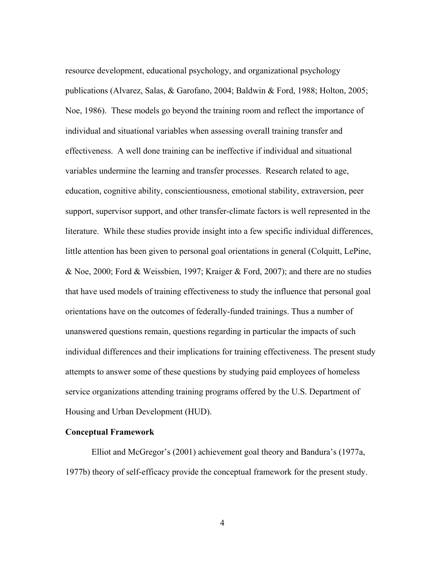resource development, educational psychology, and organizational psychology publications (Alvarez, Salas, & Garofano, 2004; Baldwin & Ford, 1988; Holton, 2005; Noe, 1986). These models go beyond the training room and reflect the importance of individual and situational variables when assessing overall training transfer and effectiveness. A well done training can be ineffective if individual and situational variables undermine the learning and transfer processes. Research related to age, education, cognitive ability, conscientiousness, emotional stability, extraversion, peer support, supervisor support, and other transfer-climate factors is well represented in the literature. While these studies provide insight into a few specific individual differences, little attention has been given to personal goal orientations in general (Colquitt, LePine, & Noe, 2000; Ford & Weissbien, 1997; Kraiger & Ford, 2007); and there are no studies that have used models of training effectiveness to study the influence that personal goal orientations have on the outcomes of federally-funded trainings. Thus a number of unanswered questions remain, questions regarding in particular the impacts of such individual differences and their implications for training effectiveness. The present study attempts to answer some of these questions by studying paid employees of homeless service organizations attending training programs offered by the U.S. Department of Housing and Urban Development (HUD).

## **Conceptual Framework**

Elliot and McGregor's (2001) achievement goal theory and Bandura's (1977a, 1977b) theory of self-efficacy provide the conceptual framework for the present study.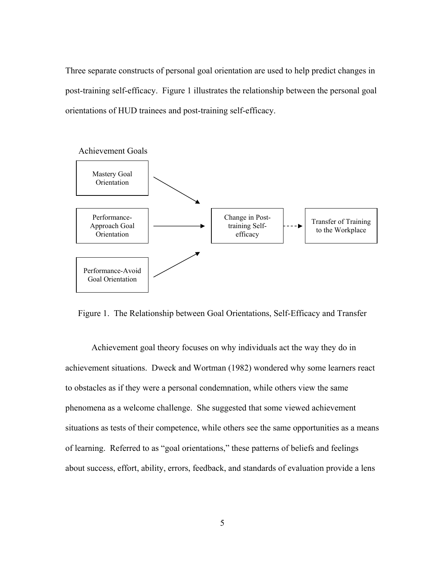Three separate constructs of personal goal orientation are used to help predict changes in post-training self-efficacy. Figure 1 illustrates the relationship between the personal goal orientations of HUD trainees and post-training self-efficacy.



Figure 1. The Relationship between Goal Orientations, Self-Efficacy and Transfer

Achievement goal theory focuses on why individuals act the way they do in achievement situations. Dweck and Wortman (1982) wondered why some learners react to obstacles as if they were a personal condemnation, while others view the same phenomena as a welcome challenge. She suggested that some viewed achievement situations as tests of their competence, while others see the same opportunities as a means of learning. Referred to as "goal orientations," these patterns of beliefs and feelings about success, effort, ability, errors, feedback, and standards of evaluation provide a lens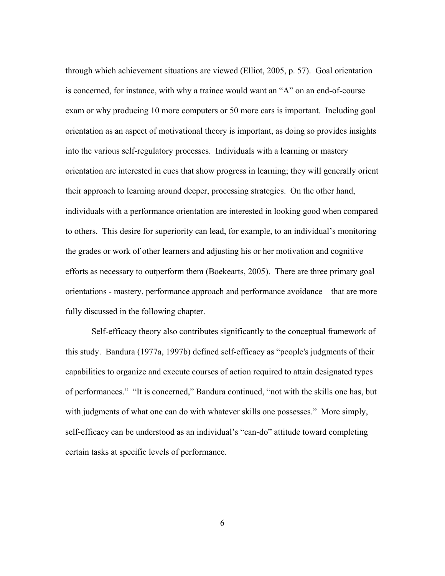through which achievement situations are viewed (Elliot, 2005, p. 57). Goal orientation is concerned, for instance, with why a trainee would want an "A" on an end-of-course exam or why producing 10 more computers or 50 more cars is important. Including goal orientation as an aspect of motivational theory is important, as doing so provides insights into the various self-regulatory processes. Individuals with a learning or mastery orientation are interested in cues that show progress in learning; they will generally orient their approach to learning around deeper, processing strategies. On the other hand, individuals with a performance orientation are interested in looking good when compared to others. This desire for superiority can lead, for example, to an individual's monitoring the grades or work of other learners and adjusting his or her motivation and cognitive efforts as necessary to outperform them (Boekearts, 2005). There are three primary goal orientations - mastery, performance approach and performance avoidance – that are more fully discussed in the following chapter.

Self-efficacy theory also contributes significantly to the conceptual framework of this study. Bandura (1977a, 1997b) defined self-efficacy as "people's judgments of their capabilities to organize and execute courses of action required to attain designated types of performances." "It is concerned," Bandura continued, "not with the skills one has, but with judgments of what one can do with whatever skills one possesses." More simply, self-efficacy can be understood as an individual's "can-do" attitude toward completing certain tasks at specific levels of performance.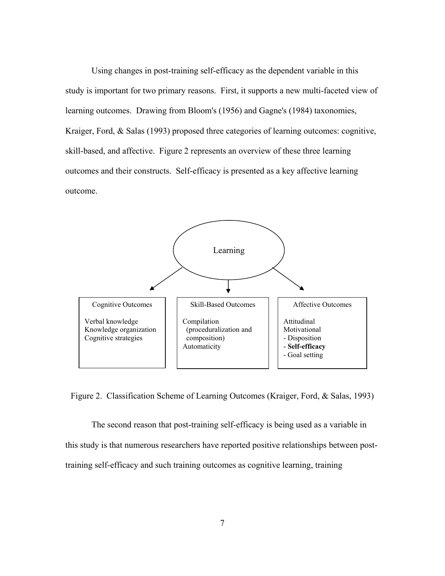Using changes in post-training self-efficacy as the dependent variable in this study is important for two primary reasons. First, it supports a new multi-faceted view of learning outcomes. Drawing from Bloom's (1956) and Gagne's (1984) taxonomies, Kraiger, Ford, & Salas (1993) proposed three categories of learning outcomes: cognitive, skill-based, and affective. Figure 2 represents an overview of these three learning outcomes and their constructs. Self-efficacy is presented as a key affective learning outcome.



Figure 2. Classification Scheme of Learning Outcomes (Kraiger, Ford, & Salas, 1993)

The second reason that post-training self-efficacy is being used as a variable in this study is that numerous researchers have reported positive relationships between posttraining self-efficacy and such training outcomes as cognitive learning, training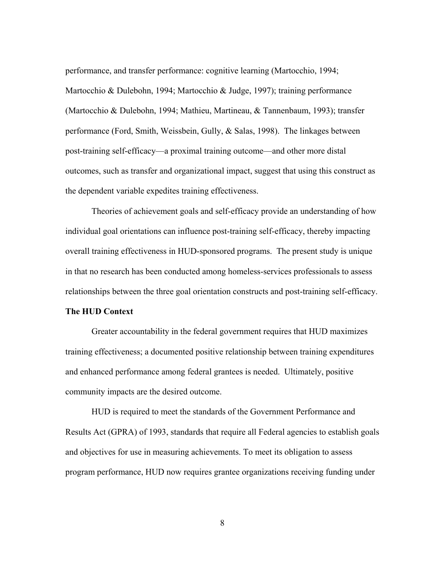performance, and transfer performance: cognitive learning (Martocchio, 1994; Martocchio & Dulebohn, 1994; Martocchio & Judge, 1997); training performance (Martocchio & Dulebohn, 1994; Mathieu, Martineau, & Tannenbaum, 1993); transfer performance (Ford, Smith, Weissbein, Gully, & Salas, 1998). The linkages between post-training self-efficacy—a proximal training outcome—and other more distal outcomes, such as transfer and organizational impact, suggest that using this construct as the dependent variable expedites training effectiveness.

Theories of achievement goals and self-efficacy provide an understanding of how individual goal orientations can influence post-training self-efficacy, thereby impacting overall training effectiveness in HUD-sponsored programs. The present study is unique in that no research has been conducted among homeless-services professionals to assess relationships between the three goal orientation constructs and post-training self-efficacy.

## **The HUD Context**

Greater accountability in the federal government requires that HUD maximizes training effectiveness; a documented positive relationship between training expenditures and enhanced performance among federal grantees is needed. Ultimately, positive community impacts are the desired outcome.

HUD is required to meet the standards of the Government Performance and Results Act (GPRA) of 1993, standards that require all Federal agencies to establish goals and objectives for use in measuring achievements. To meet its obligation to assess program performance, HUD now requires grantee organizations receiving funding under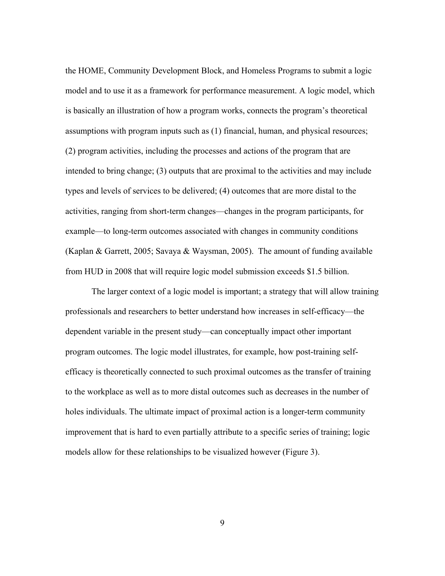the HOME, Community Development Block, and Homeless Programs to submit a logic model and to use it as a framework for performance measurement. A logic model, which is basically an illustration of how a program works, connects the program's theoretical assumptions with program inputs such as (1) financial, human, and physical resources; (2) program activities, including the processes and actions of the program that are intended to bring change; (3) outputs that are proximal to the activities and may include types and levels of services to be delivered; (4) outcomes that are more distal to the activities, ranging from short-term changes—changes in the program participants, for example—to long-term outcomes associated with changes in community conditions (Kaplan & Garrett, 2005; Savaya & Waysman, 2005). The amount of funding available from HUD in 2008 that will require logic model submission exceeds \$1.5 billion.

The larger context of a logic model is important; a strategy that will allow training professionals and researchers to better understand how increases in self-efficacy—the dependent variable in the present study—can conceptually impact other important program outcomes. The logic model illustrates, for example, how post-training selfefficacy is theoretically connected to such proximal outcomes as the transfer of training to the workplace as well as to more distal outcomes such as decreases in the number of holes individuals. The ultimate impact of proximal action is a longer-term community improvement that is hard to even partially attribute to a specific series of training; logic models allow for these relationships to be visualized however (Figure 3).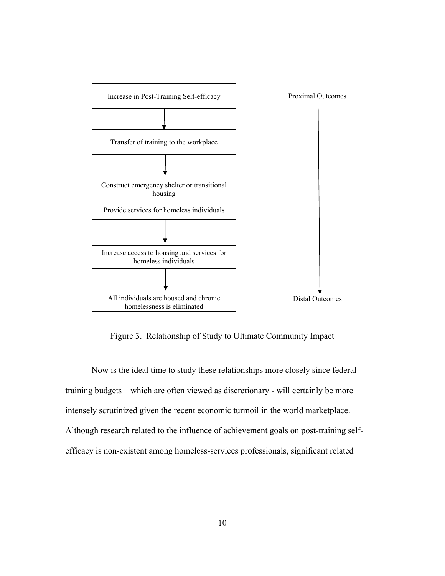

Figure 3. Relationship of Study to Ultimate Community Impact

Now is the ideal time to study these relationships more closely since federal training budgets – which are often viewed as discretionary - will certainly be more intensely scrutinized given the recent economic turmoil in the world marketplace. Although research related to the influence of achievement goals on post-training selfefficacy is non-existent among homeless-services professionals, significant related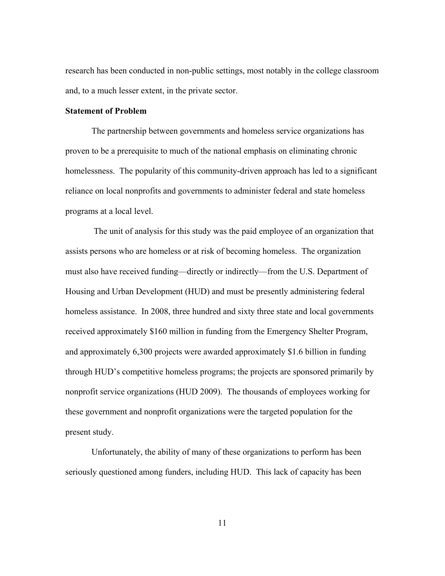research has been conducted in non-public settings, most notably in the college classroom and, to a much lesser extent, in the private sector.

## **Statement of Problem**

The partnership between governments and homeless service organizations has proven to be a prerequisite to much of the national emphasis on eliminating chronic homelessness. The popularity of this community-driven approach has led to a significant reliance on local nonprofits and governments to administer federal and state homeless programs at a local level.

 The unit of analysis for this study was the paid employee of an organization that assists persons who are homeless or at risk of becoming homeless. The organization must also have received funding—directly or indirectly—from the U.S. Department of Housing and Urban Development (HUD) and must be presently administering federal homeless assistance. In 2008, three hundred and sixty three state and local governments received approximately \$160 million in funding from the Emergency Shelter Program, and approximately 6,300 projects were awarded approximately \$1.6 billion in funding through HUD's competitive homeless programs; the projects are sponsored primarily by nonprofit service organizations (HUD 2009). The thousands of employees working for these government and nonprofit organizations were the targeted population for the present study.

Unfortunately, the ability of many of these organizations to perform has been seriously questioned among funders, including HUD. This lack of capacity has been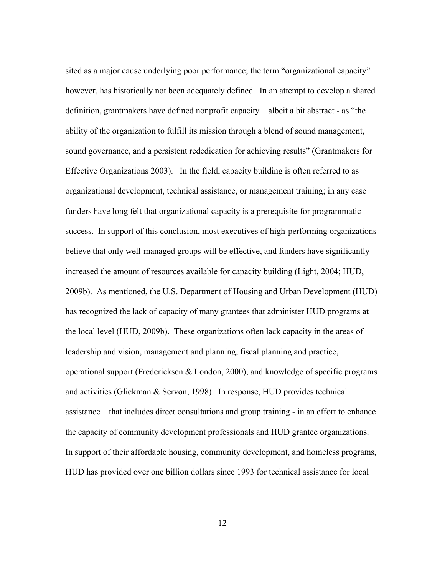sited as a major cause underlying poor performance; the term "organizational capacity" however, has historically not been adequately defined. In an attempt to develop a shared definition, grantmakers have defined nonprofit capacity – albeit a bit abstract - as "the ability of the organization to fulfill its mission through a blend of sound management, sound governance, and a persistent rededication for achieving results" (Grantmakers for Effective Organizations 2003). In the field, capacity building is often referred to as organizational development, technical assistance, or management training; in any case funders have long felt that organizational capacity is a prerequisite for programmatic success. In support of this conclusion, most executives of high-performing organizations believe that only well-managed groups will be effective, and funders have significantly increased the amount of resources available for capacity building (Light, 2004; HUD, 2009b). As mentioned, the U.S. Department of Housing and Urban Development (HUD) has recognized the lack of capacity of many grantees that administer HUD programs at the local level (HUD, 2009b). These organizations often lack capacity in the areas of leadership and vision, management and planning, fiscal planning and practice, operational support (Fredericksen & London, 2000), and knowledge of specific programs and activities (Glickman & Servon, 1998). In response, HUD provides technical assistance – that includes direct consultations and group training - in an effort to enhance the capacity of community development professionals and HUD grantee organizations. In support of their affordable housing, community development, and homeless programs, HUD has provided over one billion dollars since 1993 for technical assistance for local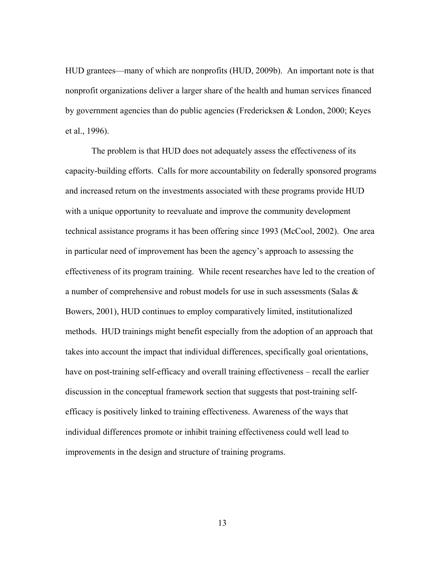HUD grantees—many of which are nonprofits (HUD, 2009b). An important note is that nonprofit organizations deliver a larger share of the health and human services financed by government agencies than do public agencies (Fredericksen & London, 2000; Keyes et al., 1996).

The problem is that HUD does not adequately assess the effectiveness of its capacity-building efforts. Calls for more accountability on federally sponsored programs and increased return on the investments associated with these programs provide HUD with a unique opportunity to reevaluate and improve the community development technical assistance programs it has been offering since 1993 (McCool, 2002). One area in particular need of improvement has been the agency's approach to assessing the effectiveness of its program training. While recent researches have led to the creation of a number of comprehensive and robust models for use in such assessments (Salas  $\&$ Bowers, 2001), HUD continues to employ comparatively limited, institutionalized methods. HUD trainings might benefit especially from the adoption of an approach that takes into account the impact that individual differences, specifically goal orientations, have on post-training self-efficacy and overall training effectiveness – recall the earlier discussion in the conceptual framework section that suggests that post-training selfefficacy is positively linked to training effectiveness. Awareness of the ways that individual differences promote or inhibit training effectiveness could well lead to improvements in the design and structure of training programs.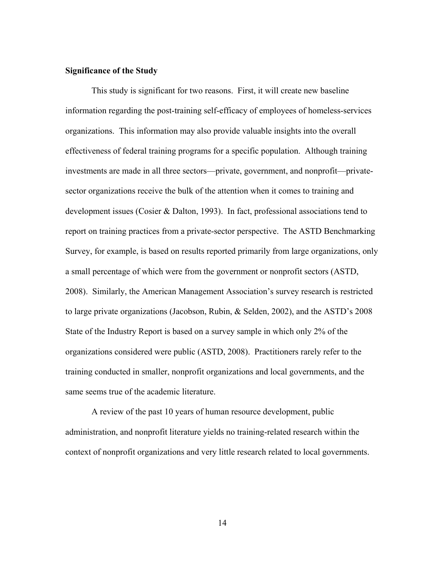## **Significance of the Study**

This study is significant for two reasons. First, it will create new baseline information regarding the post-training self-efficacy of employees of homeless-services organizations. This information may also provide valuable insights into the overall effectiveness of federal training programs for a specific population. Although training investments are made in all three sectors—private, government, and nonprofit—privatesector organizations receive the bulk of the attention when it comes to training and development issues (Cosier & Dalton, 1993). In fact, professional associations tend to report on training practices from a private-sector perspective. The ASTD Benchmarking Survey, for example, is based on results reported primarily from large organizations, only a small percentage of which were from the government or nonprofit sectors (ASTD, 2008). Similarly, the American Management Association's survey research is restricted to large private organizations (Jacobson, Rubin, & Selden, 2002), and the ASTD's 2008 State of the Industry Report is based on a survey sample in which only 2% of the organizations considered were public (ASTD, 2008). Practitioners rarely refer to the training conducted in smaller, nonprofit organizations and local governments, and the same seems true of the academic literature.

A review of the past 10 years of human resource development, public administration, and nonprofit literature yields no training-related research within the context of nonprofit organizations and very little research related to local governments.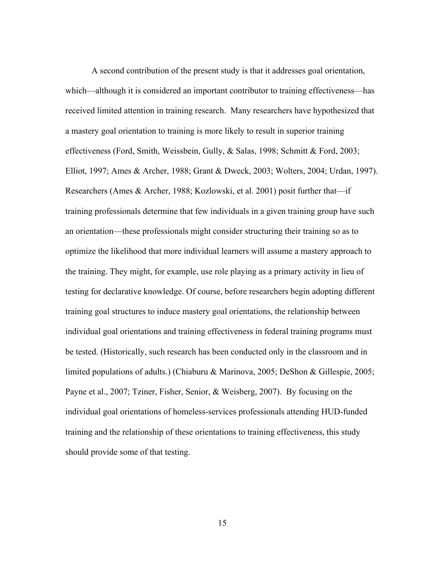A second contribution of the present study is that it addresses goal orientation, which—although it is considered an important contributor to training effectiveness—has received limited attention in training research. Many researchers have hypothesized that a mastery goal orientation to training is more likely to result in superior training effectiveness (Ford, Smith, Weissbein, Gully, & Salas, 1998; Schmitt & Ford, 2003; Elliot, 1997; Ames & Archer, 1988; Grant & Dweck, 2003; Wolters, 2004; Urdan, 1997). Researchers (Ames & Archer, 1988; Kozlowski, et al. 2001) posit further that—if training professionals determine that few individuals in a given training group have such an orientation—these professionals might consider structuring their training so as to optimize the likelihood that more individual learners will assume a mastery approach to the training. They might, for example, use role playing as a primary activity in lieu of testing for declarative knowledge. Of course, before researchers begin adopting different training goal structures to induce mastery goal orientations, the relationship between individual goal orientations and training effectiveness in federal training programs must be tested. (Historically, such research has been conducted only in the classroom and in limited populations of adults.) (Chiaburu & Marinova, 2005; DeShon & Gillespie, 2005; Payne et al., 2007; Tziner, Fisher, Senior, & Weisberg, 2007). By focusing on the individual goal orientations of homeless-services professionals attending HUD-funded training and the relationship of these orientations to training effectiveness, this study should provide some of that testing.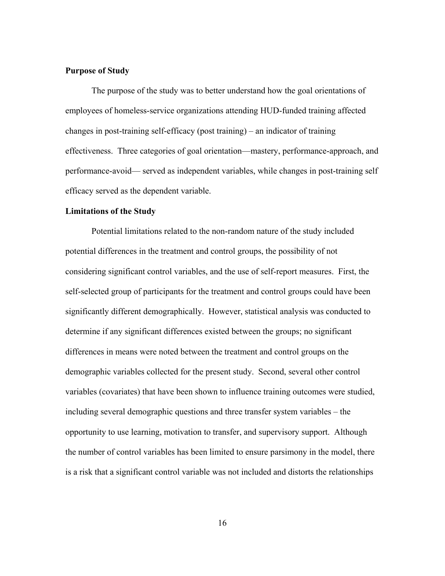#### **Purpose of Study**

The purpose of the study was to better understand how the goal orientations of employees of homeless-service organizations attending HUD-funded training affected changes in post-training self-efficacy (post training) – an indicator of training effectiveness. Three categories of goal orientation—mastery, performance-approach, and performance-avoid— served as independent variables, while changes in post-training self efficacy served as the dependent variable.

#### **Limitations of the Study**

Potential limitations related to the non-random nature of the study included potential differences in the treatment and control groups, the possibility of not considering significant control variables, and the use of self-report measures. First, the self-selected group of participants for the treatment and control groups could have been significantly different demographically. However, statistical analysis was conducted to determine if any significant differences existed between the groups; no significant differences in means were noted between the treatment and control groups on the demographic variables collected for the present study. Second, several other control variables (covariates) that have been shown to influence training outcomes were studied, including several demographic questions and three transfer system variables – the opportunity to use learning, motivation to transfer, and supervisory support. Although the number of control variables has been limited to ensure parsimony in the model, there is a risk that a significant control variable was not included and distorts the relationships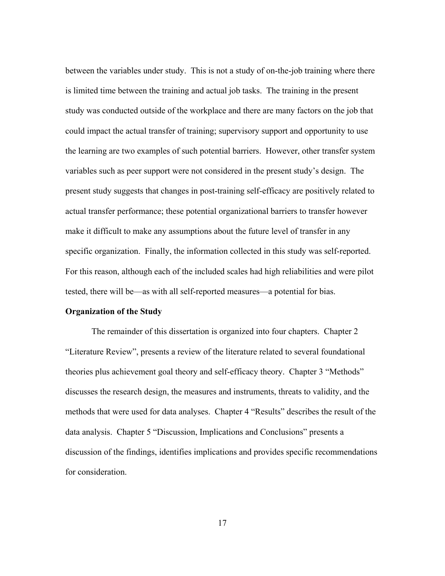between the variables under study. This is not a study of on-the-job training where there is limited time between the training and actual job tasks. The training in the present study was conducted outside of the workplace and there are many factors on the job that could impact the actual transfer of training; supervisory support and opportunity to use the learning are two examples of such potential barriers. However, other transfer system variables such as peer support were not considered in the present study's design. The present study suggests that changes in post-training self-efficacy are positively related to actual transfer performance; these potential organizational barriers to transfer however make it difficult to make any assumptions about the future level of transfer in any specific organization. Finally, the information collected in this study was self-reported. For this reason, although each of the included scales had high reliabilities and were pilot tested, there will be—as with all self-reported measures—a potential for bias.

## **Organization of the Study**

The remainder of this dissertation is organized into four chapters. Chapter 2 "Literature Review", presents a review of the literature related to several foundational theories plus achievement goal theory and self-efficacy theory. Chapter 3 "Methods" discusses the research design, the measures and instruments, threats to validity, and the methods that were used for data analyses. Chapter 4 "Results" describes the result of the data analysis. Chapter 5 "Discussion, Implications and Conclusions" presents a discussion of the findings, identifies implications and provides specific recommendations for consideration.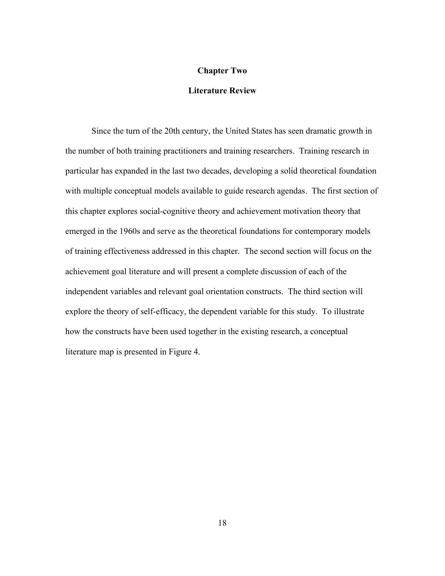## **Chapter Two**

## **Literature Review**

Since the turn of the 20th century, the United States has seen dramatic growth in the number of both training practitioners and training researchers. Training research in particular has expanded in the last two decades, developing a solid theoretical foundation with multiple conceptual models available to guide research agendas. The first section of this chapter explores social-cognitive theory and achievement motivation theory that emerged in the 1960s and serve as the theoretical foundations for contemporary models of training effectiveness addressed in this chapter. The second section will focus on the achievement goal literature and will present a complete discussion of each of the independent variables and relevant goal orientation constructs. The third section will explore the theory of self-efficacy, the dependent variable for this study. To illustrate how the constructs have been used together in the existing research, a conceptual literature map is presented in Figure 4.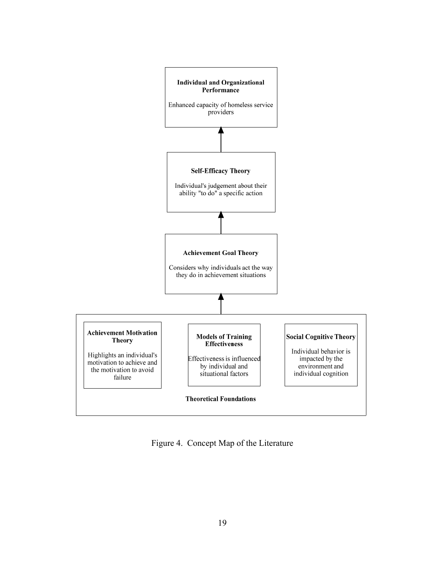

Figure 4. Concept Map of the Literature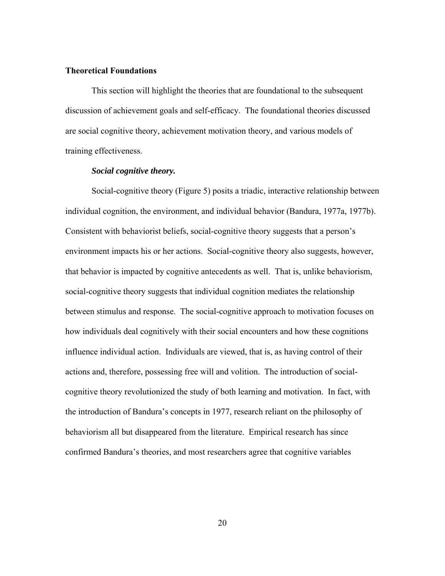## **Theoretical Foundations**

This section will highlight the theories that are foundational to the subsequent discussion of achievement goals and self-efficacy. The foundational theories discussed are social cognitive theory, achievement motivation theory, and various models of training effectiveness.

## *Social cognitive theory.*

Social-cognitive theory (Figure 5) posits a triadic, interactive relationship between individual cognition, the environment, and individual behavior (Bandura, 1977a, 1977b). Consistent with behaviorist beliefs, social-cognitive theory suggests that a person's environment impacts his or her actions. Social-cognitive theory also suggests, however, that behavior is impacted by cognitive antecedents as well. That is, unlike behaviorism, social-cognitive theory suggests that individual cognition mediates the relationship between stimulus and response. The social-cognitive approach to motivation focuses on how individuals deal cognitively with their social encounters and how these cognitions influence individual action. Individuals are viewed, that is, as having control of their actions and, therefore, possessing free will and volition. The introduction of socialcognitive theory revolutionized the study of both learning and motivation. In fact, with the introduction of Bandura's concepts in 1977, research reliant on the philosophy of behaviorism all but disappeared from the literature. Empirical research has since confirmed Bandura's theories, and most researchers agree that cognitive variables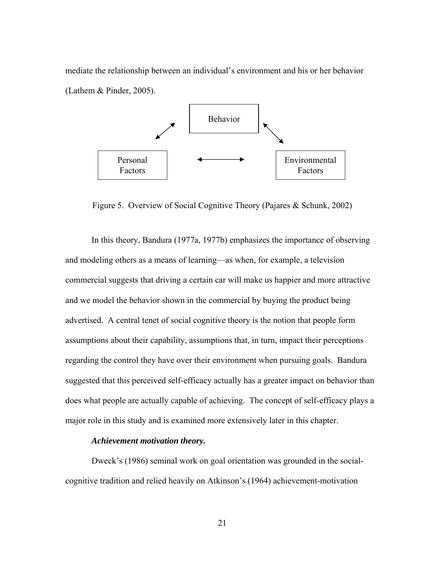mediate the relationship between an individual's environment and his or her behavior (Lathem & Pinder, 2005).



Figure 5. Overview of Social Cognitive Theory (Pajares & Schunk, 2002)

In this theory, Bandura (1977a, 1977b) emphasizes the importance of observing and modeling others as a means of learning—as when, for example, a television commercial suggests that driving a certain car will make us happier and more attractive and we model the behavior shown in the commercial by buying the product being advertised. A central tenet of social cognitive theory is the notion that people form assumptions about their capability, assumptions that, in turn, impact their perceptions regarding the control they have over their environment when pursuing goals. Bandura suggested that this perceived self-efficacy actually has a greater impact on behavior than does what people are actually capable of achieving. The concept of self-efficacy plays a major role in this study and is examined more extensively later in this chapter.

## *Achievement motivation theory.*

Dweck's (1986) seminal work on goal orientation was grounded in the socialcognitive tradition and relied heavily on Atkinson's (1964) achievement-motivation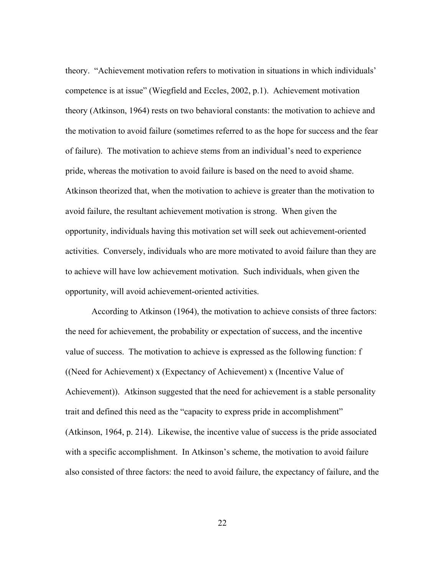theory. "Achievement motivation refers to motivation in situations in which individuals' competence is at issue" (Wiegfield and Eccles, 2002, p.1). Achievement motivation theory (Atkinson, 1964) rests on two behavioral constants: the motivation to achieve and the motivation to avoid failure (sometimes referred to as the hope for success and the fear of failure). The motivation to achieve stems from an individual's need to experience pride, whereas the motivation to avoid failure is based on the need to avoid shame. Atkinson theorized that, when the motivation to achieve is greater than the motivation to avoid failure, the resultant achievement motivation is strong. When given the opportunity, individuals having this motivation set will seek out achievement-oriented activities. Conversely, individuals who are more motivated to avoid failure than they are to achieve will have low achievement motivation. Such individuals, when given the opportunity, will avoid achievement-oriented activities.

According to Atkinson (1964), the motivation to achieve consists of three factors: the need for achievement, the probability or expectation of success, and the incentive value of success. The motivation to achieve is expressed as the following function: f ((Need for Achievement) x (Expectancy of Achievement) x (Incentive Value of Achievement)). Atkinson suggested that the need for achievement is a stable personality trait and defined this need as the "capacity to express pride in accomplishment" (Atkinson, 1964, p. 214). Likewise, the incentive value of success is the pride associated with a specific accomplishment. In Atkinson's scheme, the motivation to avoid failure also consisted of three factors: the need to avoid failure, the expectancy of failure, and the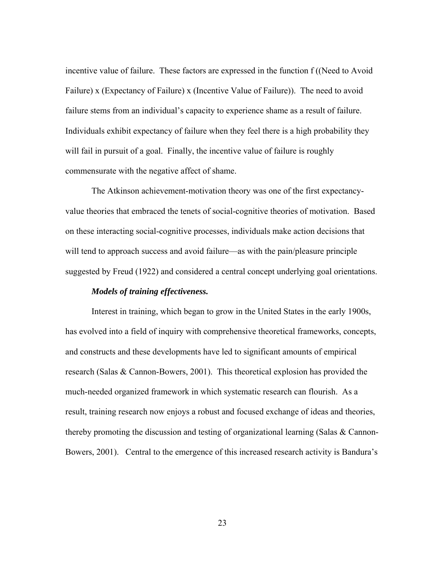incentive value of failure. These factors are expressed in the function f ((Need to Avoid Failure) x (Expectancy of Failure) x (Incentive Value of Failure)). The need to avoid failure stems from an individual's capacity to experience shame as a result of failure. Individuals exhibit expectancy of failure when they feel there is a high probability they will fail in pursuit of a goal. Finally, the incentive value of failure is roughly commensurate with the negative affect of shame.

 The Atkinson achievement-motivation theory was one of the first expectancyvalue theories that embraced the tenets of social-cognitive theories of motivation. Based on these interacting social-cognitive processes, individuals make action decisions that will tend to approach success and avoid failure—as with the pain/pleasure principle suggested by Freud (1922) and considered a central concept underlying goal orientations.

## *Models of training effectiveness.*

Interest in training, which began to grow in the United States in the early 1900s, has evolved into a field of inquiry with comprehensive theoretical frameworks, concepts, and constructs and these developments have led to significant amounts of empirical research (Salas & Cannon-Bowers, 2001). This theoretical explosion has provided the much-needed organized framework in which systematic research can flourish. As a result, training research now enjoys a robust and focused exchange of ideas and theories, thereby promoting the discussion and testing of organizational learning (Salas & Cannon-Bowers, 2001). Central to the emergence of this increased research activity is Bandura's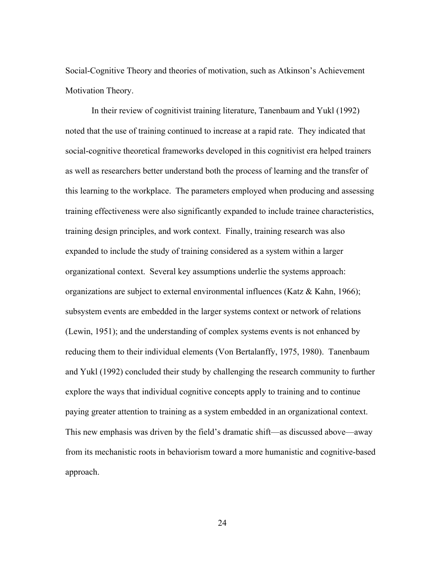Social-Cognitive Theory and theories of motivation, such as Atkinson's Achievement Motivation Theory.

 In their review of cognitivist training literature, Tanenbaum and Yukl (1992) noted that the use of training continued to increase at a rapid rate. They indicated that social-cognitive theoretical frameworks developed in this cognitivist era helped trainers as well as researchers better understand both the process of learning and the transfer of this learning to the workplace. The parameters employed when producing and assessing training effectiveness were also significantly expanded to include trainee characteristics, training design principles, and work context. Finally, training research was also expanded to include the study of training considered as a system within a larger organizational context. Several key assumptions underlie the systems approach: organizations are subject to external environmental influences (Katz & Kahn, 1966); subsystem events are embedded in the larger systems context or network of relations (Lewin, 1951); and the understanding of complex systems events is not enhanced by reducing them to their individual elements (Von Bertalanffy, 1975, 1980). Tanenbaum and Yukl (1992) concluded their study by challenging the research community to further explore the ways that individual cognitive concepts apply to training and to continue paying greater attention to training as a system embedded in an organizational context. This new emphasis was driven by the field's dramatic shift—as discussed above—away from its mechanistic roots in behaviorism toward a more humanistic and cognitive-based approach.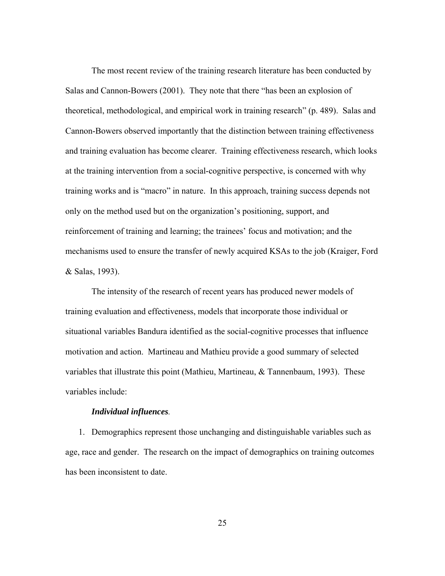The most recent review of the training research literature has been conducted by Salas and Cannon-Bowers (2001). They note that there "has been an explosion of theoretical, methodological, and empirical work in training research" (p. 489). Salas and Cannon-Bowers observed importantly that the distinction between training effectiveness and training evaluation has become clearer. Training effectiveness research, which looks at the training intervention from a social-cognitive perspective, is concerned with why training works and is "macro" in nature. In this approach, training success depends not only on the method used but on the organization's positioning, support, and reinforcement of training and learning; the trainees' focus and motivation; and the mechanisms used to ensure the transfer of newly acquired KSAs to the job (Kraiger, Ford & Salas, 1993).

 The intensity of the research of recent years has produced newer models of training evaluation and effectiveness, models that incorporate those individual or situational variables Bandura identified as the social-cognitive processes that influence motivation and action. Martineau and Mathieu provide a good summary of selected variables that illustrate this point (Mathieu, Martineau, & Tannenbaum, 1993). These variables include:

## *Individual influences.*

1. Demographics represent those unchanging and distinguishable variables such as age, race and gender. The research on the impact of demographics on training outcomes has been inconsistent to date.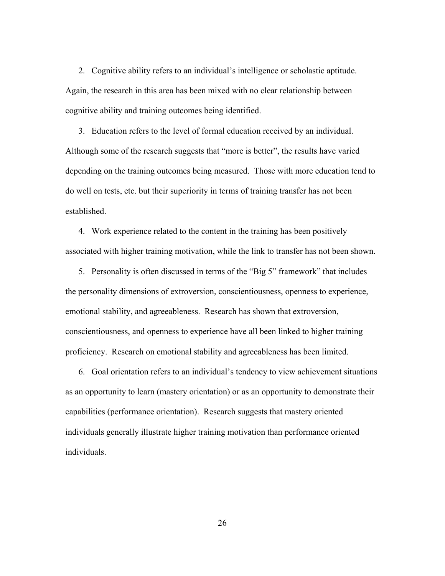2. Cognitive ability refers to an individual's intelligence or scholastic aptitude. Again, the research in this area has been mixed with no clear relationship between cognitive ability and training outcomes being identified.

3. Education refers to the level of formal education received by an individual. Although some of the research suggests that "more is better", the results have varied depending on the training outcomes being measured. Those with more education tend to do well on tests, etc. but their superiority in terms of training transfer has not been established.

4. Work experience related to the content in the training has been positively associated with higher training motivation, while the link to transfer has not been shown.

5. Personality is often discussed in terms of the "Big 5" framework" that includes the personality dimensions of extroversion, conscientiousness, openness to experience, emotional stability, and agreeableness. Research has shown that extroversion, conscientiousness, and openness to experience have all been linked to higher training proficiency. Research on emotional stability and agreeableness has been limited.

6. Goal orientation refers to an individual's tendency to view achievement situations as an opportunity to learn (mastery orientation) or as an opportunity to demonstrate their capabilities (performance orientation). Research suggests that mastery oriented individuals generally illustrate higher training motivation than performance oriented individuals.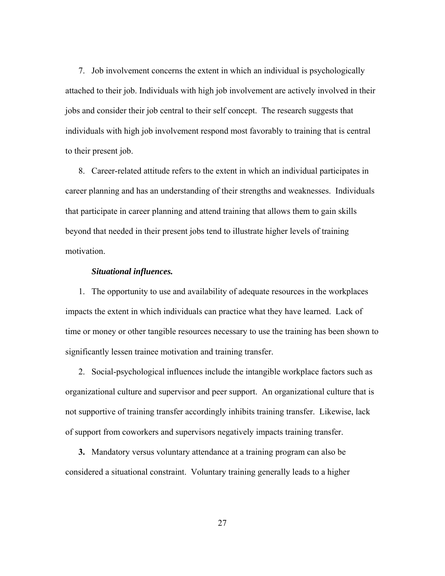7. Job involvement concerns the extent in which an individual is psychologically attached to their job. Individuals with high job involvement are actively involved in their jobs and consider their job central to their self concept. The research suggests that individuals with high job involvement respond most favorably to training that is central to their present job.

8. Career-related attitude refers to the extent in which an individual participates in career planning and has an understanding of their strengths and weaknesses. Individuals that participate in career planning and attend training that allows them to gain skills beyond that needed in their present jobs tend to illustrate higher levels of training motivation.

## *Situational influences.*

1. The opportunity to use and availability of adequate resources in the workplaces impacts the extent in which individuals can practice what they have learned. Lack of time or money or other tangible resources necessary to use the training has been shown to significantly lessen trainee motivation and training transfer.

2. Social-psychological influences include the intangible workplace factors such as organizational culture and supervisor and peer support. An organizational culture that is not supportive of training transfer accordingly inhibits training transfer. Likewise, lack of support from coworkers and supervisors negatively impacts training transfer.

**3.** Mandatory versus voluntary attendance at a training program can also be considered a situational constraint. Voluntary training generally leads to a higher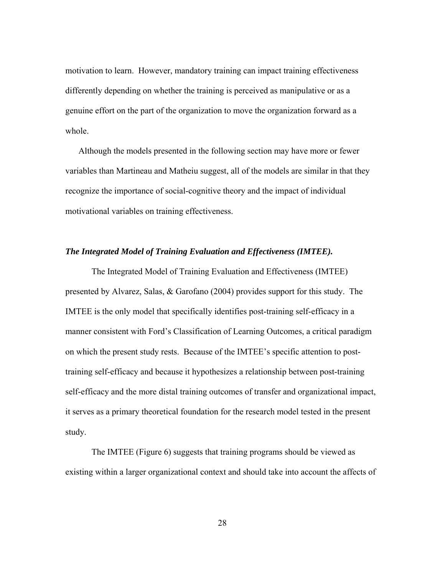motivation to learn. However, mandatory training can impact training effectiveness differently depending on whether the training is perceived as manipulative or as a genuine effort on the part of the organization to move the organization forward as a whole.

Although the models presented in the following section may have more or fewer variables than Martineau and Matheiu suggest, all of the models are similar in that they recognize the importance of social-cognitive theory and the impact of individual motivational variables on training effectiveness.

## *The Integrated Model of Training Evaluation and Effectiveness (IMTEE).*

The Integrated Model of Training Evaluation and Effectiveness (IMTEE) presented by Alvarez, Salas, & Garofano (2004) provides support for this study. The IMTEE is the only model that specifically identifies post-training self-efficacy in a manner consistent with Ford's Classification of Learning Outcomes, a critical paradigm on which the present study rests. Because of the IMTEE's specific attention to posttraining self-efficacy and because it hypothesizes a relationship between post-training self-efficacy and the more distal training outcomes of transfer and organizational impact, it serves as a primary theoretical foundation for the research model tested in the present study.

The IMTEE (Figure 6) suggests that training programs should be viewed as existing within a larger organizational context and should take into account the affects of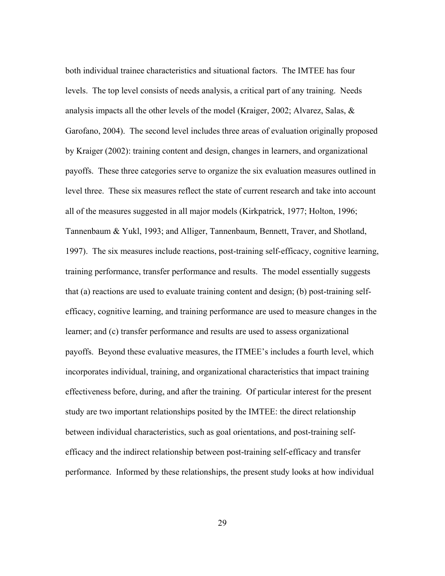both individual trainee characteristics and situational factors. The IMTEE has four levels. The top level consists of needs analysis, a critical part of any training. Needs analysis impacts all the other levels of the model (Kraiger, 2002; Alvarez, Salas, & Garofano, 2004). The second level includes three areas of evaluation originally proposed by Kraiger (2002): training content and design, changes in learners, and organizational payoffs. These three categories serve to organize the six evaluation measures outlined in level three. These six measures reflect the state of current research and take into account all of the measures suggested in all major models (Kirkpatrick, 1977; Holton, 1996; Tannenbaum & Yukl, 1993; and Alliger, Tannenbaum, Bennett, Traver, and Shotland, 1997). The six measures include reactions, post-training self-efficacy, cognitive learning, training performance, transfer performance and results. The model essentially suggests that (a) reactions are used to evaluate training content and design; (b) post-training selfefficacy, cognitive learning, and training performance are used to measure changes in the learner; and (c) transfer performance and results are used to assess organizational payoffs. Beyond these evaluative measures, the ITMEE's includes a fourth level, which incorporates individual, training, and organizational characteristics that impact training effectiveness before, during, and after the training. Of particular interest for the present study are two important relationships posited by the IMTEE: the direct relationship between individual characteristics, such as goal orientations, and post-training selfefficacy and the indirect relationship between post-training self-efficacy and transfer performance. Informed by these relationships, the present study looks at how individual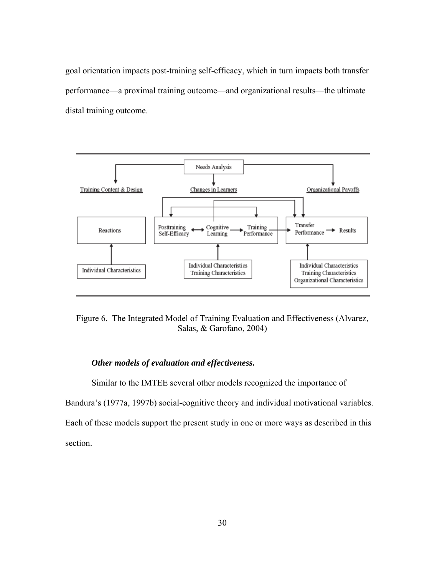goal orientation impacts post-training self-efficacy, which in turn impacts both transfer performance—a proximal training outcome—and organizational results—the ultimate distal training outcome.



Figure 6. The Integrated Model of Training Evaluation and Effectiveness (Alvarez, Salas, & Garofano, 2004)

### *Other models of evaluation and effectiveness.*

 Similar to the IMTEE several other models recognized the importance of Bandura's (1977a, 1997b) social-cognitive theory and individual motivational variables. Each of these models support the present study in one or more ways as described in this section.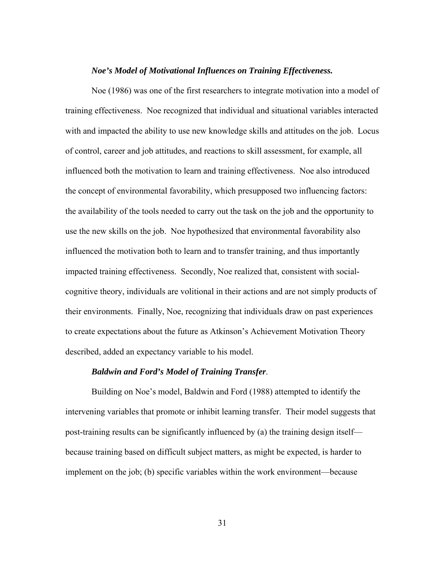#### *Noe's Model of Motivational Influences on Training Effectiveness.*

Noe (1986) was one of the first researchers to integrate motivation into a model of training effectiveness. Noe recognized that individual and situational variables interacted with and impacted the ability to use new knowledge skills and attitudes on the job. Locus of control, career and job attitudes, and reactions to skill assessment, for example, all influenced both the motivation to learn and training effectiveness. Noe also introduced the concept of environmental favorability, which presupposed two influencing factors: the availability of the tools needed to carry out the task on the job and the opportunity to use the new skills on the job. Noe hypothesized that environmental favorability also influenced the motivation both to learn and to transfer training, and thus importantly impacted training effectiveness. Secondly, Noe realized that, consistent with socialcognitive theory, individuals are volitional in their actions and are not simply products of their environments. Finally, Noe, recognizing that individuals draw on past experiences to create expectations about the future as Atkinson's Achievement Motivation Theory described, added an expectancy variable to his model.

# *Baldwin and Ford's Model of Training Transfer*.

Building on Noe's model, Baldwin and Ford (1988) attempted to identify the intervening variables that promote or inhibit learning transfer. Their model suggests that post-training results can be significantly influenced by (a) the training design itself because training based on difficult subject matters, as might be expected, is harder to implement on the job; (b) specific variables within the work environment—because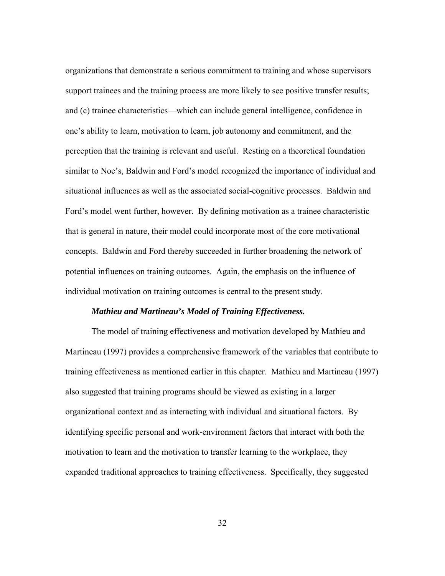organizations that demonstrate a serious commitment to training and whose supervisors support trainees and the training process are more likely to see positive transfer results; and (c) trainee characteristics—which can include general intelligence, confidence in one's ability to learn, motivation to learn, job autonomy and commitment, and the perception that the training is relevant and useful. Resting on a theoretical foundation similar to Noe's, Baldwin and Ford's model recognized the importance of individual and situational influences as well as the associated social-cognitive processes. Baldwin and Ford's model went further, however. By defining motivation as a trainee characteristic that is general in nature, their model could incorporate most of the core motivational concepts. Baldwin and Ford thereby succeeded in further broadening the network of potential influences on training outcomes. Again, the emphasis on the influence of individual motivation on training outcomes is central to the present study.

#### *Mathieu and Martineau's Model of Training Effectiveness.*

The model of training effectiveness and motivation developed by Mathieu and Martineau (1997) provides a comprehensive framework of the variables that contribute to training effectiveness as mentioned earlier in this chapter. Mathieu and Martineau (1997) also suggested that training programs should be viewed as existing in a larger organizational context and as interacting with individual and situational factors. By identifying specific personal and work-environment factors that interact with both the motivation to learn and the motivation to transfer learning to the workplace, they expanded traditional approaches to training effectiveness. Specifically, they suggested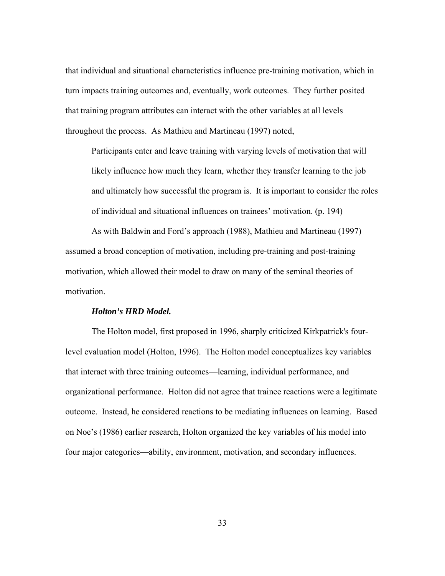that individual and situational characteristics influence pre-training motivation, which in turn impacts training outcomes and, eventually, work outcomes. They further posited that training program attributes can interact with the other variables at all levels throughout the process. As Mathieu and Martineau (1997) noted,

Participants enter and leave training with varying levels of motivation that will likely influence how much they learn, whether they transfer learning to the job and ultimately how successful the program is. It is important to consider the roles of individual and situational influences on trainees' motivation. (p. 194)

As with Baldwin and Ford's approach (1988), Mathieu and Martineau (1997) assumed a broad conception of motivation, including pre-training and post-training motivation, which allowed their model to draw on many of the seminal theories of motivation.

#### *Holton's HRD Model.*

The Holton model, first proposed in 1996, sharply criticized Kirkpatrick's fourlevel evaluation model (Holton, 1996). The Holton model conceptualizes key variables that interact with three training outcomes—learning, individual performance, and organizational performance. Holton did not agree that trainee reactions were a legitimate outcome. Instead, he considered reactions to be mediating influences on learning. Based on Noe's (1986) earlier research, Holton organized the key variables of his model into four major categories—ability, environment, motivation, and secondary influences.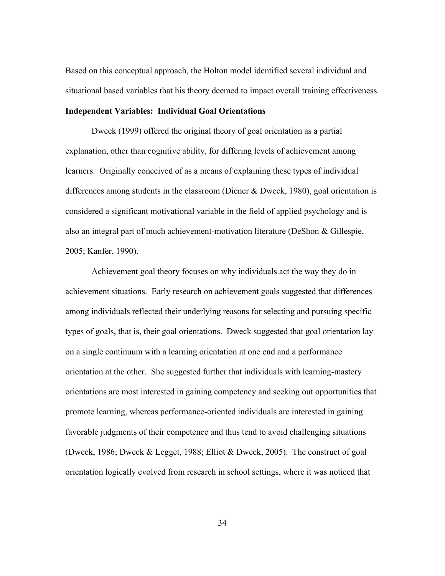Based on this conceptual approach, the Holton model identified several individual and situational based variables that his theory deemed to impact overall training effectiveness.

# **Independent Variables: Individual Goal Orientations**

Dweck (1999) offered the original theory of goal orientation as a partial explanation, other than cognitive ability, for differing levels of achievement among learners. Originally conceived of as a means of explaining these types of individual differences among students in the classroom (Diener & Dweck, 1980), goal orientation is considered a significant motivational variable in the field of applied psychology and is also an integral part of much achievement-motivation literature (DeShon & Gillespie, 2005; Kanfer, 1990).

Achievement goal theory focuses on why individuals act the way they do in achievement situations. Early research on achievement goals suggested that differences among individuals reflected their underlying reasons for selecting and pursuing specific types of goals, that is, their goal orientations. Dweck suggested that goal orientation lay on a single continuum with a learning orientation at one end and a performance orientation at the other. She suggested further that individuals with learning-mastery orientations are most interested in gaining competency and seeking out opportunities that promote learning, whereas performance-oriented individuals are interested in gaining favorable judgments of their competence and thus tend to avoid challenging situations (Dweck, 1986; Dweck & Legget, 1988; Elliot & Dweck, 2005). The construct of goal orientation logically evolved from research in school settings, where it was noticed that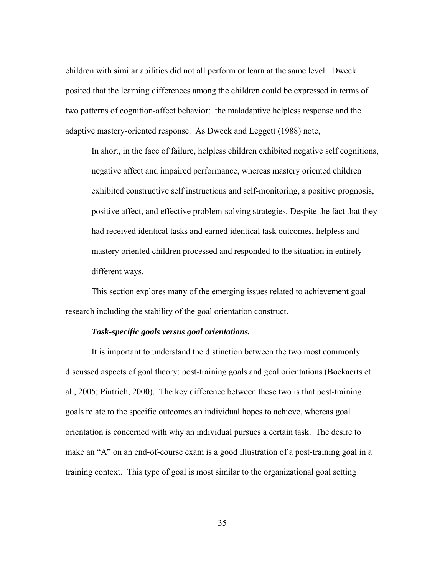children with similar abilities did not all perform or learn at the same level. Dweck posited that the learning differences among the children could be expressed in terms of two patterns of cognition-affect behavior: the maladaptive helpless response and the adaptive mastery-oriented response. As Dweck and Leggett (1988) note,

In short, in the face of failure, helpless children exhibited negative self cognitions, negative affect and impaired performance, whereas mastery oriented children exhibited constructive self instructions and self-monitoring, a positive prognosis, positive affect, and effective problem-solving strategies. Despite the fact that they had received identical tasks and earned identical task outcomes, helpless and mastery oriented children processed and responded to the situation in entirely different ways.

This section explores many of the emerging issues related to achievement goal research including the stability of the goal orientation construct.

## *Task-specific goals versus goal orientations.*

It is important to understand the distinction between the two most commonly discussed aspects of goal theory: post-training goals and goal orientations (Boekaerts et al., 2005; Pintrich, 2000). The key difference between these two is that post-training goals relate to the specific outcomes an individual hopes to achieve, whereas goal orientation is concerned with why an individual pursues a certain task. The desire to make an "A" on an end-of-course exam is a good illustration of a post-training goal in a training context. This type of goal is most similar to the organizational goal setting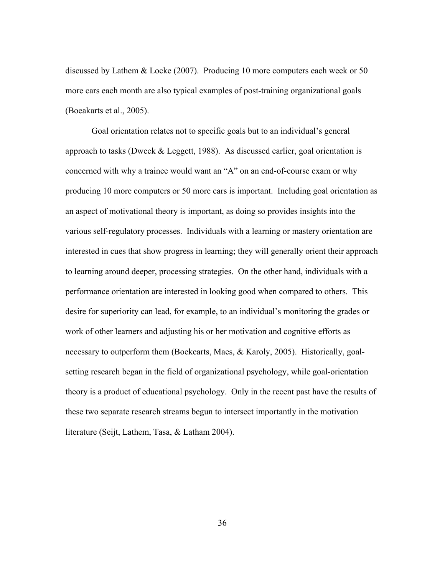discussed by Lathem & Locke (2007). Producing 10 more computers each week or 50 more cars each month are also typical examples of post-training organizational goals (Boeakarts et al., 2005).

Goal orientation relates not to specific goals but to an individual's general approach to tasks (Dweck & Leggett, 1988). As discussed earlier, goal orientation is concerned with why a trainee would want an "A" on an end-of-course exam or why producing 10 more computers or 50 more cars is important. Including goal orientation as an aspect of motivational theory is important, as doing so provides insights into the various self-regulatory processes. Individuals with a learning or mastery orientation are interested in cues that show progress in learning; they will generally orient their approach to learning around deeper, processing strategies. On the other hand, individuals with a performance orientation are interested in looking good when compared to others. This desire for superiority can lead, for example, to an individual's monitoring the grades or work of other learners and adjusting his or her motivation and cognitive efforts as necessary to outperform them (Boekearts, Maes, & Karoly, 2005). Historically, goalsetting research began in the field of organizational psychology, while goal-orientation theory is a product of educational psychology. Only in the recent past have the results of these two separate research streams begun to intersect importantly in the motivation literature (Seijt, Lathem, Tasa, & Latham 2004).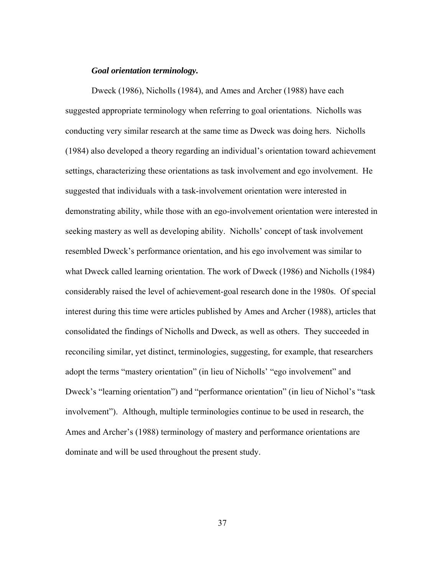#### *Goal orientation terminology.*

Dweck (1986), Nicholls (1984), and Ames and Archer (1988) have each suggested appropriate terminology when referring to goal orientations. Nicholls was conducting very similar research at the same time as Dweck was doing hers. Nicholls (1984) also developed a theory regarding an individual's orientation toward achievement settings, characterizing these orientations as task involvement and ego involvement. He suggested that individuals with a task-involvement orientation were interested in demonstrating ability, while those with an ego-involvement orientation were interested in seeking mastery as well as developing ability. Nicholls' concept of task involvement resembled Dweck's performance orientation, and his ego involvement was similar to what Dweck called learning orientation. The work of Dweck (1986) and Nicholls (1984) considerably raised the level of achievement-goal research done in the 1980s. Of special interest during this time were articles published by Ames and Archer (1988), articles that consolidated the findings of Nicholls and Dweck, as well as others. They succeeded in reconciling similar, yet distinct, terminologies, suggesting, for example, that researchers adopt the terms "mastery orientation" (in lieu of Nicholls' "ego involvement" and Dweck's "learning orientation") and "performance orientation" (in lieu of Nichol's "task involvement"). Although, multiple terminologies continue to be used in research, the Ames and Archer's (1988) terminology of mastery and performance orientations are dominate and will be used throughout the present study.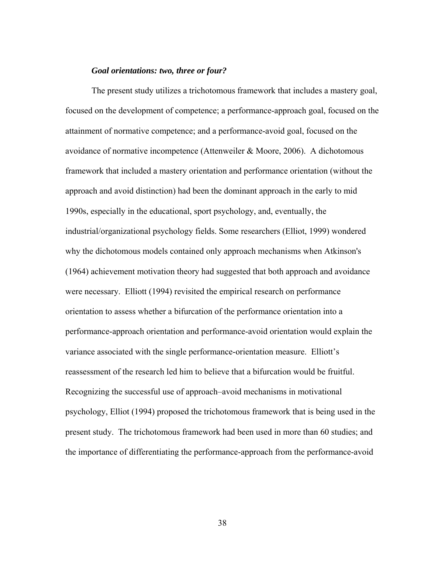#### *Goal orientations: two, three or four?*

The present study utilizes a trichotomous framework that includes a mastery goal, focused on the development of competence; a performance-approach goal, focused on the attainment of normative competence; and a performance-avoid goal, focused on the avoidance of normative incompetence (Attenweiler & Moore, 2006). A dichotomous framework that included a mastery orientation and performance orientation (without the approach and avoid distinction) had been the dominant approach in the early to mid 1990s, especially in the educational, sport psychology, and, eventually, the industrial/organizational psychology fields. Some researchers (Elliot, 1999) wondered why the dichotomous models contained only approach mechanisms when Atkinson's (1964) achievement motivation theory had suggested that both approach and avoidance were necessary. Elliott (1994) revisited the empirical research on performance orientation to assess whether a bifurcation of the performance orientation into a performance-approach orientation and performance-avoid orientation would explain the variance associated with the single performance-orientation measure. Elliott's reassessment of the research led him to believe that a bifurcation would be fruitful. Recognizing the successful use of approach–avoid mechanisms in motivational psychology, Elliot (1994) proposed the trichotomous framework that is being used in the present study. The trichotomous framework had been used in more than 60 studies; and the importance of differentiating the performance-approach from the performance-avoid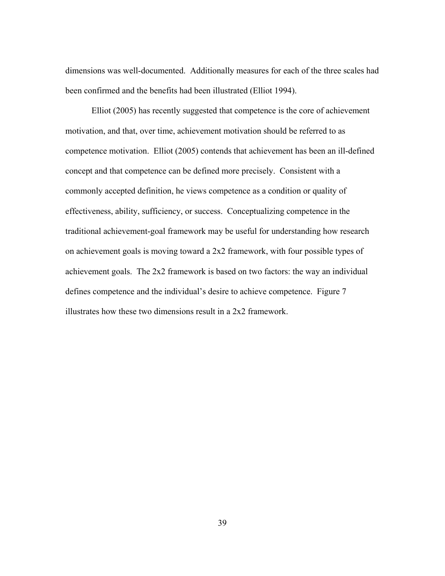dimensions was well-documented. Additionally measures for each of the three scales had been confirmed and the benefits had been illustrated (Elliot 1994).

 Elliot (2005) has recently suggested that competence is the core of achievement motivation, and that, over time, achievement motivation should be referred to as competence motivation. Elliot (2005) contends that achievement has been an ill-defined concept and that competence can be defined more precisely. Consistent with a commonly accepted definition, he views competence as a condition or quality of effectiveness, ability, sufficiency, or success. Conceptualizing competence in the traditional achievement-goal framework may be useful for understanding how research on achievement goals is moving toward a 2x2 framework, with four possible types of achievement goals. The 2x2 framework is based on two factors: the way an individual defines competence and the individual's desire to achieve competence. Figure 7 illustrates how these two dimensions result in a 2x2 framework.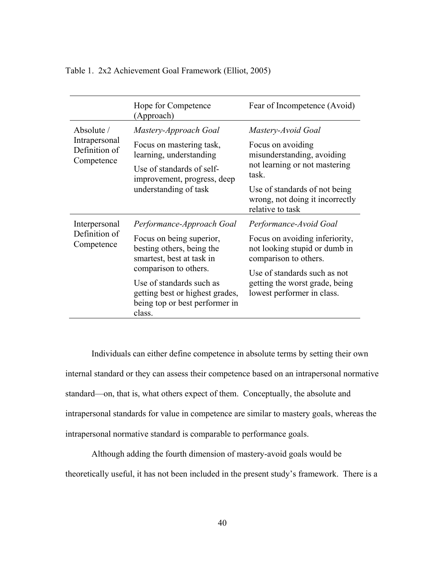|                                                                                                             | Hope for Competence<br>(Approach)                                                                                                        | Fear of Incompetence (Avoid)                                                              |                                                                                      |
|-------------------------------------------------------------------------------------------------------------|------------------------------------------------------------------------------------------------------------------------------------------|-------------------------------------------------------------------------------------------|--------------------------------------------------------------------------------------|
| Absolute /<br>Intrapersonal<br>Definition of<br>Competence                                                  | Mastery-Approach Goal                                                                                                                    | Mastery-Avoid Goal                                                                        |                                                                                      |
|                                                                                                             | Focus on mastering task,<br>learning, understanding<br>Use of standards of self-<br>improvement, progress, deep<br>understanding of task | Focus on avoiding<br>misunderstanding, avoiding<br>not learning or not mastering<br>task. |                                                                                      |
|                                                                                                             |                                                                                                                                          |                                                                                           | Use of standards of not being<br>wrong, not doing it incorrectly<br>relative to task |
|                                                                                                             |                                                                                                                                          | Interpersonal<br>Definition of<br>Competence                                              | Performance-Approach Goal                                                            |
| Focus on being superior,<br>besting others, being the<br>smartest, best at task in<br>comparison to others. | Focus on avoiding inferiority,<br>not looking stupid or dumb in<br>comparison to others.                                                 |                                                                                           |                                                                                      |
| Use of standards such as<br>getting best or highest grades,<br>being top or best performer in<br>class.     | Use of standards such as not<br>getting the worst grade, being<br>lowest performer in class.                                             |                                                                                           |                                                                                      |

Table 1. 2x2 Achievement Goal Framework (Elliot, 2005)

 Individuals can either define competence in absolute terms by setting their own internal standard or they can assess their competence based on an intrapersonal normative standard—on, that is, what others expect of them. Conceptually, the absolute and intrapersonal standards for value in competence are similar to mastery goals, whereas the intrapersonal normative standard is comparable to performance goals.

Although adding the fourth dimension of mastery-avoid goals would be theoretically useful, it has not been included in the present study's framework. There is a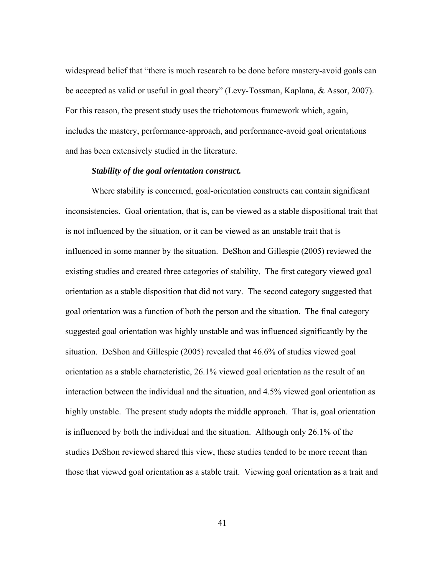widespread belief that "there is much research to be done before mastery-avoid goals can be accepted as valid or useful in goal theory" (Levy-Tossman, Kaplana, & Assor, 2007). For this reason, the present study uses the trichotomous framework which, again, includes the mastery, performance-approach, and performance-avoid goal orientations and has been extensively studied in the literature.

## *Stability of the goal orientation construct.*

Where stability is concerned, goal-orientation constructs can contain significant inconsistencies. Goal orientation, that is, can be viewed as a stable dispositional trait that is not influenced by the situation, or it can be viewed as an unstable trait that is influenced in some manner by the situation. DeShon and Gillespie (2005) reviewed the existing studies and created three categories of stability. The first category viewed goal orientation as a stable disposition that did not vary. The second category suggested that goal orientation was a function of both the person and the situation. The final category suggested goal orientation was highly unstable and was influenced significantly by the situation. DeShon and Gillespie (2005) revealed that 46.6% of studies viewed goal orientation as a stable characteristic, 26.1% viewed goal orientation as the result of an interaction between the individual and the situation, and 4.5% viewed goal orientation as highly unstable. The present study adopts the middle approach. That is, goal orientation is influenced by both the individual and the situation. Although only 26.1% of the studies DeShon reviewed shared this view, these studies tended to be more recent than those that viewed goal orientation as a stable trait. Viewing goal orientation as a trait and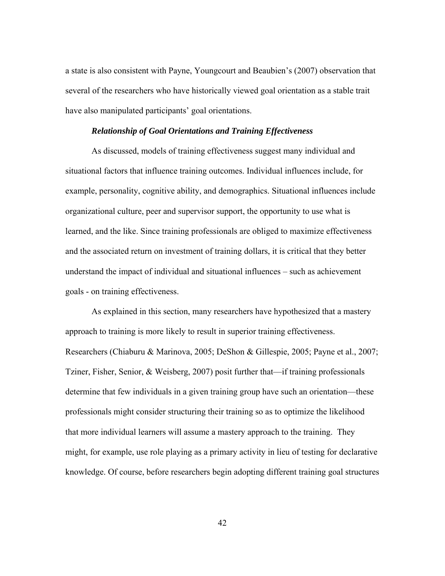a state is also consistent with Payne, Youngcourt and Beaubien's (2007) observation that several of the researchers who have historically viewed goal orientation as a stable trait have also manipulated participants' goal orientations.

#### *Relationship of Goal Orientations and Training Effectiveness*

As discussed, models of training effectiveness suggest many individual and situational factors that influence training outcomes. Individual influences include, for example, personality, cognitive ability, and demographics. Situational influences include organizational culture, peer and supervisor support, the opportunity to use what is learned, and the like. Since training professionals are obliged to maximize effectiveness and the associated return on investment of training dollars, it is critical that they better understand the impact of individual and situational influences – such as achievement goals - on training effectiveness.

 As explained in this section, many researchers have hypothesized that a mastery approach to training is more likely to result in superior training effectiveness. Researchers (Chiaburu & Marinova, 2005; DeShon & Gillespie, 2005; Payne et al., 2007; Tziner, Fisher, Senior, & Weisberg, 2007) posit further that—if training professionals determine that few individuals in a given training group have such an orientation—these professionals might consider structuring their training so as to optimize the likelihood that more individual learners will assume a mastery approach to the training. They might, for example, use role playing as a primary activity in lieu of testing for declarative knowledge. Of course, before researchers begin adopting different training goal structures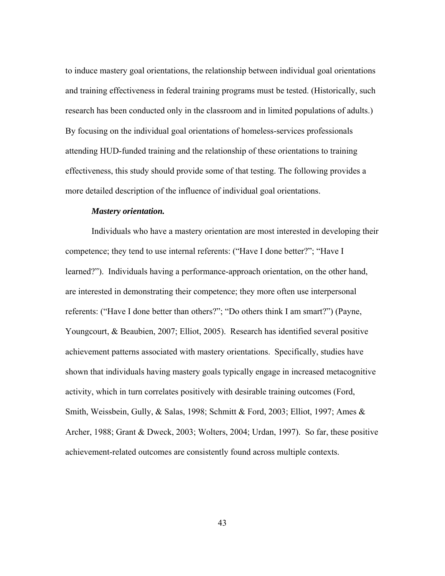to induce mastery goal orientations, the relationship between individual goal orientations and training effectiveness in federal training programs must be tested. (Historically, such research has been conducted only in the classroom and in limited populations of adults.) By focusing on the individual goal orientations of homeless-services professionals attending HUD-funded training and the relationship of these orientations to training effectiveness, this study should provide some of that testing. The following provides a more detailed description of the influence of individual goal orientations.

#### *Mastery orientation.*

Individuals who have a mastery orientation are most interested in developing their competence; they tend to use internal referents: ("Have I done better?"; "Have I learned?"). Individuals having a performance-approach orientation, on the other hand, are interested in demonstrating their competence; they more often use interpersonal referents: ("Have I done better than others?"; "Do others think I am smart?") (Payne, Youngcourt, & Beaubien, 2007; Elliot, 2005). Research has identified several positive achievement patterns associated with mastery orientations. Specifically, studies have shown that individuals having mastery goals typically engage in increased metacognitive activity, which in turn correlates positively with desirable training outcomes (Ford, Smith, Weissbein, Gully, & Salas, 1998; Schmitt & Ford, 2003; Elliot, 1997; Ames & Archer, 1988; Grant & Dweck, 2003; Wolters, 2004; Urdan, 1997). So far, these positive achievement-related outcomes are consistently found across multiple contexts.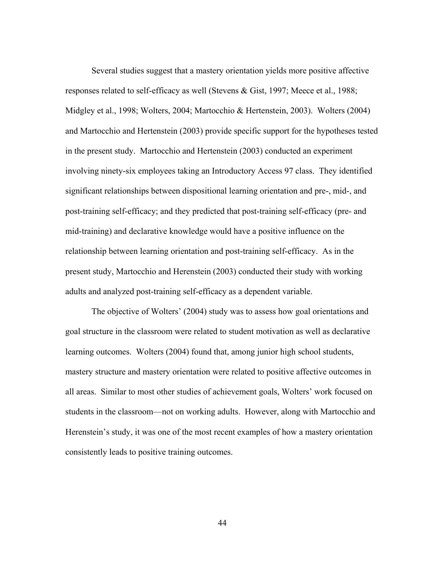Several studies suggest that a mastery orientation yields more positive affective responses related to self-efficacy as well (Stevens & Gist, 1997; Meece et al., 1988; Midgley et al., 1998; Wolters, 2004; Martocchio & Hertenstein, 2003). Wolters (2004) and Martocchio and Hertenstein (2003) provide specific support for the hypotheses tested in the present study. Martocchio and Hertenstein (2003) conducted an experiment involving ninety-six employees taking an Introductory Access 97 class. They identified significant relationships between dispositional learning orientation and pre-, mid-, and post-training self-efficacy; and they predicted that post-training self-efficacy (pre- and mid-training) and declarative knowledge would have a positive influence on the relationship between learning orientation and post-training self-efficacy. As in the present study, Martocchio and Herenstein (2003) conducted their study with working adults and analyzed post-training self-efficacy as a dependent variable.

 The objective of Wolters' (2004) study was to assess how goal orientations and goal structure in the classroom were related to student motivation as well as declarative learning outcomes. Wolters (2004) found that, among junior high school students, mastery structure and mastery orientation were related to positive affective outcomes in all areas. Similar to most other studies of achievement goals, Wolters' work focused on students in the classroom—not on working adults. However, along with Martocchio and Herenstein's study, it was one of the most recent examples of how a mastery orientation consistently leads to positive training outcomes.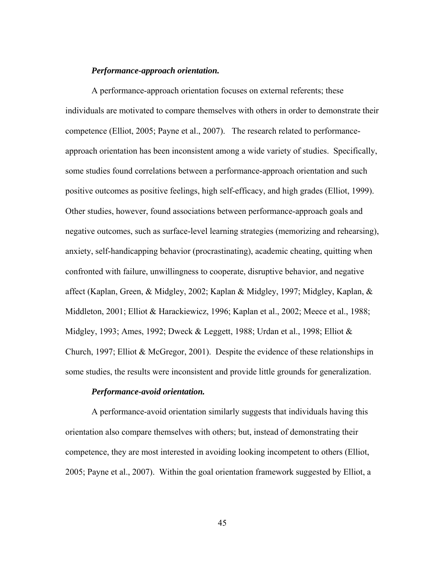#### *Performance-approach orientation.*

A performance-approach orientation focuses on external referents; these individuals are motivated to compare themselves with others in order to demonstrate their competence (Elliot, 2005; Payne et al., 2007). The research related to performanceapproach orientation has been inconsistent among a wide variety of studies. Specifically, some studies found correlations between a performance-approach orientation and such positive outcomes as positive feelings, high self-efficacy, and high grades (Elliot, 1999). Other studies, however, found associations between performance-approach goals and negative outcomes, such as surface-level learning strategies (memorizing and rehearsing), anxiety, self-handicapping behavior (procrastinating), academic cheating, quitting when confronted with failure, unwillingness to cooperate, disruptive behavior, and negative affect (Kaplan, Green, & Midgley, 2002; Kaplan & Midgley, 1997; Midgley, Kaplan, & Middleton, 2001; Elliot & Harackiewicz, 1996; Kaplan et al., 2002; Meece et al., 1988; Midgley, 1993; Ames, 1992; Dweck & Leggett, 1988; Urdan et al., 1998; Elliot & Church, 1997; Elliot & McGregor, 2001). Despite the evidence of these relationships in some studies, the results were inconsistent and provide little grounds for generalization.

# *Performance-avoid orientation.*

A performance-avoid orientation similarly suggests that individuals having this orientation also compare themselves with others; but, instead of demonstrating their competence, they are most interested in avoiding looking incompetent to others (Elliot, 2005; Payne et al., 2007). Within the goal orientation framework suggested by Elliot, a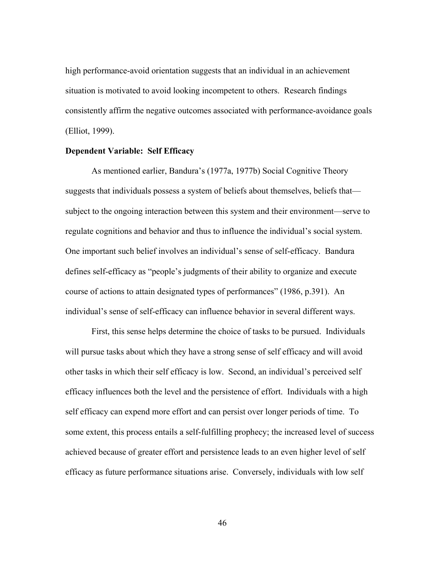high performance-avoid orientation suggests that an individual in an achievement situation is motivated to avoid looking incompetent to others. Research findings consistently affirm the negative outcomes associated with performance-avoidance goals (Elliot, 1999).

#### **Dependent Variable: Self Efficacy**

As mentioned earlier, Bandura's (1977a, 1977b) Social Cognitive Theory suggests that individuals possess a system of beliefs about themselves, beliefs that subject to the ongoing interaction between this system and their environment—serve to regulate cognitions and behavior and thus to influence the individual's social system. One important such belief involves an individual's sense of self-efficacy. Bandura defines self-efficacy as "people's judgments of their ability to organize and execute course of actions to attain designated types of performances" (1986, p.391). An individual's sense of self-efficacy can influence behavior in several different ways.

First, this sense helps determine the choice of tasks to be pursued. Individuals will pursue tasks about which they have a strong sense of self efficacy and will avoid other tasks in which their self efficacy is low. Second, an individual's perceived self efficacy influences both the level and the persistence of effort. Individuals with a high self efficacy can expend more effort and can persist over longer periods of time. To some extent, this process entails a self-fulfilling prophecy; the increased level of success achieved because of greater effort and persistence leads to an even higher level of self efficacy as future performance situations arise. Conversely, individuals with low self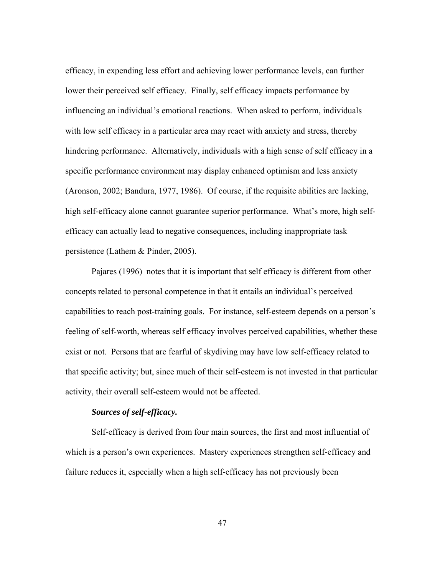efficacy, in expending less effort and achieving lower performance levels, can further lower their perceived self efficacy. Finally, self efficacy impacts performance by influencing an individual's emotional reactions. When asked to perform, individuals with low self efficacy in a particular area may react with anxiety and stress, thereby hindering performance. Alternatively, individuals with a high sense of self efficacy in a specific performance environment may display enhanced optimism and less anxiety (Aronson, 2002; Bandura, 1977, 1986). Of course, if the requisite abilities are lacking, high self-efficacy alone cannot guarantee superior performance. What's more, high selfefficacy can actually lead to negative consequences, including inappropriate task persistence (Lathem & Pinder, 2005).

Pajares (1996) notes that it is important that self efficacy is different from other concepts related to personal competence in that it entails an individual's perceived capabilities to reach post-training goals. For instance, self-esteem depends on a person's feeling of self-worth, whereas self efficacy involves perceived capabilities, whether these exist or not. Persons that are fearful of skydiving may have low self-efficacy related to that specific activity; but, since much of their self-esteem is not invested in that particular activity, their overall self-esteem would not be affected.

## *Sources of self-efficacy.*

Self-efficacy is derived from four main sources, the first and most influential of which is a person's own experiences. Mastery experiences strengthen self-efficacy and failure reduces it, especially when a high self-efficacy has not previously been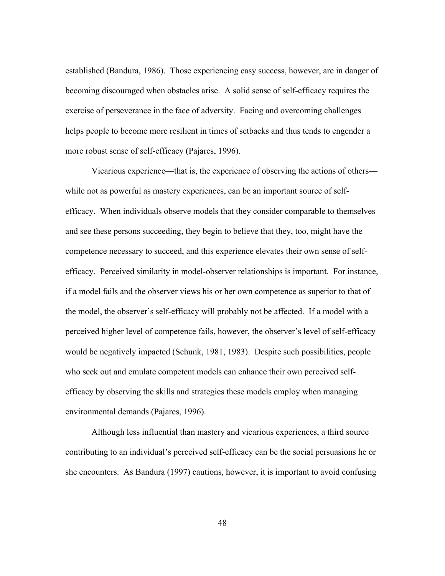established (Bandura, 1986). Those experiencing easy success, however, are in danger of becoming discouraged when obstacles arise. A solid sense of self-efficacy requires the exercise of perseverance in the face of adversity. Facing and overcoming challenges helps people to become more resilient in times of setbacks and thus tends to engender a more robust sense of self-efficacy (Pajares, 1996).

Vicarious experience—that is, the experience of observing the actions of others while not as powerful as mastery experiences, can be an important source of selfefficacy. When individuals observe models that they consider comparable to themselves and see these persons succeeding, they begin to believe that they, too, might have the competence necessary to succeed, and this experience elevates their own sense of selfefficacy. Perceived similarity in model-observer relationships is important. For instance, if a model fails and the observer views his or her own competence as superior to that of the model, the observer's self-efficacy will probably not be affected. If a model with a perceived higher level of competence fails, however, the observer's level of self-efficacy would be negatively impacted (Schunk, 1981, 1983). Despite such possibilities, people who seek out and emulate competent models can enhance their own perceived selfefficacy by observing the skills and strategies these models employ when managing environmental demands (Pajares, 1996).

Although less influential than mastery and vicarious experiences, a third source contributing to an individual's perceived self-efficacy can be the social persuasions he or she encounters. As Bandura (1997) cautions, however, it is important to avoid confusing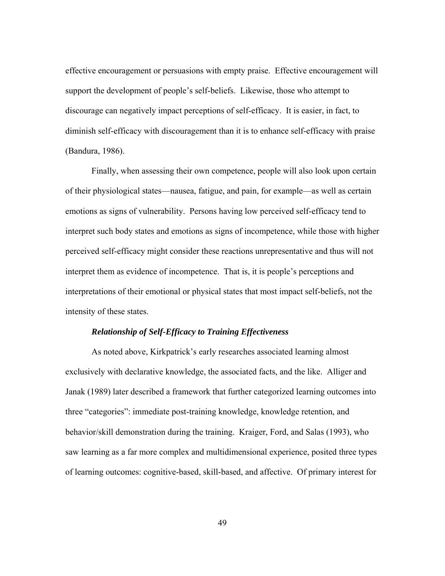effective encouragement or persuasions with empty praise. Effective encouragement will support the development of people's self-beliefs. Likewise, those who attempt to discourage can negatively impact perceptions of self-efficacy. It is easier, in fact, to diminish self-efficacy with discouragement than it is to enhance self-efficacy with praise (Bandura, 1986).

Finally, when assessing their own competence, people will also look upon certain of their physiological states—nausea, fatigue, and pain, for example—as well as certain emotions as signs of vulnerability. Persons having low perceived self-efficacy tend to interpret such body states and emotions as signs of incompetence, while those with higher perceived self-efficacy might consider these reactions unrepresentative and thus will not interpret them as evidence of incompetence. That is, it is people's perceptions and interpretations of their emotional or physical states that most impact self-beliefs, not the intensity of these states.

## *Relationship of Self-Efficacy to Training Effectiveness*

As noted above, Kirkpatrick's early researches associated learning almost exclusively with declarative knowledge, the associated facts, and the like. Alliger and Janak (1989) later described a framework that further categorized learning outcomes into three "categories": immediate post-training knowledge, knowledge retention, and behavior/skill demonstration during the training. Kraiger, Ford, and Salas (1993), who saw learning as a far more complex and multidimensional experience, posited three types of learning outcomes: cognitive-based, skill-based, and affective. Of primary interest for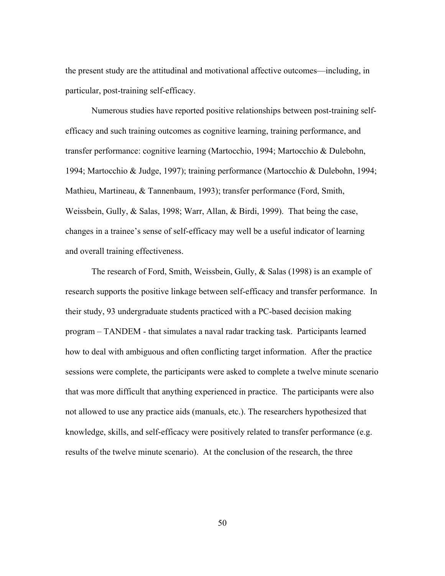the present study are the attitudinal and motivational affective outcomes—including, in particular, post-training self-efficacy.

Numerous studies have reported positive relationships between post-training selfefficacy and such training outcomes as cognitive learning, training performance, and transfer performance: cognitive learning (Martocchio, 1994; Martocchio & Dulebohn, 1994; Martocchio & Judge, 1997); training performance (Martocchio & Dulebohn, 1994; Mathieu, Martineau, & Tannenbaum, 1993); transfer performance (Ford, Smith, Weissbein, Gully, & Salas, 1998; Warr, Allan, & Birdi, 1999). That being the case, changes in a trainee's sense of self-efficacy may well be a useful indicator of learning and overall training effectiveness.

The research of Ford, Smith, Weissbein, Gully, & Salas (1998) is an example of research supports the positive linkage between self-efficacy and transfer performance. In their study, 93 undergraduate students practiced with a PC-based decision making program – TANDEM - that simulates a naval radar tracking task. Participants learned how to deal with ambiguous and often conflicting target information. After the practice sessions were complete, the participants were asked to complete a twelve minute scenario that was more difficult that anything experienced in practice. The participants were also not allowed to use any practice aids (manuals, etc.). The researchers hypothesized that knowledge, skills, and self-efficacy were positively related to transfer performance (e.g. results of the twelve minute scenario). At the conclusion of the research, the three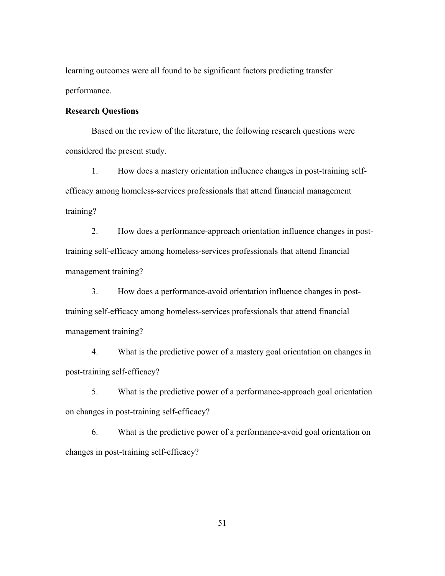learning outcomes were all found to be significant factors predicting transfer performance.

## **Research Questions**

Based on the review of the literature, the following research questions were considered the present study.

1. How does a mastery orientation influence changes in post-training selfefficacy among homeless-services professionals that attend financial management training?

2. How does a performance-approach orientation influence changes in posttraining self-efficacy among homeless-services professionals that attend financial management training?

3. How does a performance-avoid orientation influence changes in posttraining self-efficacy among homeless-services professionals that attend financial management training?

4. What is the predictive power of a mastery goal orientation on changes in post-training self-efficacy?

5. What is the predictive power of a performance-approach goal orientation on changes in post-training self-efficacy?

6. What is the predictive power of a performance-avoid goal orientation on changes in post-training self-efficacy?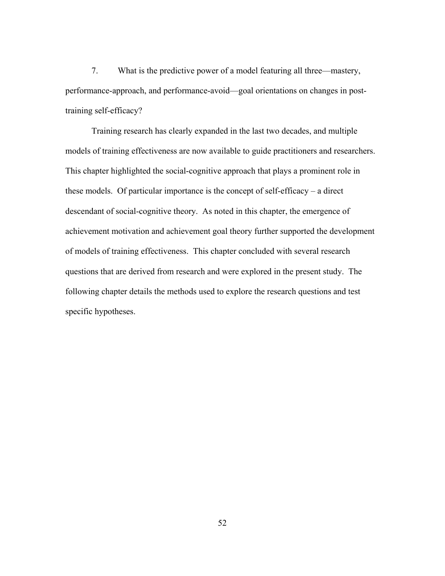7. What is the predictive power of a model featuring all three—mastery, performance-approach, and performance-avoid—goal orientations on changes in posttraining self-efficacy?

Training research has clearly expanded in the last two decades, and multiple models of training effectiveness are now available to guide practitioners and researchers. This chapter highlighted the social-cognitive approach that plays a prominent role in these models. Of particular importance is the concept of self-efficacy – a direct descendant of social-cognitive theory. As noted in this chapter, the emergence of achievement motivation and achievement goal theory further supported the development of models of training effectiveness. This chapter concluded with several research questions that are derived from research and were explored in the present study. The following chapter details the methods used to explore the research questions and test specific hypotheses.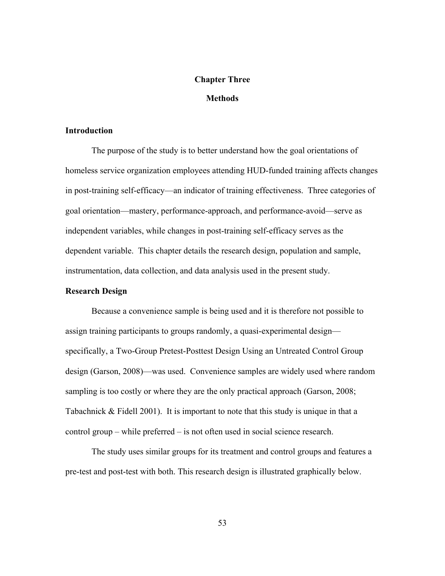## **Chapter Three**

### **Methods**

#### **Introduction**

The purpose of the study is to better understand how the goal orientations of homeless service organization employees attending HUD-funded training affects changes in post-training self-efficacy—an indicator of training effectiveness. Three categories of goal orientation—mastery, performance-approach, and performance-avoid—serve as independent variables, while changes in post-training self-efficacy serves as the dependent variable. This chapter details the research design, population and sample, instrumentation, data collection, and data analysis used in the present study.

### **Research Design**

Because a convenience sample is being used and it is therefore not possible to assign training participants to groups randomly, a quasi-experimental design specifically, a Two-Group Pretest-Posttest Design Using an Untreated Control Group design (Garson, 2008)—was used. Convenience samples are widely used where random sampling is too costly or where they are the only practical approach (Garson, 2008; Tabachnick & Fidell 2001). It is important to note that this study is unique in that a control group – while preferred – is not often used in social science research.

The study uses similar groups for its treatment and control groups and features a pre-test and post-test with both. This research design is illustrated graphically below.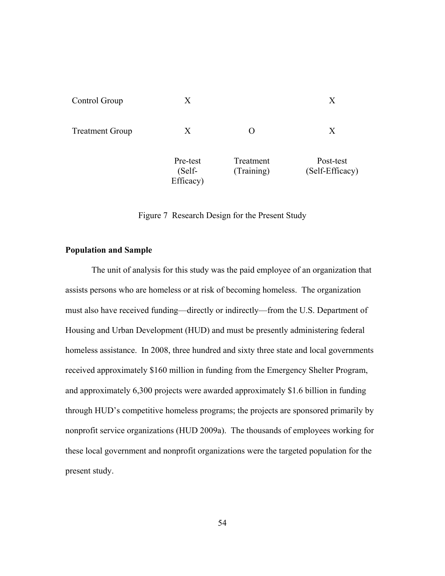| Control Group          | X                               |                         | Χ                            |
|------------------------|---------------------------------|-------------------------|------------------------------|
| <b>Treatment Group</b> | X                               |                         | Χ                            |
|                        | Pre-test<br>(Self-<br>Efficacy) | Treatment<br>(Training) | Post-test<br>(Self-Efficacy) |

Figure 7 Research Design for the Present Study

# **Population and Sample**

The unit of analysis for this study was the paid employee of an organization that assists persons who are homeless or at risk of becoming homeless. The organization must also have received funding—directly or indirectly—from the U.S. Department of Housing and Urban Development (HUD) and must be presently administering federal homeless assistance. In 2008, three hundred and sixty three state and local governments received approximately \$160 million in funding from the Emergency Shelter Program, and approximately 6,300 projects were awarded approximately \$1.6 billion in funding through HUD's competitive homeless programs; the projects are sponsored primarily by nonprofit service organizations (HUD 2009a). The thousands of employees working for these local government and nonprofit organizations were the targeted population for the present study.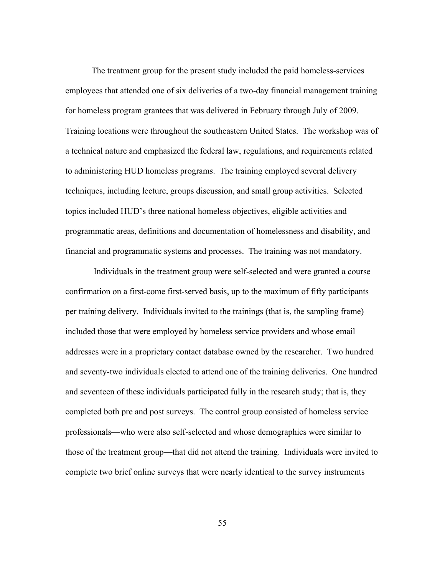The treatment group for the present study included the paid homeless-services employees that attended one of six deliveries of a two-day financial management training for homeless program grantees that was delivered in February through July of 2009. Training locations were throughout the southeastern United States. The workshop was of a technical nature and emphasized the federal law, regulations, and requirements related to administering HUD homeless programs. The training employed several delivery techniques, including lecture, groups discussion, and small group activities. Selected topics included HUD's three national homeless objectives, eligible activities and programmatic areas, definitions and documentation of homelessness and disability, and financial and programmatic systems and processes. The training was not mandatory.

 Individuals in the treatment group were self-selected and were granted a course confirmation on a first-come first-served basis, up to the maximum of fifty participants per training delivery. Individuals invited to the trainings (that is, the sampling frame) included those that were employed by homeless service providers and whose email addresses were in a proprietary contact database owned by the researcher. Two hundred and seventy-two individuals elected to attend one of the training deliveries. One hundred and seventeen of these individuals participated fully in the research study; that is, they completed both pre and post surveys. The control group consisted of homeless service professionals—who were also self-selected and whose demographics were similar to those of the treatment group—that did not attend the training. Individuals were invited to complete two brief online surveys that were nearly identical to the survey instruments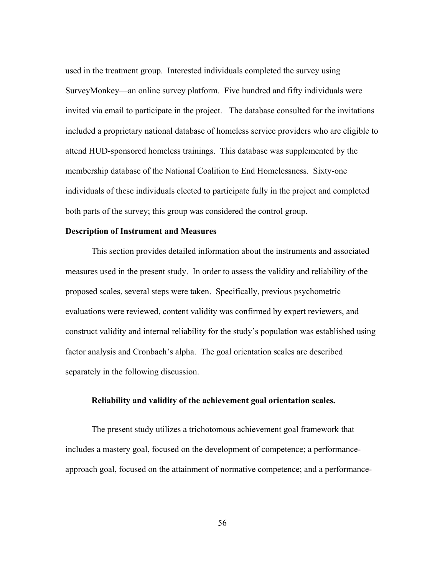used in the treatment group. Interested individuals completed the survey using SurveyMonkey—an online survey platform. Five hundred and fifty individuals were invited via email to participate in the project. The database consulted for the invitations included a proprietary national database of homeless service providers who are eligible to attend HUD-sponsored homeless trainings. This database was supplemented by the membership database of the National Coalition to End Homelessness. Sixty-one individuals of these individuals elected to participate fully in the project and completed both parts of the survey; this group was considered the control group.

#### **Description of Instrument and Measures**

This section provides detailed information about the instruments and associated measures used in the present study. In order to assess the validity and reliability of the proposed scales, several steps were taken. Specifically, previous psychometric evaluations were reviewed, content validity was confirmed by expert reviewers, and construct validity and internal reliability for the study's population was established using factor analysis and Cronbach's alpha. The goal orientation scales are described separately in the following discussion.

#### **Reliability and validity of the achievement goal orientation scales.**

The present study utilizes a trichotomous achievement goal framework that includes a mastery goal, focused on the development of competence; a performanceapproach goal, focused on the attainment of normative competence; and a performance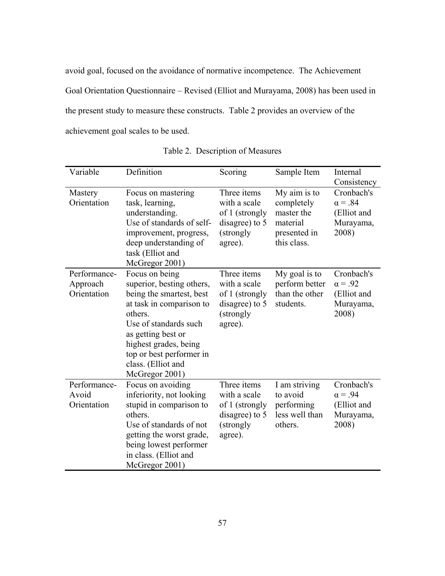avoid goal, focused on the avoidance of normative incompetence. The Achievement Goal Orientation Questionnaire – Revised (Elliot and Murayama, 2008) has been used in the present study to measure these constructs. Table 2 provides an overview of the achievement goal scales to be used.

| Variable                                | Definition                                                                                                                                                                                                                                                 | Scoring                                                                                  | Sample Item                                                                         | Internal<br>Consistency                                           |
|-----------------------------------------|------------------------------------------------------------------------------------------------------------------------------------------------------------------------------------------------------------------------------------------------------------|------------------------------------------------------------------------------------------|-------------------------------------------------------------------------------------|-------------------------------------------------------------------|
| Mastery<br>Orientation                  | Focus on mastering<br>task, learning,<br>understanding.<br>Use of standards of self-<br>improvement, progress,<br>deep understanding of<br>task (Elliot and<br>McGregor 2001)                                                                              | Three items<br>with a scale<br>of 1 (strongly<br>disagree) to 5<br>(strongly<br>agree).  | My aim is to<br>completely<br>master the<br>material<br>presented in<br>this class. | Cronbach's<br>$\alpha = .84$<br>(Elliot and<br>Murayama,<br>2008) |
| Performance-<br>Approach<br>Orientation | Focus on being<br>superior, besting others,<br>being the smartest, best<br>at task in comparison to<br>others.<br>Use of standards such<br>as getting best or<br>highest grades, being<br>top or best performer in<br>class. (Elliot and<br>McGregor 2001) | Three items<br>with a scale<br>of 1 (strongly<br>disagree) to 5<br>(strongly)<br>agree). | My goal is to<br>perform better<br>than the other<br>students.                      | Cronbach's<br>$\alpha = .92$<br>(Elliot and<br>Murayama,<br>2008) |
| Performance-<br>Avoid<br>Orientation    | Focus on avoiding<br>inferiority, not looking<br>stupid in comparison to<br>others.<br>Use of standards of not<br>getting the worst grade,<br>being lowest performer<br>in class. (Elliot and<br>McGregor 2001)                                            | Three items<br>with a scale<br>of 1 (strongly<br>disagree) to 5<br>(strongly<br>agree).  | I am striving<br>to avoid<br>performing<br>less well than<br>others.                | Cronbach's<br>$\alpha = .94$<br>(Elliot and<br>Murayama,<br>2008) |

| Table 2. Description of Measures |  |  |  |  |
|----------------------------------|--|--|--|--|
|----------------------------------|--|--|--|--|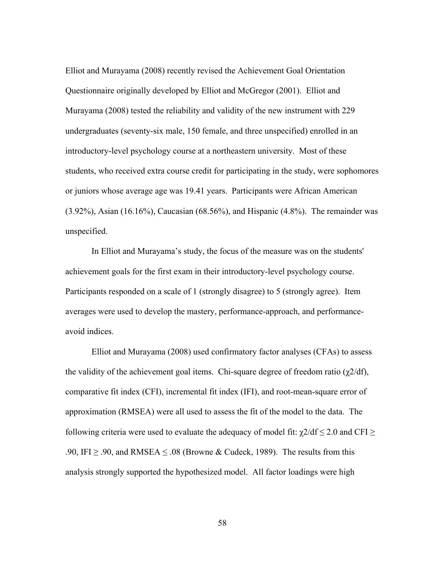Elliot and Murayama (2008) recently revised the Achievement Goal Orientation Questionnaire originally developed by Elliot and McGregor (2001). Elliot and Murayama (2008) tested the reliability and validity of the new instrument with 229 undergraduates (seventy-six male, 150 female, and three unspecified) enrolled in an introductory-level psychology course at a northeastern university. Most of these students, who received extra course credit for participating in the study, were sophomores or juniors whose average age was 19.41 years. Participants were African American  $(3.92\%)$ , Asian  $(16.16\%)$ , Caucasian  $(68.56\%)$ , and Hispanic  $(4.8\%)$ . The remainder was unspecified.

In Elliot and Murayama's study, the focus of the measure was on the students' achievement goals for the first exam in their introductory-level psychology course. Participants responded on a scale of 1 (strongly disagree) to 5 (strongly agree). Item averages were used to develop the mastery, performance-approach, and performanceavoid indices.

Elliot and Murayama (2008) used confirmatory factor analyses (CFAs) to assess the validity of the achievement goal items. Chi-square degree of freedom ratio  $(\gamma/2/df)$ , comparative fit index (CFI), incremental fit index (IFI), and root-mean-square error of approximation (RMSEA) were all used to assess the fit of the model to the data. The following criteria were used to evaluate the adequacy of model fit:  $\chi$ 2/df  $\leq$  2.0 and CFI  $\geq$ .90, IFI  $\geq$  .90, and RMSEA  $\leq$  .08 (Browne & Cudeck, 1989). The results from this analysis strongly supported the hypothesized model. All factor loadings were high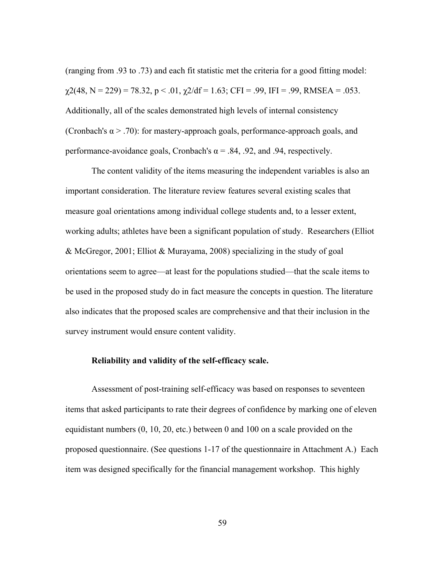(ranging from .93 to .73) and each fit statistic met the criteria for a good fitting model:  $\chi$ 2(48, N = 229) = 78.32, p < .01,  $\chi$ 2/df = 1.63; CFI = .99, IFI = .99, RMSEA = .053. Additionally, all of the scales demonstrated high levels of internal consistency (Cronbach's  $\alpha$  > .70): for mastery-approach goals, performance-approach goals, and performance-avoidance goals, Cronbach's  $\alpha$  = .84, .92, and .94, respectively.

The content validity of the items measuring the independent variables is also an important consideration. The literature review features several existing scales that measure goal orientations among individual college students and, to a lesser extent, working adults; athletes have been a significant population of study. Researchers (Elliot & McGregor, 2001; Elliot & Murayama, 2008) specializing in the study of goal orientations seem to agree—at least for the populations studied—that the scale items to be used in the proposed study do in fact measure the concepts in question. The literature also indicates that the proposed scales are comprehensive and that their inclusion in the survey instrument would ensure content validity.

#### **Reliability and validity of the self-efficacy scale.**

Assessment of post-training self-efficacy was based on responses to seventeen items that asked participants to rate their degrees of confidence by marking one of eleven equidistant numbers (0, 10, 20, etc.) between 0 and 100 on a scale provided on the proposed questionnaire. (See questions 1-17 of the questionnaire in Attachment A.) Each item was designed specifically for the financial management workshop. This highly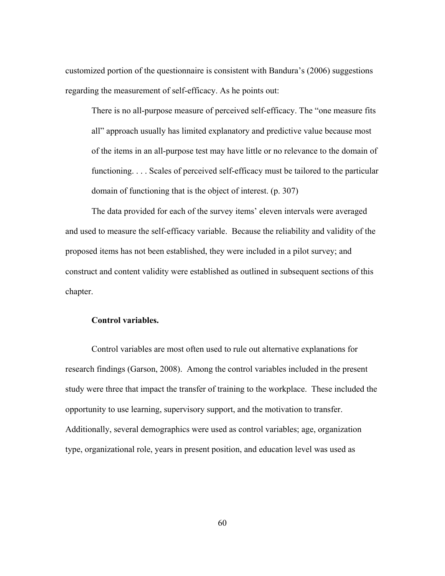customized portion of the questionnaire is consistent with Bandura's (2006) suggestions regarding the measurement of self-efficacy. As he points out:

There is no all-purpose measure of perceived self-efficacy. The "one measure fits all" approach usually has limited explanatory and predictive value because most of the items in an all-purpose test may have little or no relevance to the domain of functioning. . . . Scales of perceived self-efficacy must be tailored to the particular domain of functioning that is the object of interest. (p. 307)

 The data provided for each of the survey items' eleven intervals were averaged and used to measure the self-efficacy variable. Because the reliability and validity of the proposed items has not been established, they were included in a pilot survey; and construct and content validity were established as outlined in subsequent sections of this chapter.

# **Control variables.**

Control variables are most often used to rule out alternative explanations for research findings (Garson, 2008). Among the control variables included in the present study were three that impact the transfer of training to the workplace. These included the opportunity to use learning, supervisory support, and the motivation to transfer. Additionally, several demographics were used as control variables; age, organization type, organizational role, years in present position, and education level was used as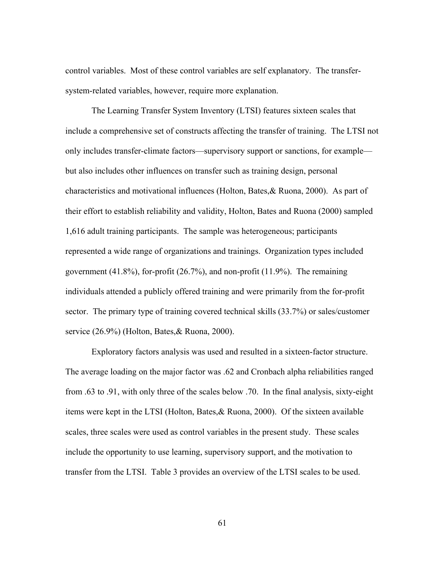control variables. Most of these control variables are self explanatory. The transfersystem-related variables, however, require more explanation.

The Learning Transfer System Inventory (LTSI) features sixteen scales that include a comprehensive set of constructs affecting the transfer of training. The LTSI not only includes transfer-climate factors—supervisory support or sanctions, for example but also includes other influences on transfer such as training design, personal characteristics and motivational influences (Holton, Bates,& Ruona, 2000). As part of their effort to establish reliability and validity, Holton, Bates and Ruona (2000) sampled 1,616 adult training participants. The sample was heterogeneous; participants represented a wide range of organizations and trainings. Organization types included government (41.8%), for-profit (26.7%), and non-profit (11.9%). The remaining individuals attended a publicly offered training and were primarily from the for-profit sector. The primary type of training covered technical skills  $(33.7%)$  or sales/customer service (26.9%) (Holton, Bates,& Ruona, 2000).

Exploratory factors analysis was used and resulted in a sixteen-factor structure. The average loading on the major factor was .62 and Cronbach alpha reliabilities ranged from .63 to .91, with only three of the scales below .70. In the final analysis, sixty-eight items were kept in the LTSI (Holton, Bates,& Ruona, 2000). Of the sixteen available scales, three scales were used as control variables in the present study. These scales include the opportunity to use learning, supervisory support, and the motivation to transfer from the LTSI. Table 3 provides an overview of the LTSI scales to be used.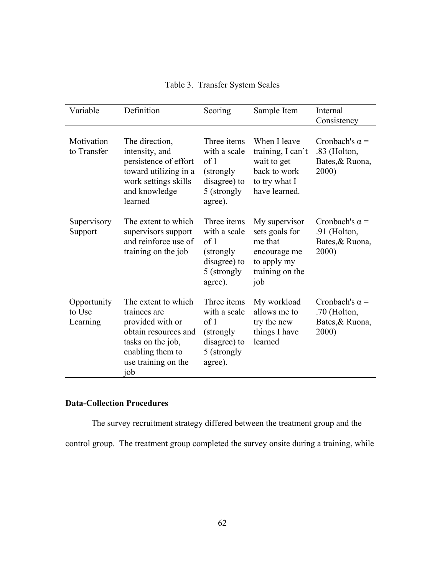| Variable                          | Definition                                                                                                                                             | Scoring                                                                                     | Sample Item                                                                                         | Internal<br>Consistency                                           |
|-----------------------------------|--------------------------------------------------------------------------------------------------------------------------------------------------------|---------------------------------------------------------------------------------------------|-----------------------------------------------------------------------------------------------------|-------------------------------------------------------------------|
| Motivation<br>to Transfer         | The direction,<br>intensity, and<br>persistence of effort<br>toward utilizing in a<br>work settings skills<br>and knowledge<br>learned                 | Three items<br>with a scale<br>of 1<br>(strongly)<br>disagree) to<br>5 (strongly<br>agree). | When I leave<br>training, I can't<br>wait to get<br>back to work<br>to try what I<br>have learned.  | Cronbach's $\alpha$ =<br>.83 (Holton,<br>Bates, & Ruona,<br>2000) |
| Supervisory<br>Support            | The extent to which<br>supervisors support<br>and reinforce use of<br>training on the job                                                              | Three items<br>with a scale<br>of 1<br>(strongly)<br>disagree) to<br>5 (strongly<br>agree). | My supervisor<br>sets goals for<br>me that<br>encourage me<br>to apply my<br>training on the<br>job | Cronbach's $\alpha$ =<br>.91 (Holton,<br>Bates, & Ruona,<br>2000) |
| Opportunity<br>to Use<br>Learning | The extent to which<br>trainees are<br>provided with or<br>obtain resources and<br>tasks on the job,<br>enabling them to<br>use training on the<br>job | Three items<br>with a scale<br>of 1<br>(strongly)<br>disagree) to<br>5 (strongly<br>agree). | My workload<br>allows me to<br>try the new<br>things I have<br>learned                              | Cronbach's $\alpha$ =<br>.70 (Holton,<br>Bates, & Ruona,<br>2000) |

Table 3. Transfer System Scales

# **Data-Collection Procedures**

The survey recruitment strategy differed between the treatment group and the

control group. The treatment group completed the survey onsite during a training, while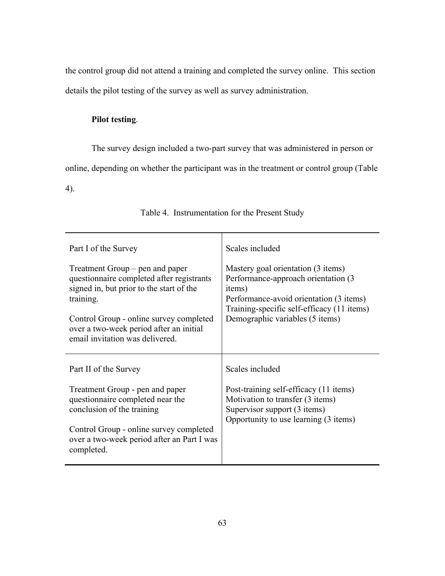the control group did not attend a training and completed the survey online. This section details the pilot testing of the survey as well as survey administration.

# **Pilot testing**.

The survey design included a two-part survey that was administered in person or

online, depending on whether the participant was in the treatment or control group (Table

4).

| Part I of the Survey                                                                                                                                                                                                                                           | Scales included                                                                                                                                                                                                  |  |  |
|----------------------------------------------------------------------------------------------------------------------------------------------------------------------------------------------------------------------------------------------------------------|------------------------------------------------------------------------------------------------------------------------------------------------------------------------------------------------------------------|--|--|
| Treatment Group – pen and paper<br>questionnaire completed after registrants<br>signed in, but prior to the start of the<br>training.<br>Control Group - online survey completed<br>over a two-week period after an initial<br>email invitation was delivered. | Mastery goal orientation (3 items)<br>Performance-approach orientation (3)<br>items)<br>Performance-avoid orientation (3 items)<br>Training-specific self-efficacy (11 items)<br>Demographic variables (5 items) |  |  |
| Part II of the Survey                                                                                                                                                                                                                                          | Scales included                                                                                                                                                                                                  |  |  |
| Treatment Group - pen and paper<br>questionnaire completed near the<br>conclusion of the training<br>Control Group - online survey completed<br>over a two-week period after an Part I was<br>completed.                                                       | Post-training self-efficacy (11 items)<br>Motivation to transfer (3 items)<br>Supervisor support (3 items)<br>Opportunity to use learning (3 items)                                                              |  |  |

# Table 4. Instrumentation for the Present Study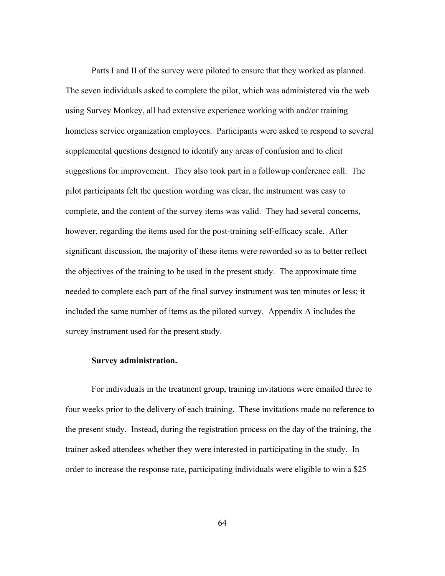Parts I and II of the survey were piloted to ensure that they worked as planned. The seven individuals asked to complete the pilot, which was administered via the web using Survey Monkey, all had extensive experience working with and/or training homeless service organization employees. Participants were asked to respond to several supplemental questions designed to identify any areas of confusion and to elicit suggestions for improvement. They also took part in a followup conference call. The pilot participants felt the question wording was clear, the instrument was easy to complete, and the content of the survey items was valid. They had several concerns, however, regarding the items used for the post-training self-efficacy scale. After significant discussion, the majority of these items were reworded so as to better reflect the objectives of the training to be used in the present study. The approximate time needed to complete each part of the final survey instrument was ten minutes or less; it included the same number of items as the piloted survey. Appendix A includes the survey instrument used for the present study.

#### **Survey administration.**

For individuals in the treatment group, training invitations were emailed three to four weeks prior to the delivery of each training. These invitations made no reference to the present study. Instead, during the registration process on the day of the training, the trainer asked attendees whether they were interested in participating in the study. In order to increase the response rate, participating individuals were eligible to win a \$25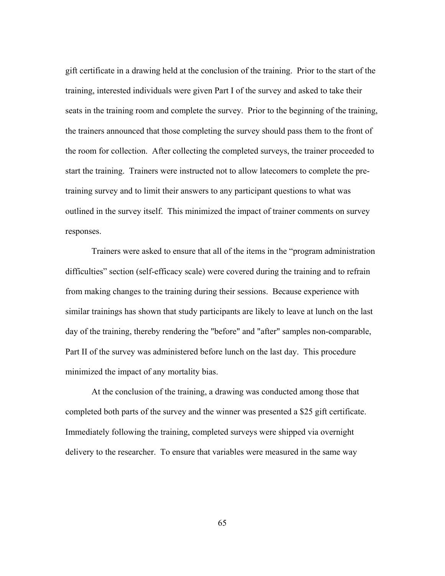gift certificate in a drawing held at the conclusion of the training. Prior to the start of the training, interested individuals were given Part I of the survey and asked to take their seats in the training room and complete the survey. Prior to the beginning of the training, the trainers announced that those completing the survey should pass them to the front of the room for collection. After collecting the completed surveys, the trainer proceeded to start the training. Trainers were instructed not to allow latecomers to complete the pretraining survey and to limit their answers to any participant questions to what was outlined in the survey itself. This minimized the impact of trainer comments on survey responses.

Trainers were asked to ensure that all of the items in the "program administration difficulties" section (self-efficacy scale) were covered during the training and to refrain from making changes to the training during their sessions. Because experience with similar trainings has shown that study participants are likely to leave at lunch on the last day of the training, thereby rendering the "before" and "after" samples non-comparable, Part II of the survey was administered before lunch on the last day. This procedure minimized the impact of any mortality bias.

At the conclusion of the training, a drawing was conducted among those that completed both parts of the survey and the winner was presented a \$25 gift certificate. Immediately following the training, completed surveys were shipped via overnight delivery to the researcher. To ensure that variables were measured in the same way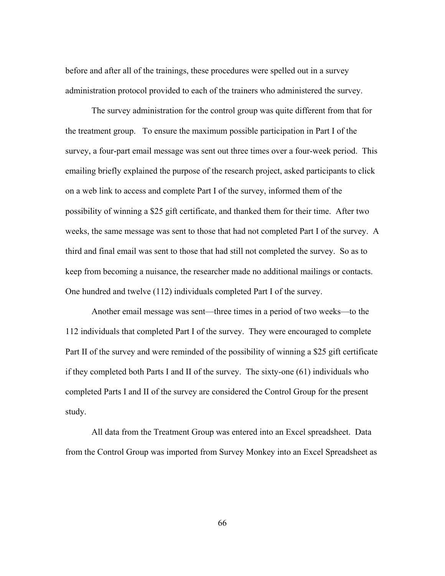before and after all of the trainings, these procedures were spelled out in a survey administration protocol provided to each of the trainers who administered the survey.

The survey administration for the control group was quite different from that for the treatment group. To ensure the maximum possible participation in Part I of the survey, a four-part email message was sent out three times over a four-week period. This emailing briefly explained the purpose of the research project, asked participants to click on a web link to access and complete Part I of the survey, informed them of the possibility of winning a \$25 gift certificate, and thanked them for their time. After two weeks, the same message was sent to those that had not completed Part I of the survey. A third and final email was sent to those that had still not completed the survey. So as to keep from becoming a nuisance, the researcher made no additional mailings or contacts. One hundred and twelve (112) individuals completed Part I of the survey.

Another email message was sent—three times in a period of two weeks—to the 112 individuals that completed Part I of the survey. They were encouraged to complete Part II of the survey and were reminded of the possibility of winning a \$25 gift certificate if they completed both Parts I and II of the survey. The sixty-one (61) individuals who completed Parts I and II of the survey are considered the Control Group for the present study.

All data from the Treatment Group was entered into an Excel spreadsheet. Data from the Control Group was imported from Survey Monkey into an Excel Spreadsheet as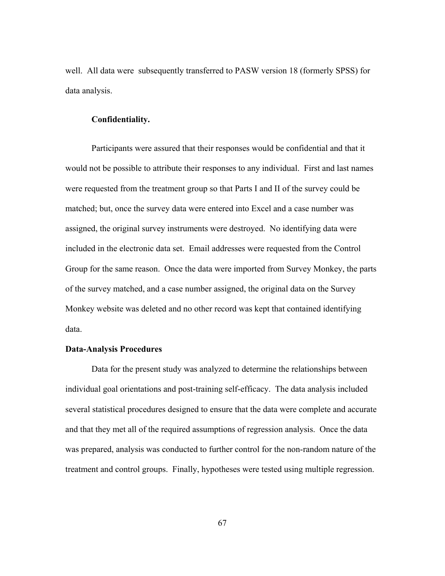well. All data were subsequently transferred to PASW version 18 (formerly SPSS) for data analysis.

## **Confidentiality.**

Participants were assured that their responses would be confidential and that it would not be possible to attribute their responses to any individual. First and last names were requested from the treatment group so that Parts I and II of the survey could be matched; but, once the survey data were entered into Excel and a case number was assigned, the original survey instruments were destroyed. No identifying data were included in the electronic data set. Email addresses were requested from the Control Group for the same reason. Once the data were imported from Survey Monkey, the parts of the survey matched, and a case number assigned, the original data on the Survey Monkey website was deleted and no other record was kept that contained identifying data.

## **Data-Analysis Procedures**

Data for the present study was analyzed to determine the relationships between individual goal orientations and post-training self-efficacy. The data analysis included several statistical procedures designed to ensure that the data were complete and accurate and that they met all of the required assumptions of regression analysis. Once the data was prepared, analysis was conducted to further control for the non-random nature of the treatment and control groups. Finally, hypotheses were tested using multiple regression.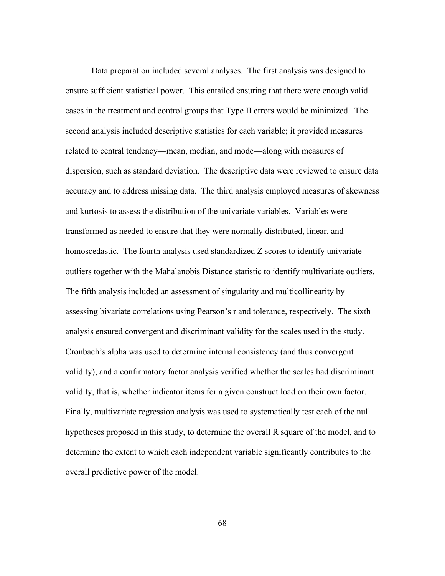Data preparation included several analyses. The first analysis was designed to ensure sufficient statistical power. This entailed ensuring that there were enough valid cases in the treatment and control groups that Type II errors would be minimized. The second analysis included descriptive statistics for each variable; it provided measures related to central tendency—mean, median, and mode—along with measures of dispersion, such as standard deviation. The descriptive data were reviewed to ensure data accuracy and to address missing data. The third analysis employed measures of skewness and kurtosis to assess the distribution of the univariate variables. Variables were transformed as needed to ensure that they were normally distributed, linear, and homoscedastic. The fourth analysis used standardized Z scores to identify univariate outliers together with the Mahalanobis Distance statistic to identify multivariate outliers. The fifth analysis included an assessment of singularity and multicollinearity by assessing bivariate correlations using Pearson's r and tolerance, respectively. The sixth analysis ensured convergent and discriminant validity for the scales used in the study. Cronbach's alpha was used to determine internal consistency (and thus convergent validity), and a confirmatory factor analysis verified whether the scales had discriminant validity, that is, whether indicator items for a given construct load on their own factor. Finally, multivariate regression analysis was used to systematically test each of the null hypotheses proposed in this study, to determine the overall R square of the model, and to determine the extent to which each independent variable significantly contributes to the overall predictive power of the model.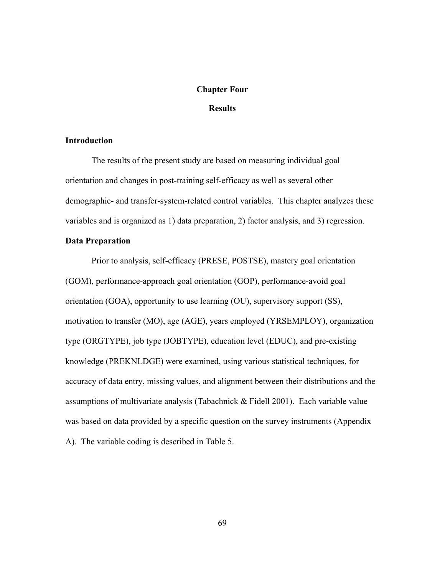## **Chapter Four**

# **Results**

## **Introduction**

 The results of the present study are based on measuring individual goal orientation and changes in post-training self-efficacy as well as several other demographic- and transfer-system-related control variables. This chapter analyzes these variables and is organized as 1) data preparation, 2) factor analysis, and 3) regression.

# **Data Preparation**

Prior to analysis, self-efficacy (PRESE, POSTSE), mastery goal orientation (GOM), performance-approach goal orientation (GOP), performance-avoid goal orientation (GOA), opportunity to use learning (OU), supervisory support (SS), motivation to transfer (MO), age (AGE), years employed (YRSEMPLOY), organization type (ORGTYPE), job type (JOBTYPE), education level (EDUC), and pre-existing knowledge (PREKNLDGE) were examined, using various statistical techniques, for accuracy of data entry, missing values, and alignment between their distributions and the assumptions of multivariate analysis (Tabachnick & Fidell 2001). Each variable value was based on data provided by a specific question on the survey instruments (Appendix A). The variable coding is described in Table 5.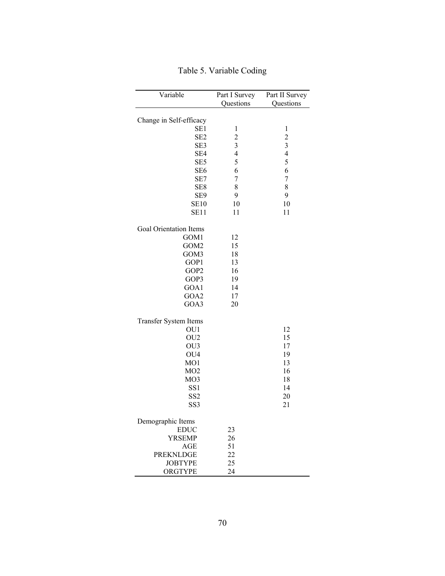| Variable                | Part I Survey           | Part II Survey           |
|-------------------------|-------------------------|--------------------------|
|                         | Questions               | Questions                |
|                         |                         |                          |
| Change in Self-efficacy |                         |                          |
| SE1                     | 1                       | 1                        |
| SE <sub>2</sub>         | $\overline{\mathbf{c}}$ | $\overline{c}$           |
| SE3                     | $\overline{\mathbf{3}}$ | 3                        |
| SE4                     | $\overline{\mathbf{4}}$ | $\overline{\mathcal{A}}$ |
| SE <sub>5</sub>         | 5                       | 5                        |
| SE <sub>6</sub>         | 6                       | 6                        |
| SE7                     | 7                       | 7                        |
| SE8                     | 8                       | 8                        |
| SE9                     | 9                       | 9                        |
| <b>SE10</b>             | 10                      | 10                       |
| SE11                    | 11                      | 11                       |
| Goal Orientation Items  |                         |                          |
| GOM1                    | 12                      |                          |
| GOM <sub>2</sub>        | 15                      |                          |
| GOM3                    | 18                      |                          |
| GOP1                    | 13                      |                          |
| GOP2                    | 16                      |                          |
| GOP3                    | 19                      |                          |
| GOA1                    | 14                      |                          |
| GOA2                    | 17                      |                          |
| GOA3                    | 20                      |                          |
| Transfer System Items   |                         |                          |
| OU1                     |                         | 12                       |
| OU <sub>2</sub>         |                         | 15                       |
| OU3                     |                         | 17                       |
| OU <sub>4</sub>         |                         | 19                       |
| MO1                     |                         | 13                       |
| MO2                     |                         | 16                       |
| MO <sub>3</sub>         |                         | 18                       |
| SS <sub>1</sub>         |                         | 14                       |
| SS <sub>2</sub>         |                         | 20                       |
| SS <sub>3</sub>         |                         | 21                       |
| Demographic Items       |                         |                          |
| <b>EDUC</b>             | 23                      |                          |
| <b>YRSEMP</b>           | 26                      |                          |
| <b>AGE</b>              | 51                      |                          |
| <b>PREKNLDGE</b>        | 22                      |                          |
| <b>JOBTYPE</b>          | 25                      |                          |
| ORGTYPE                 | 24                      |                          |

Table 5. Variable Coding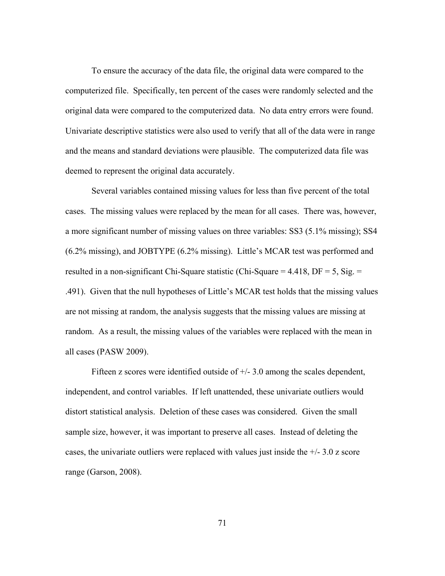To ensure the accuracy of the data file, the original data were compared to the computerized file. Specifically, ten percent of the cases were randomly selected and the original data were compared to the computerized data. No data entry errors were found. Univariate descriptive statistics were also used to verify that all of the data were in range and the means and standard deviations were plausible. The computerized data file was deemed to represent the original data accurately.

Several variables contained missing values for less than five percent of the total cases. The missing values were replaced by the mean for all cases. There was, however, a more significant number of missing values on three variables: SS3 (5.1% missing); SS4 (6.2% missing), and JOBTYPE (6.2% missing). Little's MCAR test was performed and resulted in a non-significant Chi-Square statistic (Chi-Square =  $4.418$ , DF =  $5$ , Sig. = .491). Given that the null hypotheses of Little's MCAR test holds that the missing values are not missing at random, the analysis suggests that the missing values are missing at random. As a result, the missing values of the variables were replaced with the mean in all cases (PASW 2009).

Fifteen z scores were identified outside of +/- 3.0 among the scales dependent, independent, and control variables. If left unattended, these univariate outliers would distort statistical analysis. Deletion of these cases was considered. Given the small sample size, however, it was important to preserve all cases. Instead of deleting the cases, the univariate outliers were replaced with values just inside the  $+/- 3.0$  z score range (Garson, 2008).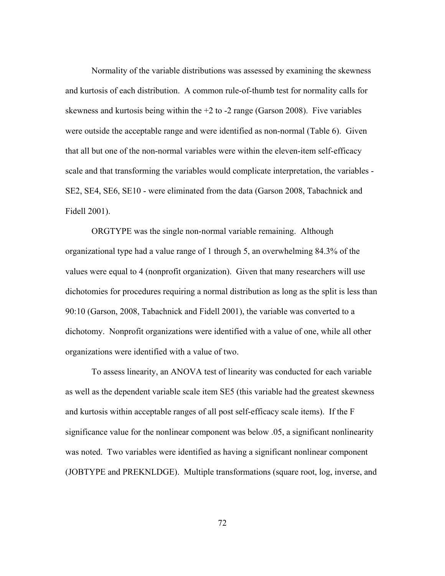Normality of the variable distributions was assessed by examining the skewness and kurtosis of each distribution. A common rule-of-thumb test for normality calls for skewness and kurtosis being within the  $+2$  to  $-2$  range (Garson 2008). Five variables were outside the acceptable range and were identified as non-normal (Table 6). Given that all but one of the non-normal variables were within the eleven-item self-efficacy scale and that transforming the variables would complicate interpretation, the variables - SE2, SE4, SE6, SE10 - were eliminated from the data (Garson 2008, Tabachnick and Fidell 2001).

ORGTYPE was the single non-normal variable remaining. Although organizational type had a value range of 1 through 5, an overwhelming 84.3% of the values were equal to 4 (nonprofit organization). Given that many researchers will use dichotomies for procedures requiring a normal distribution as long as the split is less than 90:10 (Garson, 2008, Tabachnick and Fidell 2001), the variable was converted to a dichotomy. Nonprofit organizations were identified with a value of one, while all other organizations were identified with a value of two.

To assess linearity, an ANOVA test of linearity was conducted for each variable as well as the dependent variable scale item SE5 (this variable had the greatest skewness and kurtosis within acceptable ranges of all post self-efficacy scale items). If the F significance value for the nonlinear component was below .05, a significant nonlinearity was noted. Two variables were identified as having a significant nonlinear component (JOBTYPE and PREKNLDGE). Multiple transformations (square root, log, inverse, and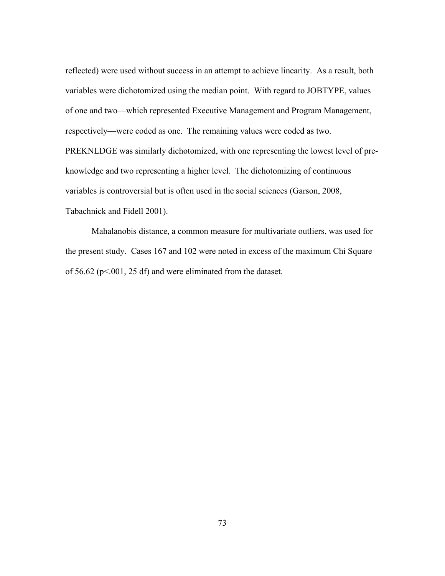reflected) were used without success in an attempt to achieve linearity. As a result, both variables were dichotomized using the median point. With regard to JOBTYPE, values of one and two—which represented Executive Management and Program Management, respectively—were coded as one. The remaining values were coded as two. PREKNLDGE was similarly dichotomized, with one representing the lowest level of preknowledge and two representing a higher level. The dichotomizing of continuous variables is controversial but is often used in the social sciences (Garson, 2008, Tabachnick and Fidell 2001).

Mahalanobis distance, a common measure for multivariate outliers, was used for the present study. Cases 167 and 102 were noted in excess of the maximum Chi Square of 56.62 ( $p<.001$ , 25 df) and were eliminated from the dataset.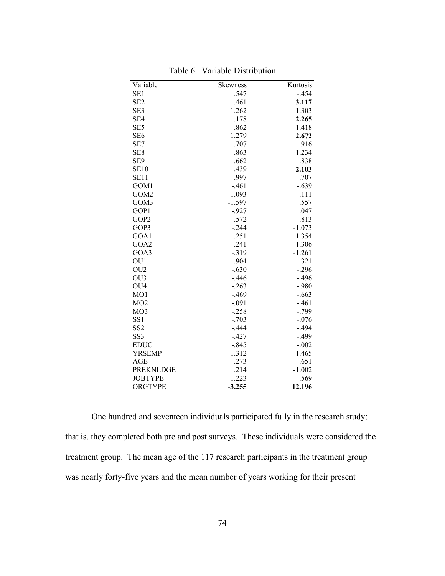| Variable         | Skewness | Kurtosis |
|------------------|----------|----------|
| SE1              | .547     | -.454    |
| SE <sub>2</sub>  | 1.461    | 3.117    |
| SE3              | 1.262    | 1.303    |
| SE4              | 1.178    | 2.265    |
| SE <sub>5</sub>  | .862     | 1.418    |
| SE <sub>6</sub>  | 1.279    | 2.672    |
| SE7              | .707     | .916     |
| SE8              | .863     | 1.234    |
| SE <sub>9</sub>  | .662     | .838     |
| <b>SE10</b>      | 1.439    | 2.103    |
| SE <sub>11</sub> | .997     | .707     |
| GOM1             | $-.461$  | $-.639$  |
| GOM2             | $-1.093$ | $-.111$  |
| GOM3             | $-1.597$ | .557     |
| GOP1             | $-927$   | .047     |
| GOP2             | $-.572$  | $-.813$  |
| GOP3             | $-.244$  | $-1.073$ |
| GOA1             | $-.251$  | $-1.354$ |
| GOA2             | $-.241$  | $-1.306$ |
| GOA3             | $-0.319$ | $-1.261$ |
| OU1              | $-.904$  | .321     |
| OU <sub>2</sub>  | $-.630$  | $-.296$  |
| OU <sub>3</sub>  | $-.446$  | $-.496$  |
| OU <sub>4</sub>  | $-.263$  | $-.980$  |
| MO1              | $-.469$  | $-.663$  |
| MO2              | $-.091$  | $-.461$  |
| MO <sub>3</sub>  | $-.258$  | $-.799$  |
| SS <sub>1</sub>  | $-.703$  | $-.076$  |
| SS <sub>2</sub>  | $-.444$  | $-.494$  |
| SS <sub>3</sub>  | $-.427$  | $-.499$  |
| <b>EDUC</b>      | $-.845$  | $-.002$  |
| YRSEMP           | 1.312    | 1.465    |
| AGE              | $-.273$  | $-.651$  |
| <b>PREKNLDGE</b> | .214     | $-1.002$ |
| <b>JOBTYPE</b>   | 1.223    | .569     |
| ORGTYPE          | $-3.255$ | 12.196   |

Table 6. Variable Distribution

One hundred and seventeen individuals participated fully in the research study; that is, they completed both pre and post surveys. These individuals were considered the treatment group. The mean age of the 117 research participants in the treatment group was nearly forty-five years and the mean number of years working for their present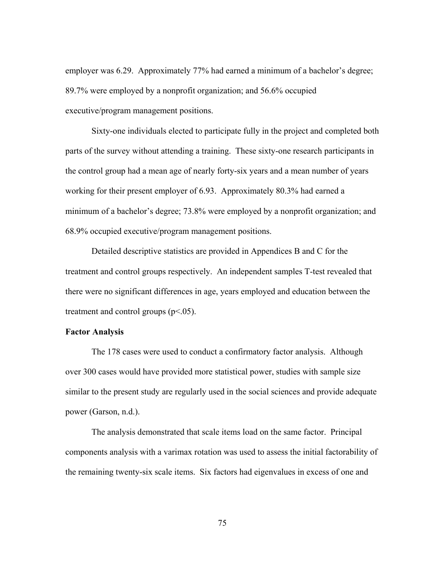employer was 6.29. Approximately 77% had earned a minimum of a bachelor's degree; 89.7% were employed by a nonprofit organization; and 56.6% occupied executive/program management positions.

Sixty-one individuals elected to participate fully in the project and completed both parts of the survey without attending a training. These sixty-one research participants in the control group had a mean age of nearly forty-six years and a mean number of years working for their present employer of 6.93. Approximately 80.3% had earned a minimum of a bachelor's degree; 73.8% were employed by a nonprofit organization; and 68.9% occupied executive/program management positions.

 Detailed descriptive statistics are provided in Appendices B and C for the treatment and control groups respectively. An independent samples T-test revealed that there were no significant differences in age, years employed and education between the treatment and control groups  $(p<.05)$ .

## **Factor Analysis**

The 178 cases were used to conduct a confirmatory factor analysis. Although over 300 cases would have provided more statistical power, studies with sample size similar to the present study are regularly used in the social sciences and provide adequate power (Garson, n.d.).

The analysis demonstrated that scale items load on the same factor. Principal components analysis with a varimax rotation was used to assess the initial factorability of the remaining twenty-six scale items. Six factors had eigenvalues in excess of one and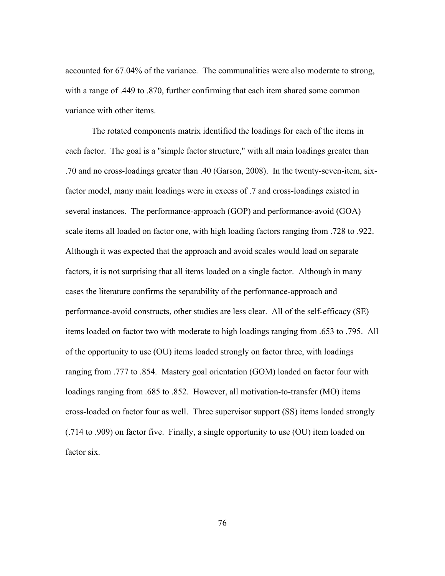accounted for 67.04% of the variance. The communalities were also moderate to strong, with a range of .449 to .870, further confirming that each item shared some common variance with other items.

The rotated components matrix identified the loadings for each of the items in each factor. The goal is a "simple factor structure," with all main loadings greater than .70 and no cross-loadings greater than .40 (Garson, 2008). In the twenty-seven-item, sixfactor model, many main loadings were in excess of .7 and cross-loadings existed in several instances. The performance-approach (GOP) and performance-avoid (GOA) scale items all loaded on factor one, with high loading factors ranging from .728 to .922. Although it was expected that the approach and avoid scales would load on separate factors, it is not surprising that all items loaded on a single factor. Although in many cases the literature confirms the separability of the performance-approach and performance-avoid constructs, other studies are less clear. All of the self-efficacy (SE) items loaded on factor two with moderate to high loadings ranging from .653 to .795. All of the opportunity to use (OU) items loaded strongly on factor three, with loadings ranging from .777 to .854. Mastery goal orientation (GOM) loaded on factor four with loadings ranging from .685 to .852. However, all motivation-to-transfer (MO) items cross-loaded on factor four as well. Three supervisor support (SS) items loaded strongly (.714 to .909) on factor five. Finally, a single opportunity to use (OU) item loaded on factor six.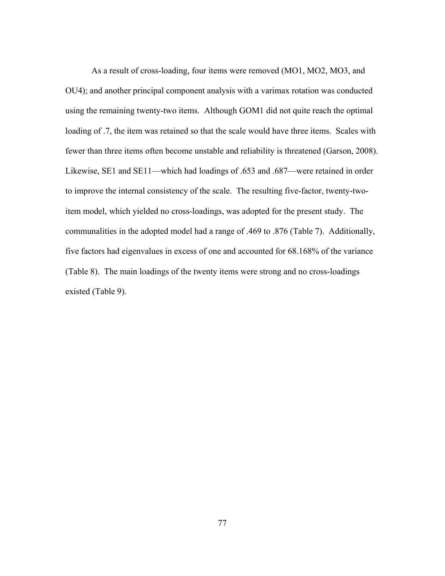As a result of cross-loading, four items were removed (MO1, MO2, MO3, and OU4); and another principal component analysis with a varimax rotation was conducted using the remaining twenty-two items. Although GOM1 did not quite reach the optimal loading of .7, the item was retained so that the scale would have three items. Scales with fewer than three items often become unstable and reliability is threatened (Garson, 2008). Likewise, SE1 and SE11—which had loadings of .653 and .687—were retained in order to improve the internal consistency of the scale. The resulting five-factor, twenty-twoitem model, which yielded no cross-loadings, was adopted for the present study. The communalities in the adopted model had a range of .469 to .876 (Table 7). Additionally, five factors had eigenvalues in excess of one and accounted for 68.168% of the variance (Table 8). The main loadings of the twenty items were strong and no cross-loadings existed (Table 9).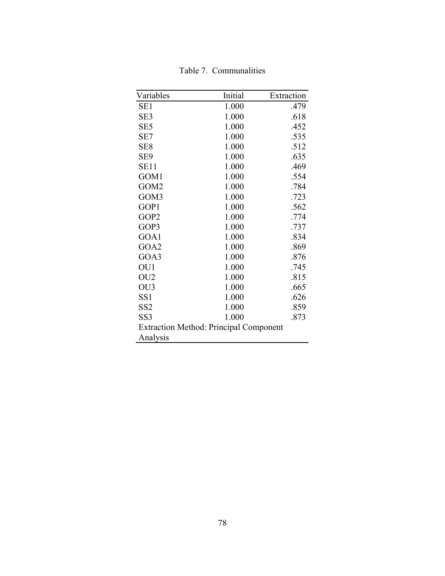| Variables                                     | Initial | Extraction |  |  |
|-----------------------------------------------|---------|------------|--|--|
| SE1                                           | 1.000   | .479       |  |  |
| SE3                                           | 1.000   | .618       |  |  |
| SE <sub>5</sub>                               | 1.000   | .452       |  |  |
| SE7                                           | 1.000   | .535       |  |  |
| SE <sub>8</sub>                               | 1.000   | .512       |  |  |
| SE9                                           | 1.000   | .635       |  |  |
| <b>SE11</b>                                   | 1.000   | .469       |  |  |
| GOM1                                          | 1.000   | .554       |  |  |
| GOM <sub>2</sub>                              | 1.000   | .784       |  |  |
| GOM3                                          | 1.000   | .723       |  |  |
| GOP1                                          | 1.000   | .562       |  |  |
| GOP <sub>2</sub>                              | 1.000   | .774       |  |  |
| GOP3                                          | 1.000   | .737       |  |  |
| GOA1                                          | 1.000   | .834       |  |  |
| GOA2                                          | 1.000   | .869       |  |  |
| GOA3                                          | 1.000   | .876       |  |  |
| OU1                                           | 1.000   | .745       |  |  |
| OU <sub>2</sub>                               | 1.000   | .815       |  |  |
| OU <sub>3</sub>                               | 1.000   | .665       |  |  |
| SS <sub>1</sub>                               | 1.000   | .626       |  |  |
| SS <sub>2</sub>                               | 1.000   | .859       |  |  |
| SS3                                           | 1.000   | .873       |  |  |
| <b>Extraction Method: Principal Component</b> |         |            |  |  |
| Analysis                                      |         |            |  |  |

Table 7. Communalities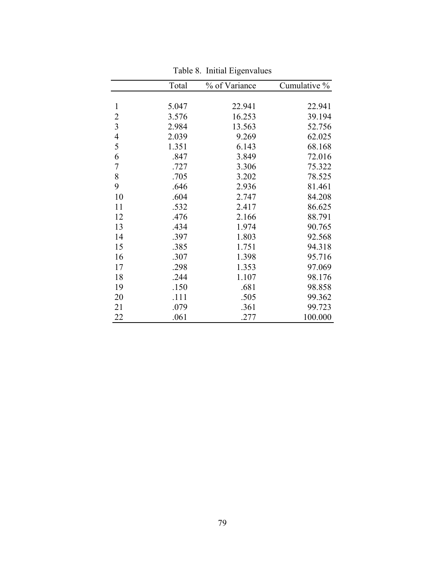|                          | Total | % of Variance | Cumulative % |
|--------------------------|-------|---------------|--------------|
|                          |       |               |              |
| $\mathbf{1}$             | 5.047 | 22.941        | 22.941       |
|                          | 3.576 | 16.253        | 39.194       |
| $\frac{2}{3}$            | 2.984 | 13.563        | 52.756       |
| $\overline{\mathcal{L}}$ | 2.039 | 9.269         | 62.025       |
| 5                        | 1.351 | 6.143         | 68.168       |
| 6                        | .847  | 3.849         | 72.016       |
| $\overline{7}$           | .727  | 3.306         | 75.322       |
| 8                        | .705  | 3.202         | 78.525       |
| 9                        | .646  | 2.936         | 81.461       |
| 10                       | .604  | 2.747         | 84.208       |
| 11                       | .532  | 2.417         | 86.625       |
| 12                       | .476  | 2.166         | 88.791       |
| 13                       | .434  | 1.974         | 90.765       |
| 14                       | .397  | 1.803         | 92.568       |
| 15                       | .385  | 1.751         | 94.318       |
| 16                       | .307  | 1.398         | 95.716       |
| 17                       | .298  | 1.353         | 97.069       |
| 18                       | .244  | 1.107         | 98.176       |
| 19                       | .150  | .681          | 98.858       |
| 20                       | .111  | .505          | 99.362       |
| 21                       | .079  | .361          | 99.723       |
| 22                       | .061  | .277          | 100.000      |

Table 8. Initial Eigenvalues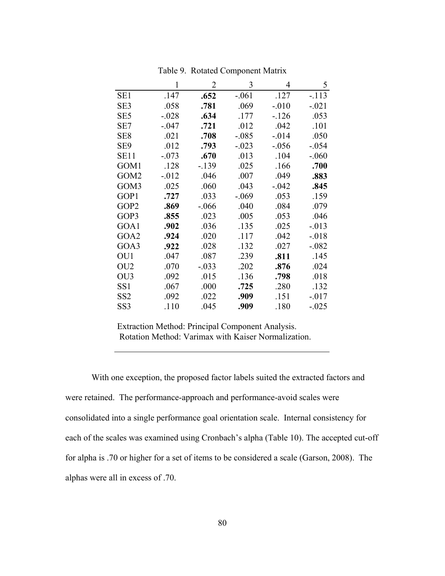|                  | 1        | 2        | 3        | 4        | 5        |
|------------------|----------|----------|----------|----------|----------|
| SE <sub>1</sub>  | .147     | .652     | $-.061$  | .127     | $-113$   |
| SE3              | .058     | .781     | .069     | $-.010$  | $-.021$  |
| SE <sub>5</sub>  | $-.028$  | .634     | .177     | $-126$   | .053     |
| SE7              | $-.047$  | .721     | .012     | .042     | .101     |
| SE <sub>8</sub>  | .021     | .708     | $-.085$  | $-0.014$ | .050     |
| SE9              | .012     | .793     | $-.023$  | $-.056$  | $-.054$  |
| SE11             | $-.073$  | .670     | .013     | .104     | $-.060$  |
| GOM1             | .128     | -.139    | .025     | .166     | .700     |
| GOM <sub>2</sub> | $-0.012$ | .046     | .007     | .049     | .883     |
| GOM3             | .025     | .060     | .043     | $-.042$  | .845     |
| GOP1             | .727     | .033     | $-0.069$ | .053     | .159     |
| GOP2             | .869     | $-0.066$ | .040     | .084     | .079     |
| GOP3             | .855     | .023     | .005     | .053     | .046     |
| GOA1             | .902     | .036     | .135     | .025     | $-0.013$ |
| GOA2             | .924     | .020     | .117     | .042     | $-0.018$ |
| GOA3             | .922     | .028     | .132     | .027     | $-.082$  |
| OU1              | .047     | .087     | .239     | .811     | .145     |
| OU <sub>2</sub>  | .070     | $-.033$  | .202     | .876     | .024     |
| OU3              | .092     | .015     | .136     | .798     | .018     |
| SS <sub>1</sub>  | .067     | .000     | .725     | .280     | .132     |
| SS <sub>2</sub>  | .092     | .022     | .909     | .151     | $-0.017$ |
| SS3              | .110     | .045     | .909     | .180     | $-.025$  |

Table 9. Rotated Component Matrix

Extraction Method: Principal Component Analysis. Rotation Method: Varimax with Kaiser Normalization.

With one exception, the proposed factor labels suited the extracted factors and were retained. The performance-approach and performance-avoid scales were consolidated into a single performance goal orientation scale. Internal consistency for each of the scales was examined using Cronbach's alpha (Table 10). The accepted cut-off for alpha is .70 or higher for a set of items to be considered a scale (Garson, 2008). The alphas were all in excess of .70.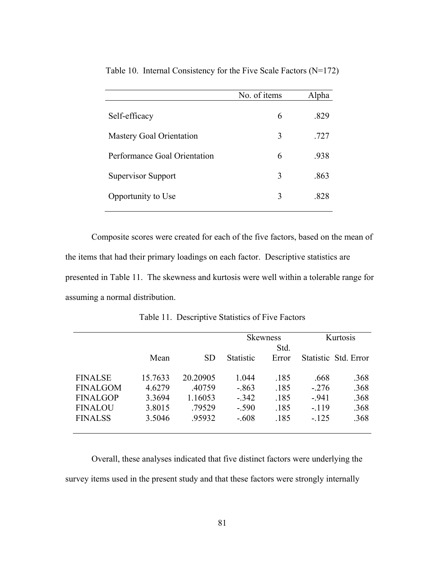|                                 | No. of items | Alpha |
|---------------------------------|--------------|-------|
| Self-efficacy                   | 6            | .829  |
| <b>Mastery Goal Orientation</b> | 3            | .727  |
| Performance Goal Orientation    | 6            | .938  |
| <b>Supervisor Support</b>       | 3            | .863  |
| Opportunity to Use              | 3            | -828  |
|                                 |              |       |

Table 10. Internal Consistency for the Five Scale Factors (N=172)

Composite scores were created for each of the five factors, based on the mean of the items that had their primary loadings on each factor. Descriptive statistics are presented in Table 11. The skewness and kurtosis were well within a tolerable range for assuming a normal distribution.

|                 |         |           |                  | <b>Skewness</b><br>Std. |         | Kurtosis             |
|-----------------|---------|-----------|------------------|-------------------------|---------|----------------------|
|                 | Mean    | <b>SD</b> | <b>Statistic</b> | Error                   |         | Statistic Std. Error |
| <b>FINALSE</b>  | 15.7633 | 20.20905  | 1.044            | .185                    | .668    | .368                 |
| <b>FINALGOM</b> | 4.6279  | .40759    | $-.863$          | .185                    | $-.276$ | .368                 |
| <b>FINALGOP</b> | 3.3694  | 1.16053   | $-0.342$         | .185                    | $-941$  | .368                 |
| <b>FINALOU</b>  | 3.8015  | .79529    | $-.590$          | .185                    | $-119$  | .368                 |
| <b>FINALSS</b>  | 3.5046  | .95932    | $-.608$          | .185                    | $-.125$ | .368                 |

Table 11. Descriptive Statistics of Five Factors

Overall, these analyses indicated that five distinct factors were underlying the survey items used in the present study and that these factors were strongly internally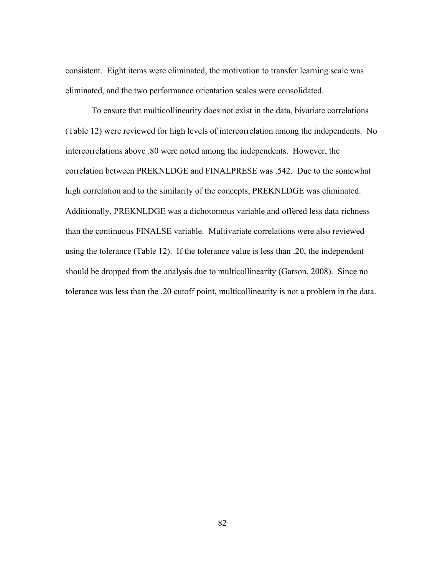consistent. Eight items were eliminated, the motivation to transfer learning scale was eliminated, and the two performance orientation scales were consolidated.

To ensure that multicollinearity does not exist in the data, bivariate correlations (Table 12) were reviewed for high levels of intercorrelation among the independents. No intercorrelations above .80 were noted among the independents. However, the correlation between PREKNLDGE and FINALPRESE was .542. Due to the somewhat high correlation and to the similarity of the concepts, PREKNLDGE was eliminated. Additionally, PREKNLDGE was a dichotomous variable and offered less data richness than the continuous FINALSE variable. Multivariate correlations were also reviewed using the tolerance (Table 12). If the tolerance value is less than .20, the independent should be dropped from the analysis due to multicollinearity (Garson, 2008). Since no tolerance was less than the .20 cutoff point, multicollinearity is not a problem in the data.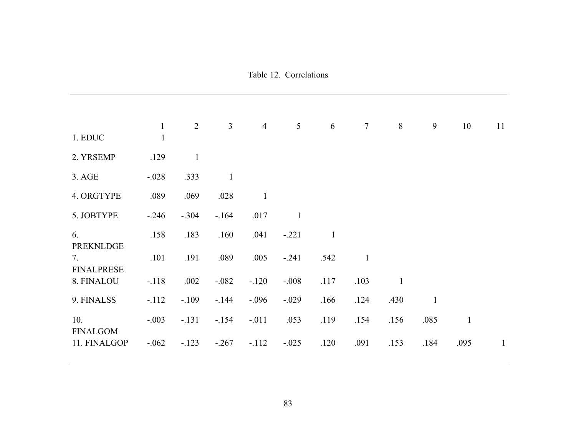|                                             | $\mathbf{1}$ | $\overline{2}$ | $\overline{3}$ | $\overline{4}$ | 5            | 6            | $\overline{7}$ | $8\,$        | 9            | 10           | 11           |
|---------------------------------------------|--------------|----------------|----------------|----------------|--------------|--------------|----------------|--------------|--------------|--------------|--------------|
| 1. EDUC                                     | $\mathbf{1}$ |                |                |                |              |              |                |              |              |              |              |
| 2. YRSEMP                                   | .129         | $\mathbf{1}$   |                |                |              |              |                |              |              |              |              |
| 3. AGE                                      | $-.028$      | .333           | $\mathbf{1}$   |                |              |              |                |              |              |              |              |
| 4. ORGTYPE                                  | .089         | .069           | .028           | $\mathbf{1}$   |              |              |                |              |              |              |              |
| 5. JOBTYPE                                  | $-.246$      | $-.304$        | $-164$         | .017           | $\mathbf{1}$ |              |                |              |              |              |              |
| 6.                                          | .158         | .183           | .160           | .041           | $-.221$      | $\mathbf{1}$ |                |              |              |              |              |
| <b>PREKNLDGE</b><br>7.<br><b>FINALPRESE</b> | .101         | .191           | .089           | .005           | $-.241$      | .542         | $\mathbf{1}$   |              |              |              |              |
| 8. FINALOU                                  | $-.118$      | .002           | $-.082$        | $-120$         | $-.008$      | .117         | .103           | $\mathbf{1}$ |              |              |              |
| 9. FINALSS                                  | $-112$       | $-.109$        | $-144$         | $-.096$        | $-.029$      | .166         | .124           | .430         | $\mathbf{1}$ |              |              |
| 10.<br><b>FINALGOM</b>                      | $-.003$      | $-.131$        | $-154$         | $-.011$        | .053         | .119         | .154           | .156         | .085         | $\mathbf{1}$ |              |
| 11. FINALGOP                                | $-.062$      | $-123$         | $-.267$        | $-.112$        | $-.025$      | .120         | .091           | .153         | .184         | .095         | $\mathbf{1}$ |
|                                             |              |                |                |                |              |              |                |              |              |              |              |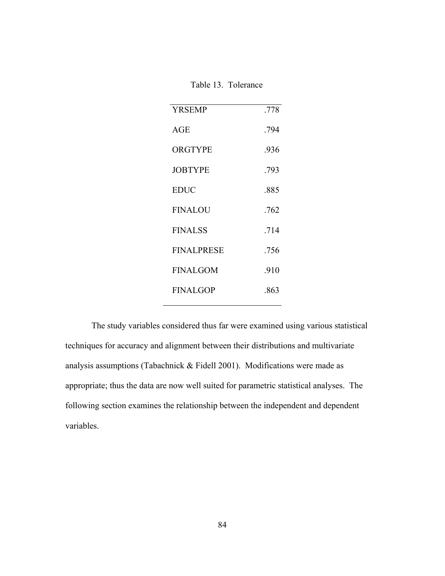| Table 13. Tolerance |  |
|---------------------|--|
|---------------------|--|

| <b>YRSEMP</b>     | .778 |
|-------------------|------|
| AGE               | .794 |
| ORGTYPE           | .936 |
| <b>JOBTYPE</b>    | .793 |
| <b>EDUC</b>       | .885 |
| <b>FINALOU</b>    | .762 |
| <b>FINALSS</b>    | .714 |
| <b>FINALPRESE</b> | .756 |
| <b>FINALGOM</b>   | .910 |
| <b>FINALGOP</b>   | .863 |
|                   |      |

The study variables considered thus far were examined using various statistical techniques for accuracy and alignment between their distributions and multivariate analysis assumptions (Tabachnick & Fidell 2001). Modifications were made as appropriate; thus the data are now well suited for parametric statistical analyses. The following section examines the relationship between the independent and dependent variables.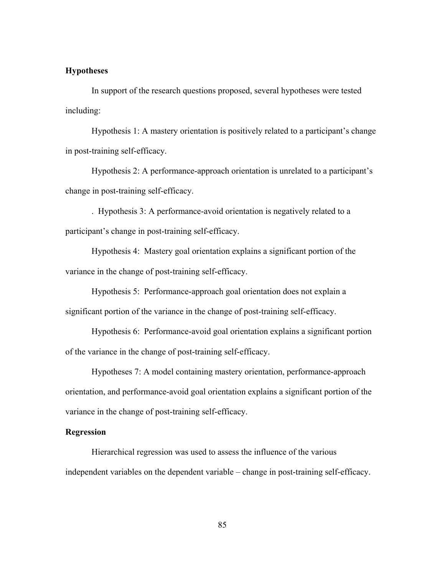## **Hypotheses**

In support of the research questions proposed, several hypotheses were tested including:

Hypothesis 1: A mastery orientation is positively related to a participant's change in post-training self-efficacy.

Hypothesis 2: A performance-approach orientation is unrelated to a participant's change in post-training self-efficacy.

. Hypothesis 3: A performance-avoid orientation is negatively related to a participant's change in post-training self-efficacy.

Hypothesis 4: Mastery goal orientation explains a significant portion of the variance in the change of post-training self-efficacy.

Hypothesis 5: Performance-approach goal orientation does not explain a significant portion of the variance in the change of post-training self-efficacy.

Hypothesis 6: Performance-avoid goal orientation explains a significant portion of the variance in the change of post-training self-efficacy.

Hypotheses 7: A model containing mastery orientation, performance-approach orientation, and performance-avoid goal orientation explains a significant portion of the variance in the change of post-training self-efficacy.

# **Regression**

Hierarchical regression was used to assess the influence of the various independent variables on the dependent variable – change in post-training self-efficacy.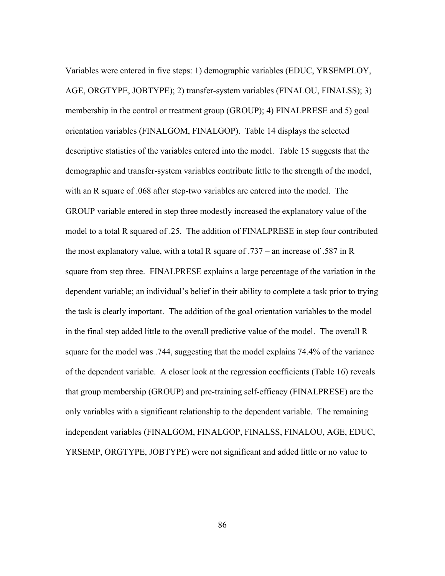Variables were entered in five steps: 1) demographic variables (EDUC, YRSEMPLOY, AGE, ORGTYPE, JOBTYPE); 2) transfer-system variables (FINALOU, FINALSS); 3) membership in the control or treatment group (GROUP); 4) FINALPRESE and 5) goal orientation variables (FINALGOM, FINALGOP). Table 14 displays the selected descriptive statistics of the variables entered into the model. Table 15 suggests that the demographic and transfer-system variables contribute little to the strength of the model, with an R square of .068 after step-two variables are entered into the model. The GROUP variable entered in step three modestly increased the explanatory value of the model to a total R squared of .25. The addition of FINALPRESE in step four contributed the most explanatory value, with a total R square of .737 – an increase of .587 in R square from step three. FINALPRESE explains a large percentage of the variation in the dependent variable; an individual's belief in their ability to complete a task prior to trying the task is clearly important. The addition of the goal orientation variables to the model in the final step added little to the overall predictive value of the model. The overall R square for the model was .744, suggesting that the model explains 74.4% of the variance of the dependent variable. A closer look at the regression coefficients (Table 16) reveals that group membership (GROUP) and pre-training self-efficacy (FINALPRESE) are the only variables with a significant relationship to the dependent variable. The remaining independent variables (FINALGOM, FINALGOP, FINALSS, FINALOU, AGE, EDUC, YRSEMP, ORGTYPE, JOBTYPE) were not significant and added little or no value to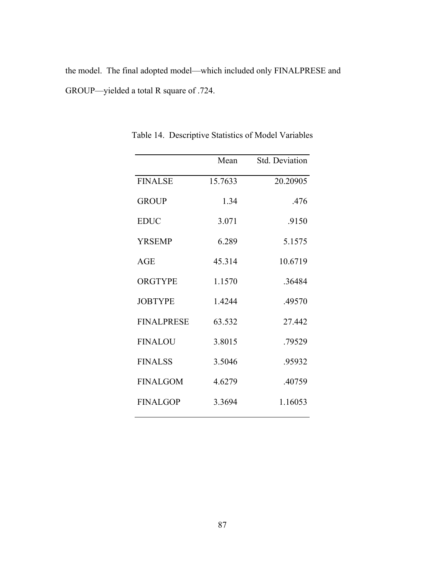the model. The final adopted model—which included only FINALPRESE and GROUP—yielded a total R square of .724.

|                   | Mean    | Std. Deviation |
|-------------------|---------|----------------|
| <b>FINALSE</b>    | 15.7633 | 20.20905       |
| <b>GROUP</b>      | 1.34    | .476           |
| <b>EDUC</b>       | 3.071   | .9150          |
| <b>YRSEMP</b>     | 6.289   | 5.1575         |
| AGE               | 45.314  | 10.6719        |
| <b>ORGTYPE</b>    | 1.1570  | .36484         |
| <b>JOBTYPE</b>    | 1.4244  | .49570         |
| <b>FINALPRESE</b> | 63.532  | 27.442         |
| <b>FINALOU</b>    | 3.8015  | .79529         |
| <b>FINALSS</b>    | 3.5046  | .95932         |
| <b>FINALGOM</b>   | 4.6279  | .40759         |
| <b>FINALGOP</b>   | 3.3694  | 1.16053        |

Table 14. Descriptive Statistics of Model Variables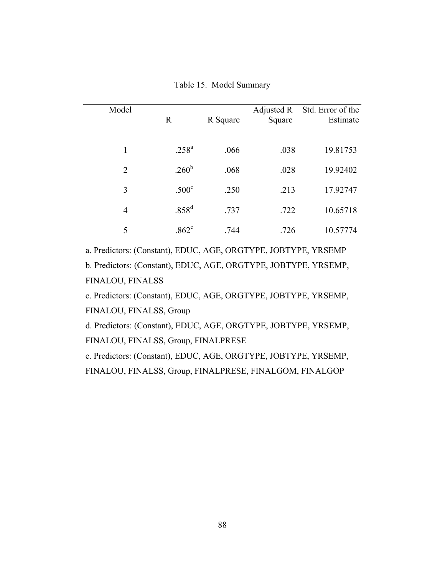| Model          | $\mathbb{R}$      | R Square | Adjusted R<br>Square | Std. Error of the<br>Estimate |
|----------------|-------------------|----------|----------------------|-------------------------------|
| 1              | $.258^{a}$        | .066     | .038                 | 19.81753                      |
| $\overline{2}$ | .260 <sup>b</sup> | .068     | .028                 | 19.92402                      |
| 3              | .500 <sup>c</sup> | .250     | .213                 | 17.92747                      |
| $\overline{4}$ | .858 <sup>d</sup> | .737     | .722                 | 10.65718                      |
| 5              | $.862^e$          | .744     | .726                 | 10.57774                      |

Table 15. Model Summary

a. Predictors: (Constant), EDUC, AGE, ORGTYPE, JOBTYPE, YRSEMP

b. Predictors: (Constant), EDUC, AGE, ORGTYPE, JOBTYPE, YRSEMP, FINALOU, FINALSS

c. Predictors: (Constant), EDUC, AGE, ORGTYPE, JOBTYPE, YRSEMP, FINALOU, FINALSS, Group

d. Predictors: (Constant), EDUC, AGE, ORGTYPE, JOBTYPE, YRSEMP, FINALOU, FINALSS, Group, FINALPRESE

e. Predictors: (Constant), EDUC, AGE, ORGTYPE, JOBTYPE, YRSEMP, FINALOU, FINALSS, Group, FINALPRESE, FINALGOM, FINALGOP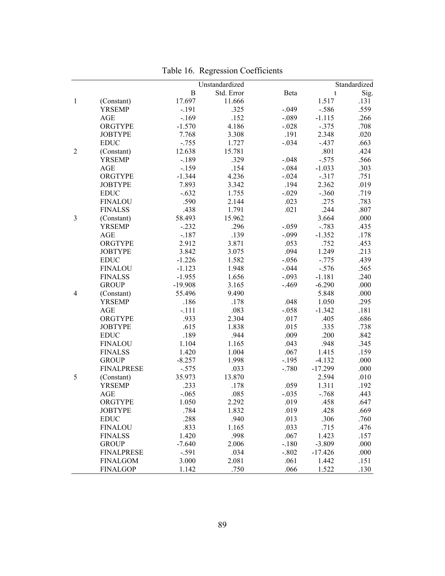|                |                             |               | Unstandardized |                 |           | Standardized |
|----------------|-----------------------------|---------------|----------------|-----------------|-----------|--------------|
|                |                             | $\bf{B}$      | Std. Error     | Beta            | t         | Sig.         |
| $\mathbf{1}$   | (Constant)                  | 17.697        | 11.666         |                 | 1.517     | .131         |
|                | <b>YRSEMP</b>               | $-.191$       | .325           | $-.049$         | $-.586$   | .559         |
|                | AGE                         | $-.169$       | .152           | $-.089$         | $-1.115$  | .266         |
|                | ORGTYPE                     | $-1.570$      | 4.186          | $-.028$         | $-.375$   | .708         |
|                | <b>JOBTYPE</b>              | 7.768         | 3.308          | .191            | 2.348     | .020         |
|                | <b>EDUC</b>                 | $-.755$       | 1.727          | $-.034$         | $-.437$   | .663         |
| $\overline{2}$ | (Constant)                  | 12.638        | 15.781         |                 | .801      | .424         |
|                | <b>YRSEMP</b>               | $-.189$       | .329           | $-.048$         | $-.575$   | .566         |
|                | AGE                         | $-159$        | .154           | $-.084$         | $-1.033$  | .303         |
|                | ORGTYPE                     | $-1.344$      | 4.236          | $-.024$         | $-.317$   | .751         |
|                | <b>JOBTYPE</b>              | 7.893         | 3.342          | .194            | 2.362     | .019         |
|                | <b>EDUC</b>                 | $-.632$       | 1.755          | $-.029$         | $-.360$   | .719         |
|                | <b>FINALOU</b>              | .590          | 2.144          | .023            | .275      | .783         |
|                | <b>FINALSS</b>              | .438          | 1.791          | .021            | .244      | .807         |
| 3              |                             | 58.493        | 15.962         |                 | 3.664     | .000         |
|                | (Constant)<br><b>YRSEMP</b> | $-.232$       | .296           | $-.059$         | $-.783$   | .435         |
|                | AGE                         | $-.187$       | .139           |                 | $-1.352$  | .178         |
|                | ORGTYPE                     | 2.912         | 3.871          | $-.099$<br>.053 | .752      | .453         |
|                | <b>JOBTYPE</b>              | 3.842         | 3.075          | .094            | 1.249     |              |
|                | <b>EDUC</b>                 | $-1.226$      | 1.582          | $-.056$         | $-.775$   | .213<br>.439 |
|                | <b>FINALOU</b>              | $-1.123$      | 1.948          | $-.044$         | $-.576$   | .565         |
|                | <b>FINALSS</b>              | $-1.955$      | 1.656          | $-.093$         | $-1.181$  | .240         |
|                | <b>GROUP</b>                | $-19.908$     | 3.165          | $-.469$         | $-6.290$  | .000         |
|                |                             | 55.496        | 9.490          |                 | 5.848     | .000         |
| 4              | (Constant)<br><b>YRSEMP</b> | .186          | .178           | .048            | 1.050     | .295         |
|                | AGE                         | $-.111$       | .083           | $-.058$         | $-1.342$  | .181         |
|                | ORGTYPE                     | .933          | 2.304          | .017            | .405      | .686         |
|                | <b>JOBTYPE</b>              | .615          | 1.838          | .015            | .335      | .738         |
|                | <b>EDUC</b>                 |               |                | .009            | .200      |              |
|                | <b>FINALOU</b>              | .189<br>1.104 | .944<br>1.165  | .043            | .948      | .842<br>.345 |
|                | <b>FINALSS</b>              | 1.420         | 1.004          | .067            | 1.415     | .159         |
|                | <b>GROUP</b>                | $-8.257$      | 1.998          | $-.195$         | $-4.132$  | .000         |
|                | <b>FINALPRESE</b>           | $-.575$       | .033           | $-.780$         | $-17.299$ | .000         |
|                | (Constant)                  | 35.973        | 13.870         |                 | 2.594     | .010         |
| 5              | <b>YRSEMP</b>               | .233          | .178           | .059            | 1.311     | .192         |
|                | AGE                         | $-.065$       | .085           | $-.035$         | $-.768$   | .443         |
|                |                             |               |                |                 |           |              |
|                | ORGTYPE                     | 1.050         | 2.292          | .019            | .458      | .647         |
|                | <b>JOBTYPE</b>              | .784          | 1.832          | .019            | .428      | .669         |
|                | <b>EDUC</b>                 | .288          | .940           | .013            | .306      | .760         |
|                | <b>FINALOU</b>              | .833          | 1.165          | .033            | .715      | .476         |
|                | <b>FINALSS</b>              | 1.420         | .998           | .067            | 1.423     | .157         |
|                | <b>GROUP</b>                | $-7.640$      | 2.006          | $-.180$         | $-3.809$  | .000         |
|                | <b>FINALPRESE</b>           | $-.591$       | .034           | $-.802$         | $-17.426$ | .000         |
|                | <b>FINALGOM</b>             | 3.000         | 2.081          | .061            | 1.442     | .151         |
|                | <b>FINALGOP</b>             | 1.142         | .750           | .066            | 1.522     | .130         |

Table 16. Regression Coefficients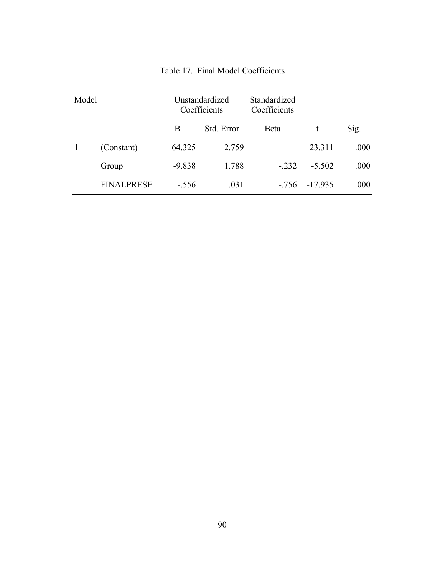| Model |                   | Unstandardized<br>Coefficients |            | Standardized<br>Coefficients |          |      |
|-------|-------------------|--------------------------------|------------|------------------------------|----------|------|
|       |                   | B                              | Std. Error | Beta                         | t        | Sig. |
|       | (Constant)        | 64.325                         | 2.759      |                              | 23.311   | .000 |
|       | Group             | $-9.838$                       | 1.788      | $-.232$                      | $-5.502$ | .000 |
|       | <b>FINALPRESE</b> | $-.556$                        | .031       | $-756$                       | -17935   | .000 |

Table 17. Final Model Coefficients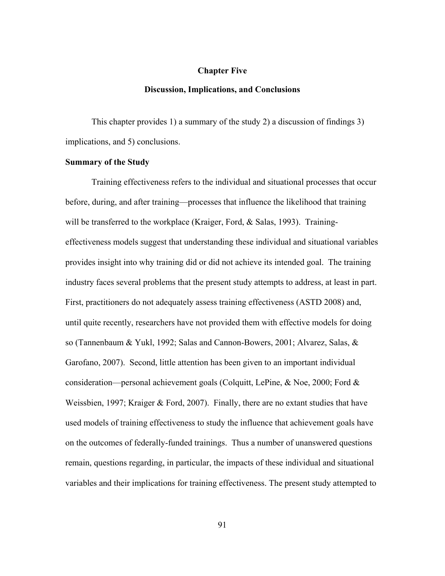#### **Chapter Five**

#### **Discussion, Implications, and Conclusions**

This chapter provides 1) a summary of the study 2) a discussion of findings 3) implications, and 5) conclusions.

#### **Summary of the Study**

Training effectiveness refers to the individual and situational processes that occur before, during, and after training—processes that influence the likelihood that training will be transferred to the workplace (Kraiger, Ford, & Salas, 1993). Trainingeffectiveness models suggest that understanding these individual and situational variables provides insight into why training did or did not achieve its intended goal. The training industry faces several problems that the present study attempts to address, at least in part. First, practitioners do not adequately assess training effectiveness (ASTD 2008) and, until quite recently, researchers have not provided them with effective models for doing so (Tannenbaum & Yukl, 1992; Salas and Cannon-Bowers, 2001; Alvarez, Salas, & Garofano, 2007). Second, little attention has been given to an important individual consideration—personal achievement goals (Colquitt, LePine,  $\&$  Noe, 2000; Ford  $\&$ Weissbien, 1997; Kraiger & Ford, 2007). Finally, there are no extant studies that have used models of training effectiveness to study the influence that achievement goals have on the outcomes of federally-funded trainings. Thus a number of unanswered questions remain, questions regarding, in particular, the impacts of these individual and situational variables and their implications for training effectiveness. The present study attempted to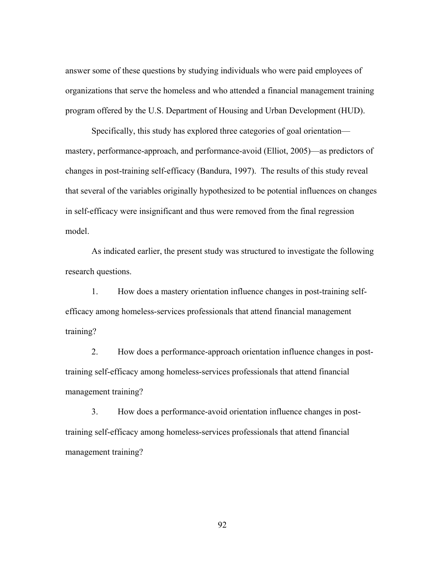answer some of these questions by studying individuals who were paid employees of organizations that serve the homeless and who attended a financial management training program offered by the U.S. Department of Housing and Urban Development (HUD).

Specifically, this study has explored three categories of goal orientation mastery, performance-approach, and performance-avoid (Elliot, 2005)—as predictors of changes in post-training self-efficacy (Bandura, 1997). The results of this study reveal that several of the variables originally hypothesized to be potential influences on changes in self-efficacy were insignificant and thus were removed from the final regression model.

As indicated earlier, the present study was structured to investigate the following research questions.

1. How does a mastery orientation influence changes in post-training selfefficacy among homeless-services professionals that attend financial management training?

2. How does a performance-approach orientation influence changes in posttraining self-efficacy among homeless-services professionals that attend financial management training?

3. How does a performance-avoid orientation influence changes in posttraining self-efficacy among homeless-services professionals that attend financial management training?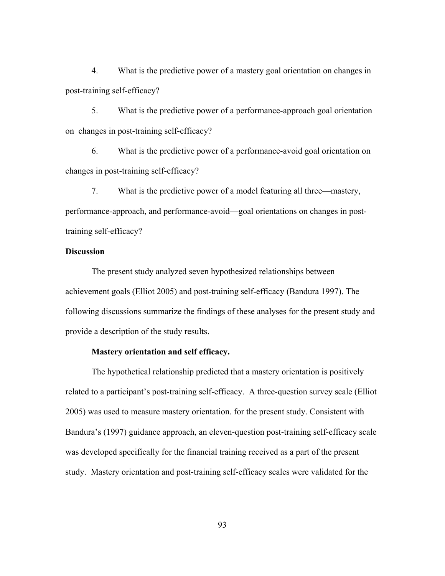4. What is the predictive power of a mastery goal orientation on changes in post-training self-efficacy?

5. What is the predictive power of a performance-approach goal orientation on changes in post-training self-efficacy?

6. What is the predictive power of a performance-avoid goal orientation on changes in post-training self-efficacy?

7. What is the predictive power of a model featuring all three—mastery, performance-approach, and performance-avoid—goal orientations on changes in posttraining self-efficacy?

## **Discussion**

The present study analyzed seven hypothesized relationships between achievement goals (Elliot 2005) and post-training self-efficacy (Bandura 1997). The following discussions summarize the findings of these analyses for the present study and provide a description of the study results.

## **Mastery orientation and self efficacy.**

The hypothetical relationship predicted that a mastery orientation is positively related to a participant's post-training self-efficacy. A three-question survey scale (Elliot 2005) was used to measure mastery orientation. for the present study. Consistent with Bandura's (1997) guidance approach, an eleven-question post-training self-efficacy scale was developed specifically for the financial training received as a part of the present study. Mastery orientation and post-training self-efficacy scales were validated for the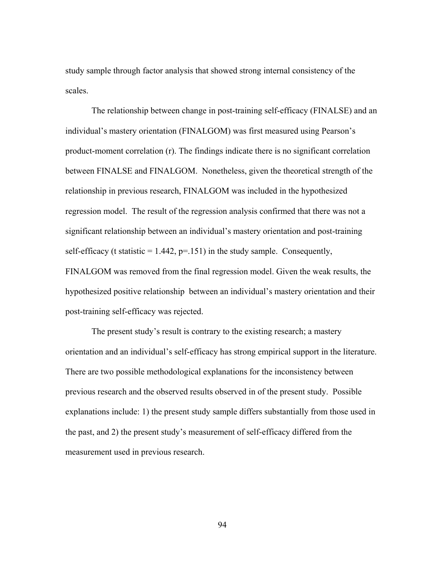study sample through factor analysis that showed strong internal consistency of the scales.

The relationship between change in post-training self-efficacy (FINALSE) and an individual's mastery orientation (FINALGOM) was first measured using Pearson's product-moment correlation (r). The findings indicate there is no significant correlation between FINALSE and FINALGOM. Nonetheless, given the theoretical strength of the relationship in previous research, FINALGOM was included in the hypothesized regression model. The result of the regression analysis confirmed that there was not a significant relationship between an individual's mastery orientation and post-training self-efficacy (t statistic  $= 1.442$ ,  $p = 151$ ) in the study sample. Consequently, FINALGOM was removed from the final regression model. Given the weak results, the hypothesized positive relationship between an individual's mastery orientation and their post-training self-efficacy was rejected.

The present study's result is contrary to the existing research; a mastery orientation and an individual's self-efficacy has strong empirical support in the literature. There are two possible methodological explanations for the inconsistency between previous research and the observed results observed in of the present study. Possible explanations include: 1) the present study sample differs substantially from those used in the past, and 2) the present study's measurement of self-efficacy differed from the measurement used in previous research.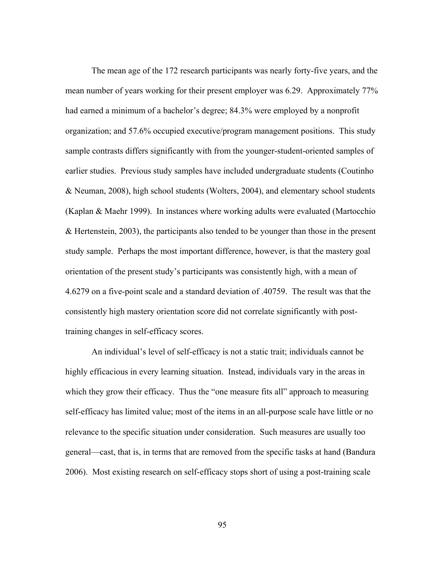The mean age of the 172 research participants was nearly forty-five years, and the mean number of years working for their present employer was 6.29. Approximately 77% had earned a minimum of a bachelor's degree; 84.3% were employed by a nonprofit organization; and 57.6% occupied executive/program management positions. This study sample contrasts differs significantly with from the younger-student-oriented samples of earlier studies. Previous study samples have included undergraduate students (Coutinho & Neuman, 2008), high school students (Wolters, 2004), and elementary school students (Kaplan & Maehr 1999). In instances where working adults were evaluated (Martocchio & Hertenstein, 2003), the participants also tended to be younger than those in the present study sample. Perhaps the most important difference, however, is that the mastery goal orientation of the present study's participants was consistently high, with a mean of 4.6279 on a five-point scale and a standard deviation of .40759. The result was that the consistently high mastery orientation score did not correlate significantly with posttraining changes in self-efficacy scores.

An individual's level of self-efficacy is not a static trait; individuals cannot be highly efficacious in every learning situation. Instead, individuals vary in the areas in which they grow their efficacy. Thus the "one measure fits all" approach to measuring self-efficacy has limited value; most of the items in an all-purpose scale have little or no relevance to the specific situation under consideration. Such measures are usually too general—cast, that is, in terms that are removed from the specific tasks at hand (Bandura 2006). Most existing research on self-efficacy stops short of using a post-training scale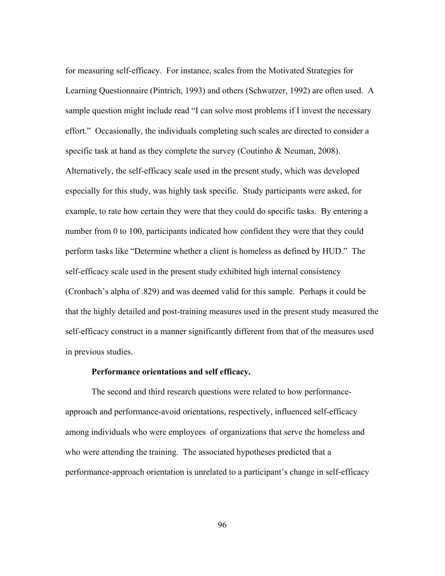for measuring self-efficacy. For instance, scales from the Motivated Strategies for Learning Questionnaire (Pintrich, 1993) and others (Schwarzer, 1992) are often used. A sample question might include read "I can solve most problems if I invest the necessary effort." Occasionally, the individuals completing such scales are directed to consider a specific task at hand as they complete the survey (Coutinho & Neuman, 2008). Alternatively, the self-efficacy scale used in the present study, which was developed especially for this study, was highly task specific. Study participants were asked, for example, to rate how certain they were that they could do specific tasks. By entering a number from 0 to 100, participants indicated how confident they were that they could perform tasks like "Determine whether a client is homeless as defined by HUD." The self-efficacy scale used in the present study exhibited high internal consistency (Cronbach's alpha of .829) and was deemed valid for this sample. Perhaps it could be that the highly detailed and post-training measures used in the present study measured the self-efficacy construct in a manner significantly different from that of the measures used in previous studies.

# **Performance orientations and self efficacy.**

The second and third research questions were related to how performanceapproach and performance-avoid orientations, respectively, influenced self-efficacy among individuals who were employees of organizations that serve the homeless and who were attending the training. The associated hypotheses predicted that a performance-approach orientation is unrelated to a participant's change in self-efficacy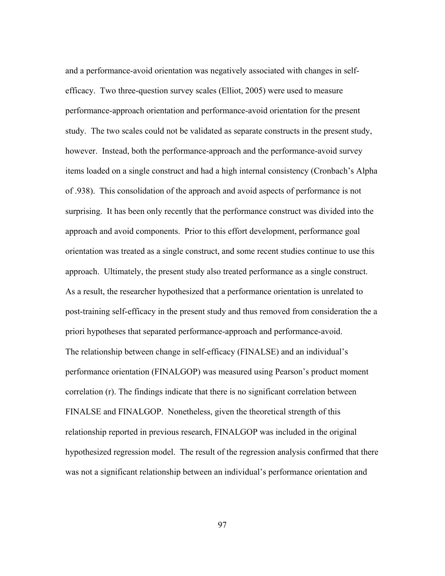and a performance-avoid orientation was negatively associated with changes in selfefficacy. Two three-question survey scales (Elliot, 2005) were used to measure performance-approach orientation and performance-avoid orientation for the present study. The two scales could not be validated as separate constructs in the present study, however. Instead, both the performance-approach and the performance-avoid survey items loaded on a single construct and had a high internal consistency (Cronbach's Alpha of .938). This consolidation of the approach and avoid aspects of performance is not surprising. It has been only recently that the performance construct was divided into the approach and avoid components. Prior to this effort development, performance goal orientation was treated as a single construct, and some recent studies continue to use this approach. Ultimately, the present study also treated performance as a single construct. As a result, the researcher hypothesized that a performance orientation is unrelated to post-training self-efficacy in the present study and thus removed from consideration the a priori hypotheses that separated performance-approach and performance-avoid. The relationship between change in self-efficacy (FINALSE) and an individual's performance orientation (FINALGOP) was measured using Pearson's product moment correlation (r). The findings indicate that there is no significant correlation between FINALSE and FINALGOP. Nonetheless, given the theoretical strength of this relationship reported in previous research, FINALGOP was included in the original hypothesized regression model. The result of the regression analysis confirmed that there was not a significant relationship between an individual's performance orientation and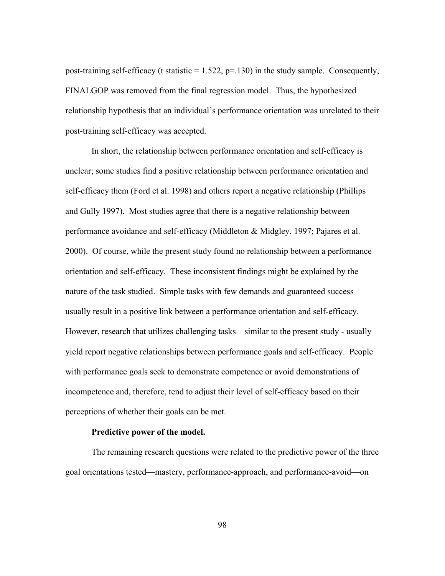post-training self-efficacy (t statistic  $= 1.522$ ,  $p = .130$ ) in the study sample. Consequently, FINALGOP was removed from the final regression model. Thus, the hypothesized relationship hypothesis that an individual's performance orientation was unrelated to their post-training self-efficacy was accepted.

In short, the relationship between performance orientation and self-efficacy is unclear; some studies find a positive relationship between performance orientation and self-efficacy them (Ford et al. 1998) and others report a negative relationship (Phillips and Gully 1997). Most studies agree that there is a negative relationship between performance avoidance and self-efficacy (Middleton & Midgley, 1997; Pajares et al. 2000). Of course, while the present study found no relationship between a performance orientation and self-efficacy. These inconsistent findings might be explained by the nature of the task studied. Simple tasks with few demands and guaranteed success usually result in a positive link between a performance orientation and self-efficacy. However, research that utilizes challenging tasks – similar to the present study - usually yield report negative relationships between performance goals and self-efficacy. People with performance goals seek to demonstrate competence or avoid demonstrations of incompetence and, therefore, tend to adjust their level of self-efficacy based on their perceptions of whether their goals can be met.

## **Predictive power of the model.**

The remaining research questions were related to the predictive power of the three goal orientations tested—mastery, performance-approach, and performance-avoid—on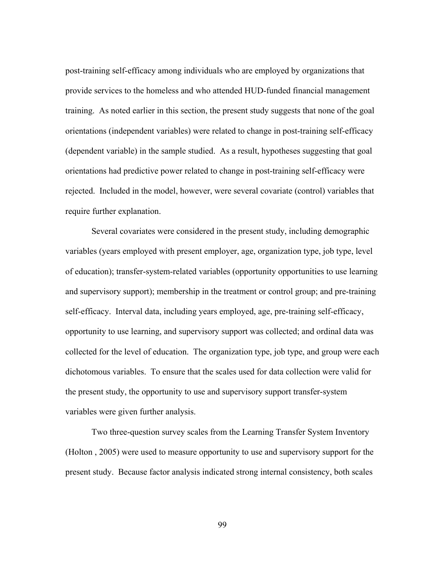post-training self-efficacy among individuals who are employed by organizations that provide services to the homeless and who attended HUD-funded financial management training. As noted earlier in this section, the present study suggests that none of the goal orientations (independent variables) were related to change in post-training self-efficacy (dependent variable) in the sample studied. As a result, hypotheses suggesting that goal orientations had predictive power related to change in post-training self-efficacy were rejected. Included in the model, however, were several covariate (control) variables that require further explanation.

 Several covariates were considered in the present study, including demographic variables (years employed with present employer, age, organization type, job type, level of education); transfer-system-related variables (opportunity opportunities to use learning and supervisory support); membership in the treatment or control group; and pre-training self-efficacy. Interval data, including years employed, age, pre-training self-efficacy, opportunity to use learning, and supervisory support was collected; and ordinal data was collected for the level of education. The organization type, job type, and group were each dichotomous variables. To ensure that the scales used for data collection were valid for the present study, the opportunity to use and supervisory support transfer-system variables were given further analysis.

Two three-question survey scales from the Learning Transfer System Inventory (Holton , 2005) were used to measure opportunity to use and supervisory support for the present study. Because factor analysis indicated strong internal consistency, both scales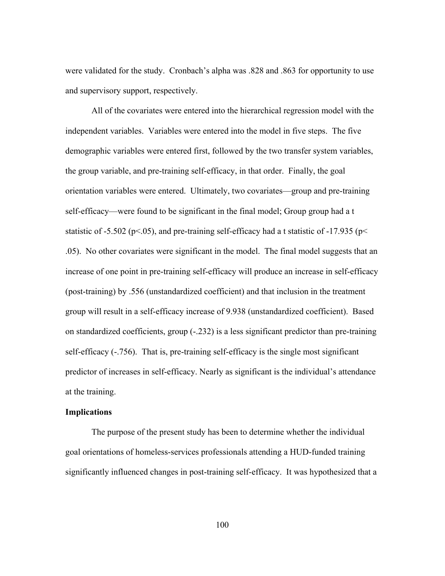were validated for the study. Cronbach's alpha was .828 and .863 for opportunity to use and supervisory support, respectively.

All of the covariates were entered into the hierarchical regression model with the independent variables. Variables were entered into the model in five steps. The five demographic variables were entered first, followed by the two transfer system variables, the group variable, and pre-training self-efficacy, in that order. Finally, the goal orientation variables were entered. Ultimately, two covariates—group and pre-training self-efficacy—were found to be significant in the final model; Group group had a t statistic of -5.502 ( $p$ <.05), and pre-training self-efficacy had a t statistic of -17.935 ( $p$  < .05). No other covariates were significant in the model. The final model suggests that an increase of one point in pre-training self-efficacy will produce an increase in self-efficacy (post-training) by .556 (unstandardized coefficient) and that inclusion in the treatment group will result in a self-efficacy increase of 9.938 (unstandardized coefficient). Based on standardized coefficients, group (-.232) is a less significant predictor than pre-training self-efficacy (-.756). That is, pre-training self-efficacy is the single most significant predictor of increases in self-efficacy. Nearly as significant is the individual's attendance at the training.

## **Implications**

The purpose of the present study has been to determine whether the individual goal orientations of homeless-services professionals attending a HUD-funded training significantly influenced changes in post-training self-efficacy. It was hypothesized that a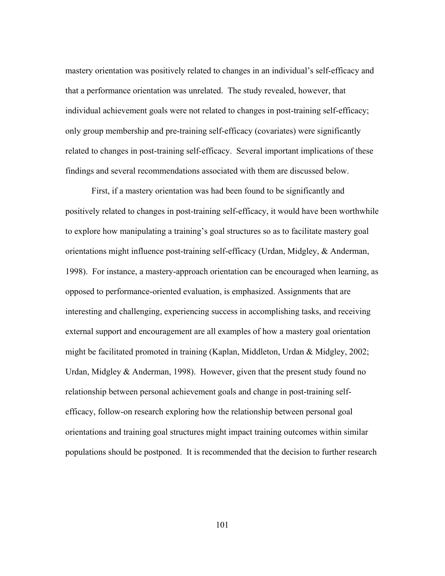mastery orientation was positively related to changes in an individual's self-efficacy and that a performance orientation was unrelated. The study revealed, however, that individual achievement goals were not related to changes in post-training self-efficacy; only group membership and pre-training self-efficacy (covariates) were significantly related to changes in post-training self-efficacy. Several important implications of these findings and several recommendations associated with them are discussed below.

First, if a mastery orientation was had been found to be significantly and positively related to changes in post-training self-efficacy, it would have been worthwhile to explore how manipulating a training's goal structures so as to facilitate mastery goal orientations might influence post-training self-efficacy (Urdan, Midgley, & Anderman, 1998). For instance, a mastery-approach orientation can be encouraged when learning, as opposed to performance-oriented evaluation, is emphasized. Assignments that are interesting and challenging, experiencing success in accomplishing tasks, and receiving external support and encouragement are all examples of how a mastery goal orientation might be facilitated promoted in training (Kaplan, Middleton, Urdan & Midgley, 2002; Urdan, Midgley & Anderman, 1998). However, given that the present study found no relationship between personal achievement goals and change in post-training selfefficacy, follow-on research exploring how the relationship between personal goal orientations and training goal structures might impact training outcomes within similar populations should be postponed. It is recommended that the decision to further research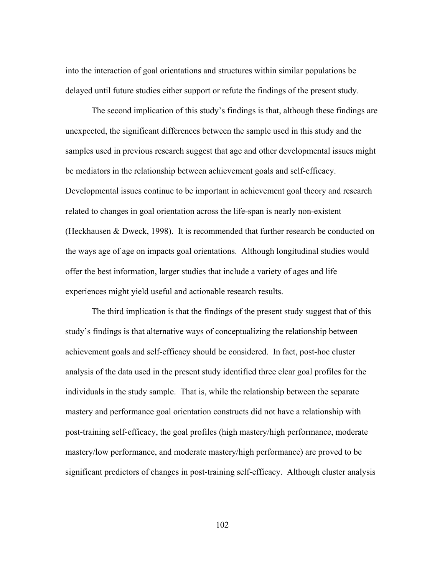into the interaction of goal orientations and structures within similar populations be delayed until future studies either support or refute the findings of the present study.

The second implication of this study's findings is that, although these findings are unexpected, the significant differences between the sample used in this study and the samples used in previous research suggest that age and other developmental issues might be mediators in the relationship between achievement goals and self-efficacy. Developmental issues continue to be important in achievement goal theory and research related to changes in goal orientation across the life-span is nearly non-existent (Heckhausen & Dweck, 1998). It is recommended that further research be conducted on the ways age of age on impacts goal orientations. Although longitudinal studies would offer the best information, larger studies that include a variety of ages and life experiences might yield useful and actionable research results.

The third implication is that the findings of the present study suggest that of this study's findings is that alternative ways of conceptualizing the relationship between achievement goals and self-efficacy should be considered. In fact, post-hoc cluster analysis of the data used in the present study identified three clear goal profiles for the individuals in the study sample. That is, while the relationship between the separate mastery and performance goal orientation constructs did not have a relationship with post-training self-efficacy, the goal profiles (high mastery/high performance, moderate mastery/low performance, and moderate mastery/high performance) are proved to be significant predictors of changes in post-training self-efficacy. Although cluster analysis

102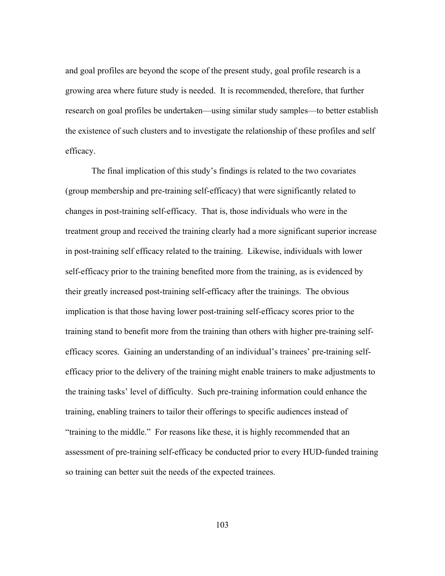and goal profiles are beyond the scope of the present study, goal profile research is a growing area where future study is needed. It is recommended, therefore, that further research on goal profiles be undertaken—using similar study samples—to better establish the existence of such clusters and to investigate the relationship of these profiles and self efficacy.

The final implication of this study's findings is related to the two covariates (group membership and pre-training self-efficacy) that were significantly related to changes in post-training self-efficacy. That is, those individuals who were in the treatment group and received the training clearly had a more significant superior increase in post-training self efficacy related to the training. Likewise, individuals with lower self-efficacy prior to the training benefited more from the training, as is evidenced by their greatly increased post-training self-efficacy after the trainings. The obvious implication is that those having lower post-training self-efficacy scores prior to the training stand to benefit more from the training than others with higher pre-training selfefficacy scores. Gaining an understanding of an individual's trainees' pre-training selfefficacy prior to the delivery of the training might enable trainers to make adjustments to the training tasks' level of difficulty. Such pre-training information could enhance the training, enabling trainers to tailor their offerings to specific audiences instead of "training to the middle." For reasons like these, it is highly recommended that an assessment of pre-training self-efficacy be conducted prior to every HUD-funded training so training can better suit the needs of the expected trainees.

103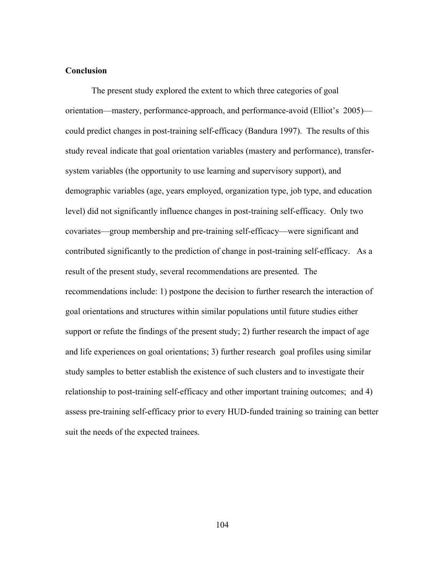#### **Conclusion**

The present study explored the extent to which three categories of goal orientation—mastery, performance-approach, and performance-avoid (Elliot's 2005) could predict changes in post-training self-efficacy (Bandura 1997). The results of this study reveal indicate that goal orientation variables (mastery and performance), transfersystem variables (the opportunity to use learning and supervisory support), and demographic variables (age, years employed, organization type, job type, and education level) did not significantly influence changes in post-training self-efficacy. Only two covariates—group membership and pre-training self-efficacy—were significant and contributed significantly to the prediction of change in post-training self-efficacy. As a result of the present study, several recommendations are presented. The recommendations include: 1) postpone the decision to further research the interaction of goal orientations and structures within similar populations until future studies either support or refute the findings of the present study; 2) further research the impact of age and life experiences on goal orientations; 3) further research goal profiles using similar study samples to better establish the existence of such clusters and to investigate their relationship to post-training self-efficacy and other important training outcomes; and 4) assess pre-training self-efficacy prior to every HUD-funded training so training can better suit the needs of the expected trainees.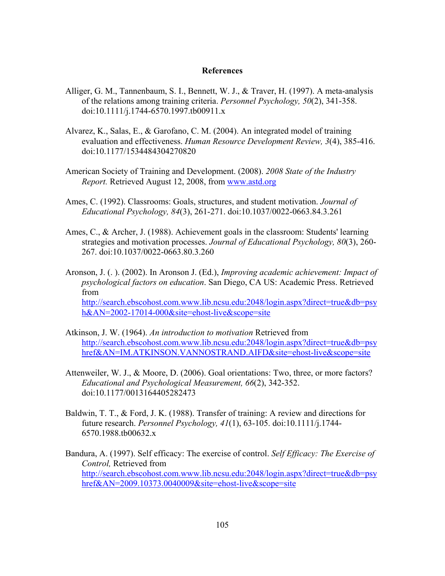#### **References**

- Alliger, G. M., Tannenbaum, S. I., Bennett, W. J., & Traver, H. (1997). A meta-analysis of the relations among training criteria. *Personnel Psychology, 50*(2), 341-358. doi:10.1111/j.1744-6570.1997.tb00911.x
- Alvarez, K., Salas, E., & Garofano, C. M. (2004). An integrated model of training evaluation and effectiveness. *Human Resource Development Review, 3*(4), 385-416. doi:10.1177/1534484304270820
- American Society of Training and Development. (2008). *2008 State of the Industry Report.* Retrieved August 12, 2008, from www.astd.org
- Ames, C. (1992). Classrooms: Goals, structures, and student motivation. *Journal of Educational Psychology, 84*(3), 261-271. doi:10.1037/0022-0663.84.3.261
- Ames, C., & Archer, J. (1988). Achievement goals in the classroom: Students' learning strategies and motivation processes. *Journal of Educational Psychology, 80*(3), 260- 267. doi:10.1037/0022-0663.80.3.260
- Aronson, J. (. ). (2002). In Aronson J. (Ed.), *Improving academic achievement: Impact of psychological factors on education*. San Diego, CA US: Academic Press. Retrieved from http://search.ebscohost.com.www.lib.ncsu.edu:2048/login.aspx?direct=true&db=psy h&AN=2002-17014-000&site=ehost-live&scope=site
- Atkinson, J. W. (1964). *An introduction to motivation* Retrieved from http://search.ebscohost.com.www.lib.ncsu.edu:2048/login.aspx?direct=true&db=psy href&AN=IM.ATKINSON.VANNOSTRAND.AIFD&site=ehost-live&scope=site
- Attenweiler, W. J., & Moore, D. (2006). Goal orientations: Two, three, or more factors? *Educational and Psychological Measurement, 66*(2), 342-352. doi:10.1177/0013164405282473
- Baldwin, T. T., & Ford, J. K. (1988). Transfer of training: A review and directions for future research. *Personnel Psychology, 41*(1), 63-105. doi:10.1111/j.1744- 6570.1988.tb00632.x
- Bandura, A. (1997). Self efficacy: The exercise of control. *Self Efficacy: The Exercise of Control,* Retrieved from http://search.ebscohost.com.www.lib.ncsu.edu:2048/login.aspx?direct=true&db=psy href&AN=2009.10373.0040009&site=ehost-live&scope=site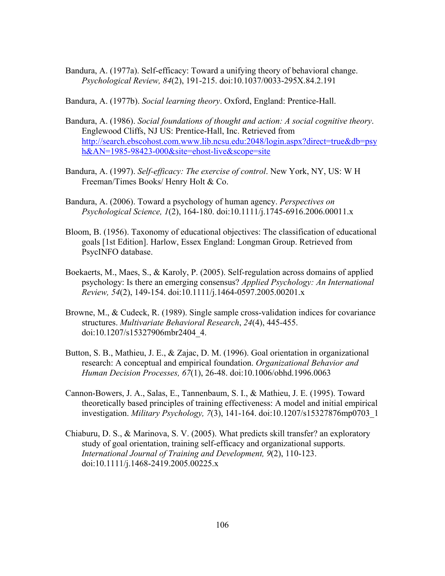Bandura, A. (1977a). Self-efficacy: Toward a unifying theory of behavioral change. *Psychological Review, 84*(2), 191-215. doi:10.1037/0033-295X.84.2.191

Bandura, A. (1977b). *Social learning theory*. Oxford, England: Prentice-Hall.

- Bandura, A. (1986). *Social foundations of thought and action: A social cognitive theory*. Englewood Cliffs, NJ US: Prentice-Hall, Inc. Retrieved from http://search.ebscohost.com.www.lib.ncsu.edu:2048/login.aspx?direct=true&db=psy h&AN=1985-98423-000&site=ehost-live&scope=site
- Bandura, A. (1997). *Self-efficacy: The exercise of control*. New York, NY, US: W H Freeman/Times Books/ Henry Holt & Co.
- Bandura, A. (2006). Toward a psychology of human agency. *Perspectives on Psychological Science, 1*(2), 164-180. doi:10.1111/j.1745-6916.2006.00011.x
- Bloom, B. (1956). Taxonomy of educational objectives: The classification of educational goals [1st Edition]. Harlow, Essex England: Longman Group. Retrieved from PsycINFO database.
- Boekaerts, M., Maes, S., & Karoly, P. (2005). Self-regulation across domains of applied psychology: Is there an emerging consensus? *Applied Psychology: An International Review, 54*(2), 149-154. doi:10.1111/j.1464-0597.2005.00201.x
- Browne, M., & Cudeck, R. (1989). Single sample cross-validation indices for covariance structures. *Multivariate Behavioral Research*, *24*(4), 445-455. doi:10.1207/s15327906mbr2404\_4.
- Button, S. B., Mathieu, J. E., & Zajac, D. M. (1996). Goal orientation in organizational research: A conceptual and empirical foundation. *Organizational Behavior and Human Decision Processes, 67*(1), 26-48. doi:10.1006/obhd.1996.0063
- Cannon-Bowers, J. A., Salas, E., Tannenbaum, S. I., & Mathieu, J. E. (1995). Toward theoretically based principles of training effectiveness: A model and initial empirical investigation. *Military Psychology, 7*(3), 141-164. doi:10.1207/s15327876mp0703\_1
- Chiaburu, D. S., & Marinova, S. V. (2005). What predicts skill transfer? an exploratory study of goal orientation, training self-efficacy and organizational supports. *International Journal of Training and Development, 9*(2), 110-123. doi:10.1111/j.1468-2419.2005.00225.x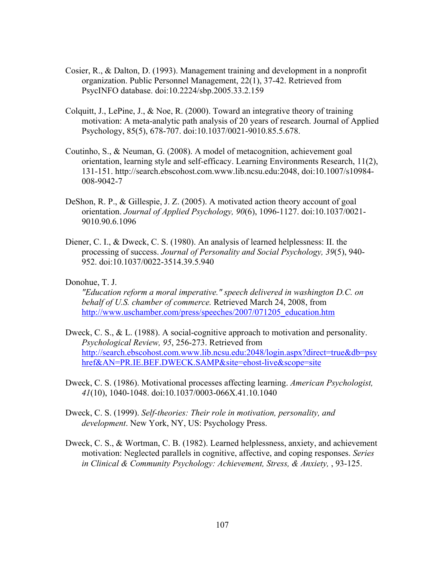- Cosier, R., & Dalton, D. (1993). Management training and development in a nonprofit organization. Public Personnel Management, 22(1), 37-42. Retrieved from PsycINFO database. doi:10.2224/sbp.2005.33.2.159
- Colquitt, J., LePine, J., & Noe, R. (2000). Toward an integrative theory of training motivation: A meta-analytic path analysis of 20 years of research. Journal of Applied Psychology, 85(5), 678-707. doi:10.1037/0021-9010.85.5.678.
- Coutinho, S., & Neuman, G. (2008). A model of metacognition, achievement goal orientation, learning style and self-efficacy. Learning Environments Research, 11(2), 131-151. http://search.ebscohost.com.www.lib.ncsu.edu:2048, doi:10.1007/s10984- 008-9042-7
- DeShon, R. P., & Gillespie, J. Z. (2005). A motivated action theory account of goal orientation. *Journal of Applied Psychology, 90*(6), 1096-1127. doi:10.1037/0021- 9010.90.6.1096
- Diener, C. I., & Dweck, C. S. (1980). An analysis of learned helplessness: II. the processing of success. *Journal of Personality and Social Psychology, 39*(5), 940- 952. doi:10.1037/0022-3514.39.5.940

#### Donohue, T. J.

*"Education reform a moral imperative." speech delivered in washington D.C. on behalf of U.S. chamber of commerce.* Retrieved March 24, 2008, from http://www.uschamber.com/press/speeches/2007/071205\_education.htm

- Dweck, C. S., & L. (1988). A social-cognitive approach to motivation and personality. *Psychological Review, 95*, 256-273. Retrieved from http://search.ebscohost.com.www.lib.ncsu.edu:2048/login.aspx?direct=true&db=psy href&AN=PR.IE.BEF.DWECK.SAMP&site=ehost-live&scope=site
- Dweck, C. S. (1986). Motivational processes affecting learning. *American Psychologist, 41*(10), 1040-1048. doi:10.1037/0003-066X.41.10.1040
- Dweck, C. S. (1999). *Self-theories: Their role in motivation, personality, and development*. New York, NY, US: Psychology Press.
- Dweck, C. S., & Wortman, C. B. (1982). Learned helplessness, anxiety, and achievement motivation: Neglected parallels in cognitive, affective, and coping responses. *Series in Clinical & Community Psychology: Achievement, Stress, & Anxiety, , 93-125.*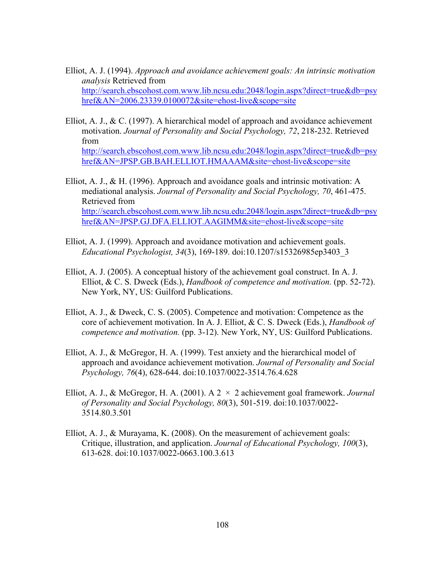- Elliot, A. J. (1994). *Approach and avoidance achievement goals: An intrinsic motivation analysis* Retrieved from http://search.ebscohost.com.www.lib.ncsu.edu:2048/login.aspx?direct=true&db=psy href&AN=2006.23339.0100072&site=ehost-live&scope=site
- Elliot, A. J., & C. (1997). A hierarchical model of approach and avoidance achievement motivation. *Journal of Personality and Social Psychology, 72*, 218-232. Retrieved from http://search.ebscohost.com.www.lib.ncsu.edu:2048/login.aspx?direct=true&db=psy href&AN=JPSP.GB.BAH.ELLIOT.HMAAAM&site=ehost-live&scope=site
- Elliot, A. J., & H. (1996). Approach and avoidance goals and intrinsic motivation: A mediational analysis. *Journal of Personality and Social Psychology, 70*, 461-475. Retrieved from http://search.ebscohost.com.www.lib.ncsu.edu:2048/login.aspx?direct=true&db=psy href&AN=JPSP.GJ.DFA.ELLIOT.AAGIMM&site=ehost-live&scope=site
- Elliot, A. J. (1999). Approach and avoidance motivation and achievement goals. *Educational Psychologist, 34*(3), 169-189. doi:10.1207/s15326985ep3403\_3
- Elliot, A. J. (2005). A conceptual history of the achievement goal construct. In A. J. Elliot, & C. S. Dweck (Eds.), *Handbook of competence and motivation.* (pp. 52-72). New York, NY, US: Guilford Publications.
- Elliot, A. J., & Dweck, C. S. (2005). Competence and motivation: Competence as the core of achievement motivation. In A. J. Elliot, & C. S. Dweck (Eds.), *Handbook of competence and motivation.* (pp. 3-12). New York, NY, US: Guilford Publications.
- Elliot, A. J., & McGregor, H. A. (1999). Test anxiety and the hierarchical model of approach and avoidance achievement motivation. *Journal of Personality and Social Psychology, 76*(4), 628-644. doi:10.1037/0022-3514.76.4.628
- Elliot, A. J., & McGregor, H. A. (2001). A 2 × 2 achievement goal framework. *Journal of Personality and Social Psychology, 80*(3), 501-519. doi:10.1037/0022- 3514.80.3.501
- Elliot, A. J., & Murayama, K. (2008). On the measurement of achievement goals: Critique, illustration, and application. *Journal of Educational Psychology, 100*(3), 613-628. doi:10.1037/0022-0663.100.3.613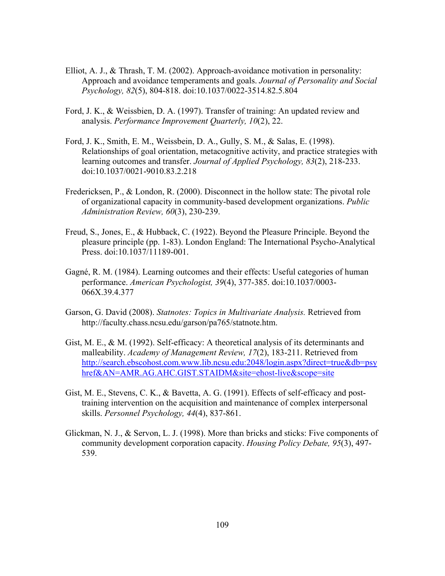- Elliot, A. J., & Thrash, T. M. (2002). Approach-avoidance motivation in personality: Approach and avoidance temperaments and goals. *Journal of Personality and Social Psychology, 82*(5), 804-818. doi:10.1037/0022-3514.82.5.804
- Ford, J. K., & Weissbien, D. A. (1997). Transfer of training: An updated review and analysis. *Performance Improvement Quarterly, 10*(2), 22.
- Ford, J. K., Smith, E. M., Weissbein, D. A., Gully, S. M., & Salas, E. (1998). Relationships of goal orientation, metacognitive activity, and practice strategies with learning outcomes and transfer. *Journal of Applied Psychology, 83*(2), 218-233. doi:10.1037/0021-9010.83.2.218
- Fredericksen, P., & London, R. (2000). Disconnect in the hollow state: The pivotal role of organizational capacity in community-based development organizations. *Public Administration Review, 60*(3), 230-239.
- Freud, S., Jones, E., & Hubback, C. (1922). Beyond the Pleasure Principle. Beyond the pleasure principle (pp. 1-83). London England: The International Psycho-Analytical Press. doi:10.1037/11189-001.
- Gagné, R. M. (1984). Learning outcomes and their effects: Useful categories of human performance. *American Psychologist, 39*(4), 377-385. doi:10.1037/0003- 066X.39.4.377
- Garson, G. David (2008). *Statnotes: Topics in Multivariate Analysis.* Retrieved from http://faculty.chass.ncsu.edu/garson/pa765/statnote.htm.
- Gist, M. E., & M. (1992). Self-efficacy: A theoretical analysis of its determinants and malleability. *Academy of Management Review, 17*(2), 183-211. Retrieved from http://search.ebscohost.com.www.lib.ncsu.edu:2048/login.aspx?direct=true&db=psy href&AN=AMR.AG.AHC.GIST.STAIDM&site=ehost-live&scope=site
- Gist, M. E., Stevens, C. K., & Bavetta, A. G. (1991). Effects of self-efficacy and posttraining intervention on the acquisition and maintenance of complex interpersonal skills. *Personnel Psychology, 44*(4), 837-861.
- Glickman, N. J., & Servon, L. J. (1998). More than bricks and sticks: Five components of community development corporation capacity. *Housing Policy Debate, 95*(3), 497- 539.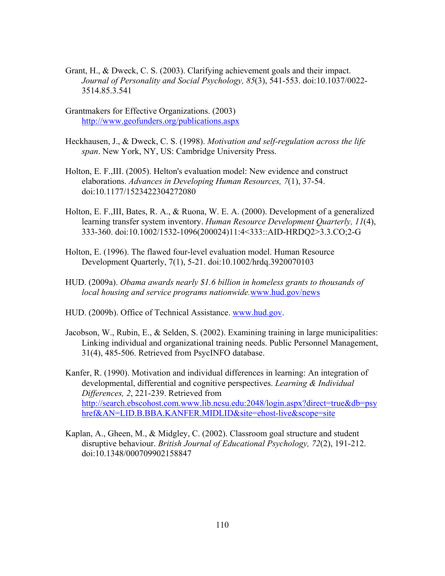- Grant, H., & Dweck, C. S. (2003). Clarifying achievement goals and their impact. *Journal of Personality and Social Psychology, 85*(3), 541-553. doi:10.1037/0022- 3514.85.3.541
- Grantmakers for Effective Organizations. (2003) http://www.geofunders.org/publications.aspx
- Heckhausen, J., & Dweck, C. S. (1998). *Motivation and self-regulation across the life span*. New York, NY, US: Cambridge University Press.
- Holton, E. F.,III. (2005). Helton's evaluation model: New evidence and construct elaborations. *Advances in Developing Human Resources, 7*(1), 37-54. doi:10.1177/1523422304272080
- Holton, E. F.,III, Bates, R. A., & Ruona, W. E. A. (2000). Development of a generalized learning transfer system inventory. *Human Resource Development Quarterly, 11*(4), 333-360. doi:10.1002/1532-1096(200024)11:4<333::AID-HRDQ2>3.3.CO;2-G
- Holton, E. (1996). The flawed four-level evaluation model. Human Resource Development Quarterly, 7(1), 5-21. doi:10.1002/hrdq.3920070103
- HUD. (2009a). *Obama awards nearly \$1.6 billion in homeless grants to thousands of local housing and service programs nationwide.*www.hud.gov/news
- HUD. (2009b). Office of Technical Assistance. www.hud.gov.
- Jacobson, W., Rubin, E., & Selden, S. (2002). Examining training in large municipalities: Linking individual and organizational training needs. Public Personnel Management, 31(4), 485-506. Retrieved from PsycINFO database.
- Kanfer, R. (1990). Motivation and individual differences in learning: An integration of developmental, differential and cognitive perspectives. *Learning & Individual Differences, 2*, 221-239. Retrieved from http://search.ebscohost.com.www.lib.ncsu.edu:2048/login.aspx?direct=true&db=psy href&AN=LID.B.BBA.KANFER.MIDLID&site=ehost-live&scope=site
- Kaplan, A., Gheen, M., & Midgley, C. (2002). Classroom goal structure and student disruptive behaviour. *British Journal of Educational Psychology, 72*(2), 191-212. doi:10.1348/000709902158847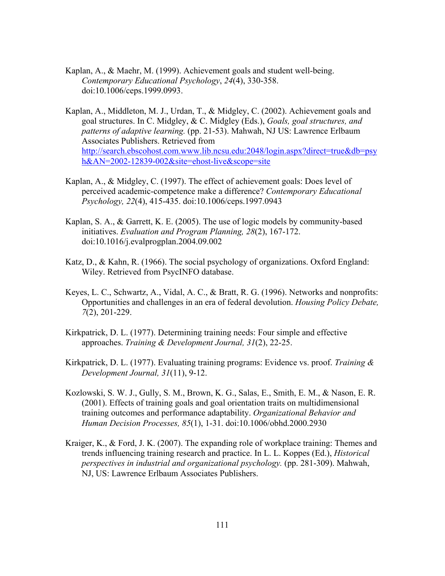- Kaplan, A., & Maehr, M. (1999). Achievement goals and student well-being. *Contemporary Educational Psychology*, *24*(4), 330-358. doi:10.1006/ceps.1999.0993.
- Kaplan, A., Middleton, M. J., Urdan, T., & Midgley, C. (2002). Achievement goals and goal structures. In C. Midgley, & C. Midgley (Eds.), *Goals, goal structures, and patterns of adaptive learning.* (pp. 21-53). Mahwah, NJ US: Lawrence Erlbaum Associates Publishers. Retrieved from http://search.ebscohost.com.www.lib.ncsu.edu:2048/login.aspx?direct=true&db=psy h&AN=2002-12839-002&site=ehost-live&scope=site
- Kaplan, A., & Midgley, C. (1997). The effect of achievement goals: Does level of perceived academic-competence make a difference? *Contemporary Educational Psychology, 22*(4), 415-435. doi:10.1006/ceps.1997.0943
- Kaplan, S. A., & Garrett, K. E. (2005). The use of logic models by community-based initiatives. *Evaluation and Program Planning, 28*(2), 167-172. doi:10.1016/j.evalprogplan.2004.09.002
- Katz, D., & Kahn, R. (1966). The social psychology of organizations. Oxford England: Wiley. Retrieved from PsycINFO database.
- Keyes, L. C., Schwartz, A., Vidal, A. C., & Bratt, R. G. (1996). Networks and nonprofits: Opportunities and challenges in an era of federal devolution. *Housing Policy Debate, 7*(2), 201-229.
- Kirkpatrick, D. L. (1977). Determining training needs: Four simple and effective approaches. *Training & Development Journal, 31*(2), 22-25.
- Kirkpatrick, D. L. (1977). Evaluating training programs: Evidence vs. proof. *Training & Development Journal, 31*(11), 9-12.
- Kozlowski, S. W. J., Gully, S. M., Brown, K. G., Salas, E., Smith, E. M., & Nason, E. R. (2001). Effects of training goals and goal orientation traits on multidimensional training outcomes and performance adaptability. *Organizational Behavior and Human Decision Processes, 85*(1), 1-31. doi:10.1006/obhd.2000.2930
- Kraiger, K., & Ford, J. K. (2007). The expanding role of workplace training: Themes and trends influencing training research and practice. In L. L. Koppes (Ed.), *Historical perspectives in industrial and organizational psychology.* (pp. 281-309). Mahwah, NJ, US: Lawrence Erlbaum Associates Publishers.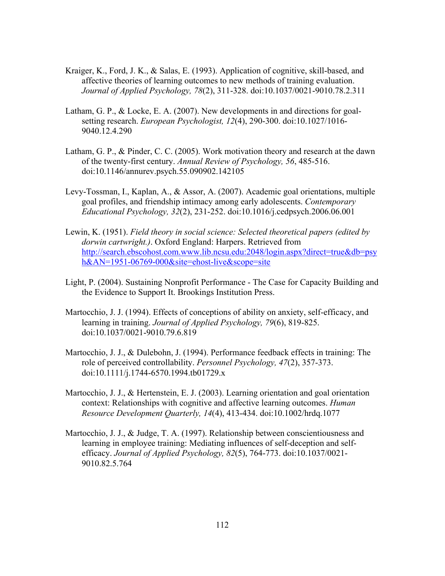- Kraiger, K., Ford, J. K., & Salas, E. (1993). Application of cognitive, skill-based, and affective theories of learning outcomes to new methods of training evaluation. *Journal of Applied Psychology, 78*(2), 311-328. doi:10.1037/0021-9010.78.2.311
- Latham, G. P., & Locke, E. A. (2007). New developments in and directions for goalsetting research. *European Psychologist, 12*(4), 290-300. doi:10.1027/1016- 9040.12.4.290
- Latham, G. P., & Pinder, C. C. (2005). Work motivation theory and research at the dawn of the twenty-first century. *Annual Review of Psychology, 56*, 485-516. doi:10.1146/annurev.psych.55.090902.142105
- Levy-Tossman, I., Kaplan, A., & Assor, A. (2007). Academic goal orientations, multiple goal profiles, and friendship intimacy among early adolescents. *Contemporary Educational Psychology, 32*(2), 231-252. doi:10.1016/j.cedpsych.2006.06.001
- Lewin, K. (1951). *Field theory in social science: Selected theoretical papers (edited by dorwin cartwright.)*. Oxford England: Harpers. Retrieved from http://search.ebscohost.com.www.lib.ncsu.edu:2048/login.aspx?direct=true&db=psy h&AN=1951-06769-000&site=ehost-live&scope=site
- Light, P. (2004). Sustaining Nonprofit Performance The Case for Capacity Building and the Evidence to Support It. Brookings Institution Press.
- Martocchio, J. J. (1994). Effects of conceptions of ability on anxiety, self-efficacy, and learning in training. *Journal of Applied Psychology, 79*(6), 819-825. doi:10.1037/0021-9010.79.6.819
- Martocchio, J. J., & Dulebohn, J. (1994). Performance feedback effects in training: The role of perceived controllability. *Personnel Psychology, 47*(2), 357-373. doi:10.1111/j.1744-6570.1994.tb01729.x
- Martocchio, J. J., & Hertenstein, E. J. (2003). Learning orientation and goal orientation context: Relationships with cognitive and affective learning outcomes. *Human Resource Development Quarterly, 14*(4), 413-434. doi:10.1002/hrdq.1077
- Martocchio, J. J., & Judge, T. A. (1997). Relationship between conscientiousness and learning in employee training: Mediating influences of self-deception and selfefficacy. *Journal of Applied Psychology, 82*(5), 764-773. doi:10.1037/0021- 9010.82.5.764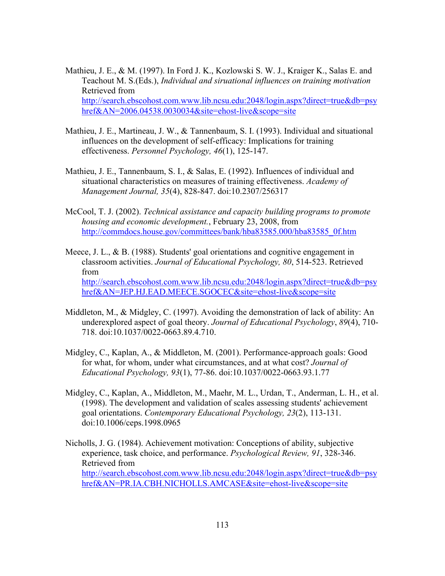Mathieu, J. E., & M. (1997). In Ford J. K., Kozlowski S. W. J., Kraiger K., Salas E. and Teachout M. S.(Eds.), *Individual and siruational influences on training motivation* Retrieved from http://search.ebscohost.com.www.lib.ncsu.edu:2048/login.aspx?direct=true&db=psy href&AN=2006.04538.0030034&site=ehost-live&scope=site

- Mathieu, J. E., Martineau, J. W., & Tannenbaum, S. I. (1993). Individual and situational influences on the development of self-efficacy: Implications for training effectiveness. *Personnel Psychology, 46*(1), 125-147.
- Mathieu, J. E., Tannenbaum, S. I., & Salas, E. (1992). Influences of individual and situational characteristics on measures of training effectiveness. *Academy of Management Journal, 35*(4), 828-847. doi:10.2307/256317
- McCool, T. J. (2002). *Technical assistance and capacity building programs to promote housing and economic development.*, February 23, 2008, from http://commdocs.house.gov/committees/bank/hba83585.000/hba83585\_0f.htm
- Meece, J. L., & B. (1988). Students' goal orientations and cognitive engagement in classroom activities. *Journal of Educational Psychology, 80*, 514-523. Retrieved from http://search.ebscohost.com.www.lib.ncsu.edu:2048/login.aspx?direct=true&db=psy href&AN=JEP.HJ.EAD.MEECE.SGOCEC&site=ehost-live&scope=site
- Middleton, M., & Midgley, C. (1997). Avoiding the demonstration of lack of ability: An underexplored aspect of goal theory. *Journal of Educational Psychology*, *89*(4), 710- 718. doi:10.1037/0022-0663.89.4.710.
- Midgley, C., Kaplan, A., & Middleton, M. (2001). Performance-approach goals: Good for what, for whom, under what circumstances, and at what cost? *Journal of Educational Psychology, 93*(1), 77-86. doi:10.1037/0022-0663.93.1.77
- Midgley, C., Kaplan, A., Middleton, M., Maehr, M. L., Urdan, T., Anderman, L. H., et al. (1998). The development and validation of scales assessing students' achievement goal orientations. *Contemporary Educational Psychology, 23*(2), 113-131. doi:10.1006/ceps.1998.0965
- Nicholls, J. G. (1984). Achievement motivation: Conceptions of ability, subjective experience, task choice, and performance. *Psychological Review, 91*, 328-346. Retrieved from http://search.ebscohost.com.www.lib.ncsu.edu:2048/login.aspx?direct=true&db=psy href&AN=PR.IA.CBH.NICHOLLS.AMCASE&site=ehost-live&scope=site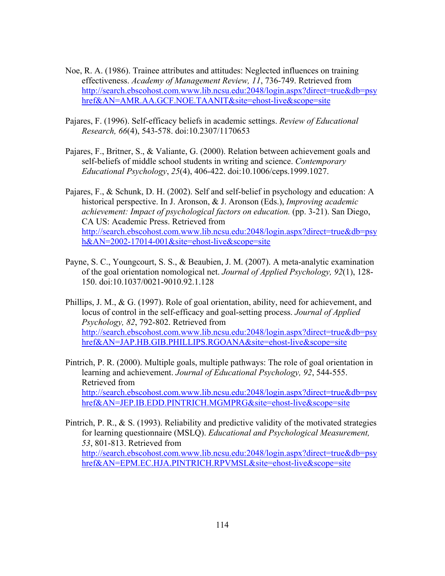- Noe, R. A. (1986). Trainee attributes and attitudes: Neglected influences on training effectiveness. *Academy of Management Review, 11*, 736-749. Retrieved from http://search.ebscohost.com.www.lib.ncsu.edu:2048/login.aspx?direct=true&db=psy href&AN=AMR.AA.GCF.NOE.TAANIT&site=ehost-live&scope=site
- Pajares, F. (1996). Self-efficacy beliefs in academic settings. *Review of Educational Research, 66*(4), 543-578. doi:10.2307/1170653
- Pajares, F., Britner, S., & Valiante, G. (2000). Relation between achievement goals and self-beliefs of middle school students in writing and science. *Contemporary Educational Psychology*, *25*(4), 406-422. doi:10.1006/ceps.1999.1027.

Pajares, F., & Schunk, D. H. (2002). Self and self-belief in psychology and education: A historical perspective. In J. Aronson, & J. Aronson (Eds.), *Improving academic achievement: Impact of psychological factors on education.* (pp. 3-21). San Diego, CA US: Academic Press. Retrieved from http://search.ebscohost.com.www.lib.ncsu.edu:2048/login.aspx?direct=true&db=psy h&AN=2002-17014-001&site=ehost-live&scope=site

- Payne, S. C., Youngcourt, S. S., & Beaubien, J. M. (2007). A meta-analytic examination of the goal orientation nomological net. *Journal of Applied Psychology, 92*(1), 128- 150. doi:10.1037/0021-9010.92.1.128
- Phillips, J. M., & G. (1997). Role of goal orientation, ability, need for achievement, and locus of control in the self-efficacy and goal-setting process. *Journal of Applied Psychology, 82*, 792-802. Retrieved from http://search.ebscohost.com.www.lib.ncsu.edu:2048/login.aspx?direct=true&db=psy href&AN=JAP.HB.GIB.PHILLIPS.RGOANA&site=ehost-live&scope=site
- Pintrich, P. R. (2000). Multiple goals, multiple pathways: The role of goal orientation in learning and achievement. *Journal of Educational Psychology, 92*, 544-555. Retrieved from http://search.ebscohost.com.www.lib.ncsu.edu:2048/login.aspx?direct=true&db=psy href&AN=JEP.IB.EDD.PINTRICH.MGMPRG&site=ehost-live&scope=site
- Pintrich, P. R., & S. (1993). Reliability and predictive validity of the motivated strategies for learning questionnaire (MSLQ). *Educational and Psychological Measurement, 53*, 801-813. Retrieved from http://search.ebscohost.com.www.lib.ncsu.edu:2048/login.aspx?direct=true&db=psy href&AN=EPM.EC.HJA.PINTRICH.RPVMSL&site=ehost-live&scope=site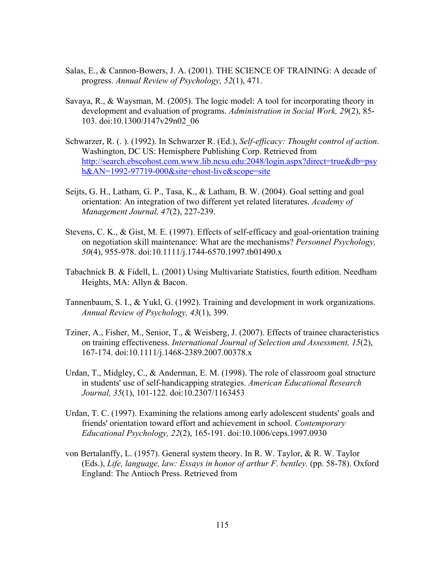- Salas, E., & Cannon-Bowers, J. A. (2001). THE SCIENCE OF TRAINING: A decade of progress. *Annual Review of Psychology, 52*(1), 471.
- Savaya, R., & Waysman, M. (2005). The logic model: A tool for incorporating theory in development and evaluation of programs. *Administration in Social Work, 29*(2), 85- 103. doi:10.1300/J147v29n02\_06
- Schwarzer, R. (. ). (1992). In Schwarzer R. (Ed.), *Self-efficacy: Thought control of action*. Washington, DC US: Hemisphere Publishing Corp. Retrieved from http://search.ebscohost.com.www.lib.ncsu.edu:2048/login.aspx?direct=true&db=psy h&AN=1992-97719-000&site=ehost-live&scope=site
- Seijts, G. H., Latham, G. P., Tasa, K., & Latham, B. W. (2004). Goal setting and goal orientation: An integration of two different yet related literatures. *Academy of Management Journal, 47*(2), 227-239.
- Stevens, C. K., & Gist, M. E. (1997). Effects of self-efficacy and goal-orientation training on negotiation skill maintenance: What are the mechanisms? *Personnel Psychology, 50*(4), 955-978. doi:10.1111/j.1744-6570.1997.tb01490.x
- Tabachnick B. & Fidell, L. (2001) Using Multivariate Statistics, fourth edition. Needham Heights, MA: Allyn & Bacon.
- Tannenbaum, S. I., & Yukl, G. (1992). Training and development in work organizations. *Annual Review of Psychology, 43*(1), 399.
- Tziner, A., Fisher, M., Senior, T., & Weisberg, J. (2007). Effects of trainee characteristics on training effectiveness. *International Journal of Selection and Assessment, 15*(2), 167-174. doi:10.1111/j.1468-2389.2007.00378.x
- Urdan, T., Midgley, C., & Anderman, E. M. (1998). The role of classroom goal structure in students' use of self-handicapping strategies. *American Educational Research Journal, 35*(1), 101-122. doi:10.2307/1163453
- Urdan, T. C. (1997). Examining the relations among early adolescent students' goals and friends' orientation toward effort and achievement in school. *Contemporary Educational Psychology, 22*(2), 165-191. doi:10.1006/ceps.1997.0930
- von Bertalanffy, L. (1957). General system theory. In R. W. Taylor, & R. W. Taylor (Eds.), *Life, language, law: Essays in honor of arthur F. bentley.* (pp. 58-78). Oxford England: The Antioch Press. Retrieved from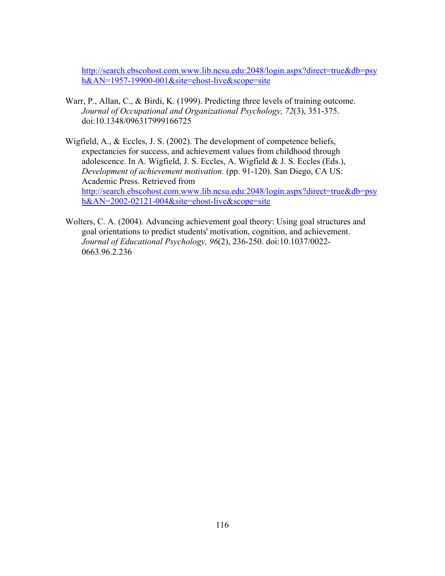http://search.ebscohost.com.www.lib.ncsu.edu:2048/login.aspx?direct=true&db=psy h&AN=1957-19900-001&site=ehost-live&scope=site

- Warr, P., Allan, C., & Birdi, K. (1999). Predicting three levels of training outcome. *Journal of Occupational and Organizational Psychology, 72*(3), 351-375. doi:10.1348/096317999166725
- Wigfield, A., & Eccles, J. S. (2002). The development of competence beliefs, expectancies for success, and achievement values from childhood through adolescence. In A. Wigfield, J. S. Eccles, A. Wigfield & J. S. Eccles (Eds.), *Development of achievement motivation.* (pp. 91-120). San Diego, CA US: Academic Press. Retrieved from http://search.ebscohost.com.www.lib.ncsu.edu:2048/login.aspx?direct=true&db=psy h&AN=2002-02121-004&site=ehost-live&scope=site
- Wolters, C. A. (2004). Advancing achievement goal theory: Using goal structures and goal orientations to predict students' motivation, cognition, and achievement. *Journal of Educational Psychology, 96*(2), 236-250. doi:10.1037/0022- 0663.96.2.236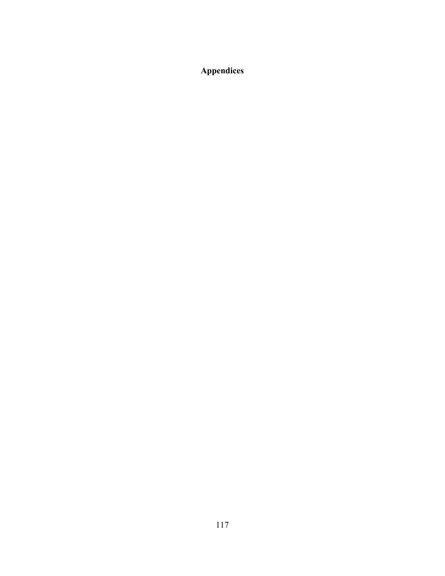**Appendices**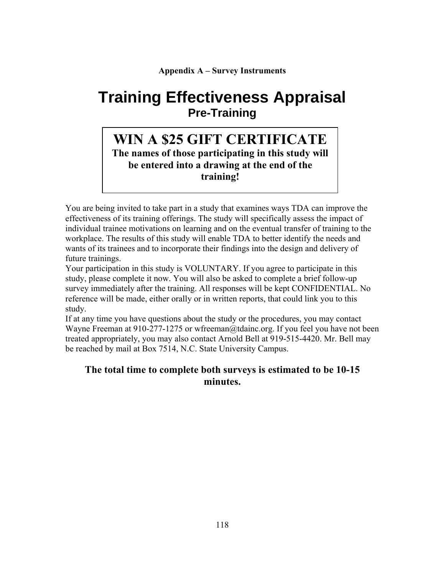### **Appendix A – Survey Instruments**

# **Training Effectiveness Appraisal Pre-Training**

## **WIN A \$25 GIFT CERTIFICATE The names of those participating in this study will be entered into a drawing at the end of the training!**

You are being invited to take part in a study that examines ways TDA can improve the effectiveness of its training offerings. The study will specifically assess the impact of individual trainee motivations on learning and on the eventual transfer of training to the workplace. The results of this study will enable TDA to better identify the needs and wants of its trainees and to incorporate their findings into the design and delivery of future trainings.

Your participation in this study is VOLUNTARY. If you agree to participate in this study, please complete it now. You will also be asked to complete a brief follow-up survey immediately after the training. All responses will be kept CONFIDENTIAL. No reference will be made, either orally or in written reports, that could link you to this study.

If at any time you have questions about the study or the procedures, you may contact Wayne Freeman at 910-277-1275 or wfreeman@tdainc.org. If you feel you have not been treated appropriately, you may also contact Arnold Bell at 919-515-4420. Mr. Bell may be reached by mail at Box 7514, N.C. State University Campus.

### **The total time to complete both surveys is estimated to be 10-15 minutes.**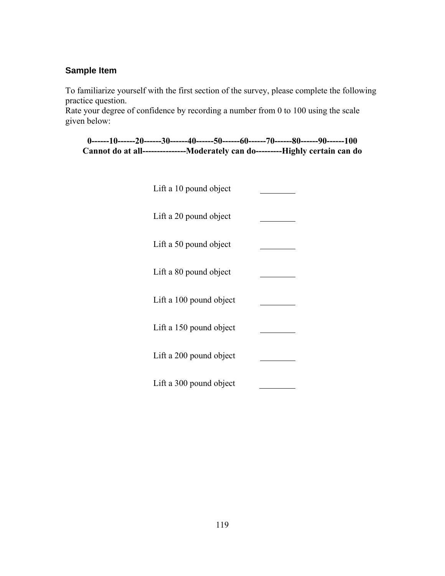### **Sample Item**

To familiarize yourself with the first section of the survey, please complete the following practice question.

Rate your degree of confidence by recording a number from 0 to 100 using the scale given below:

|                                                                                      | $0$ ------10------20------30------40------50------60------70------80------90------100 |  |  |  |  |
|--------------------------------------------------------------------------------------|---------------------------------------------------------------------------------------|--|--|--|--|
| Cannot do at all-------------------Moderately can do-----------Highly certain can do |                                                                                       |  |  |  |  |

| Lift a 10 pound object  |  |
|-------------------------|--|
| Lift a 20 pound object  |  |
| Lift a 50 pound object  |  |
| Lift a 80 pound object  |  |
| Lift a 100 pound object |  |
| Lift a 150 pound object |  |
| Lift a 200 pound object |  |
| Lift a 300 pound object |  |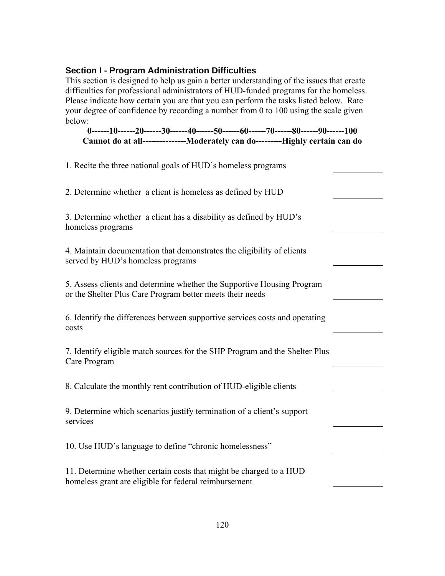### **Section I - Program Administration Difficulties**

This section is designed to help us gain a better understanding of the issues that create difficulties for professional administrators of HUD-funded programs for the homeless. Please indicate how certain you are that you can perform the tasks listed below. Rate your degree of confidence by recording a number from 0 to 100 using the scale given below:

**0------10------20------30------40------50------60------70------80------90------100 Cannot do at all---------------Moderately can do---------Highly certain can do**

| 1. Recite the three national goals of HUD's homeless programs                                                                       |  |
|-------------------------------------------------------------------------------------------------------------------------------------|--|
| 2. Determine whether a client is homeless as defined by HUD                                                                         |  |
| 3. Determine whether a client has a disability as defined by HUD's<br>homeless programs                                             |  |
| 4. Maintain documentation that demonstrates the eligibility of clients<br>served by HUD's homeless programs                         |  |
| 5. Assess clients and determine whether the Supportive Housing Program<br>or the Shelter Plus Care Program better meets their needs |  |
| 6. Identify the differences between supportive services costs and operating<br>costs                                                |  |
| 7. Identify eligible match sources for the SHP Program and the Shelter Plus<br>Care Program                                         |  |
| 8. Calculate the monthly rent contribution of HUD-eligible clients                                                                  |  |
| 9. Determine which scenarios justify termination of a client's support<br>services                                                  |  |
| 10. Use HUD's language to define "chronic homelessness"                                                                             |  |
| 11. Determine whether certain costs that might be charged to a HUD<br>homeless grant are eligible for federal reimbursement         |  |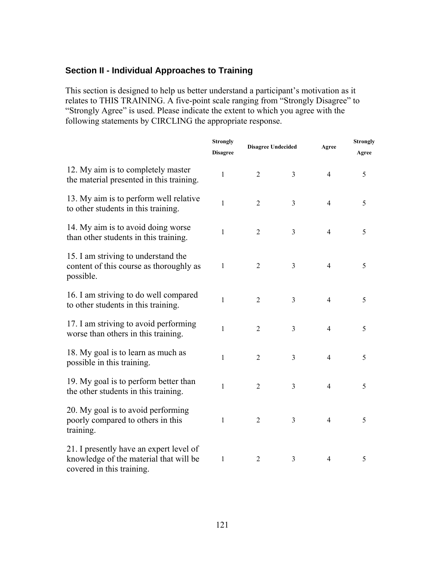### **Section II - Individual Approaches to Training**

This section is designed to help us better understand a participant's motivation as it relates to THIS TRAINING. A five-point scale ranging from "Strongly Disagree" to "Strongly Agree" is used. Please indicate the extent to which you agree with the following statements by CIRCLING the appropriate response.

|                                                                                                                | <b>Strongly</b><br><b>Disagree</b> | <b>Disagree Undecided</b> |                | Agree          | <b>Strongly</b><br>Agree |
|----------------------------------------------------------------------------------------------------------------|------------------------------------|---------------------------|----------------|----------------|--------------------------|
| 12. My aim is to completely master<br>the material presented in this training.                                 | $\mathbf{1}$                       | $\overline{2}$            | 3              | $\overline{4}$ | 5                        |
| 13. My aim is to perform well relative<br>to other students in this training.                                  | $\mathbf{1}$                       | $\overline{2}$            | $\overline{3}$ | $\overline{4}$ | 5                        |
| 14. My aim is to avoid doing worse<br>than other students in this training.                                    | $\mathbf{1}$                       | $\overline{2}$            | $\mathfrak{Z}$ | $\overline{4}$ | 5                        |
| 15. I am striving to understand the<br>content of this course as thoroughly as<br>possible.                    | 1                                  | $\overline{2}$            | $\overline{3}$ | $\overline{4}$ | 5                        |
| 16. I am striving to do well compared<br>to other students in this training.                                   | $\mathbf{1}$                       | $\overline{2}$            | $\overline{3}$ | $\overline{4}$ | 5                        |
| 17. I am striving to avoid performing<br>worse than others in this training.                                   | $\mathbf{1}$                       | $\overline{2}$            | $\mathfrak{Z}$ | $\overline{4}$ | 5                        |
| 18. My goal is to learn as much as<br>possible in this training.                                               | $\mathbf{1}$                       | $\overline{2}$            | $\overline{3}$ | $\overline{4}$ | 5                        |
| 19. My goal is to perform better than<br>the other students in this training.                                  | $\mathbf{1}$                       | $\overline{2}$            | 3              | $\overline{4}$ | 5                        |
| 20. My goal is to avoid performing<br>poorly compared to others in this<br>training.                           | $\mathbf{1}$                       | $\overline{2}$            | 3              | $\overline{4}$ | 5                        |
| 21. I presently have an expert level of<br>knowledge of the material that will be<br>covered in this training. | 1                                  | $\overline{2}$            | 3              | $\overline{4}$ | 5                        |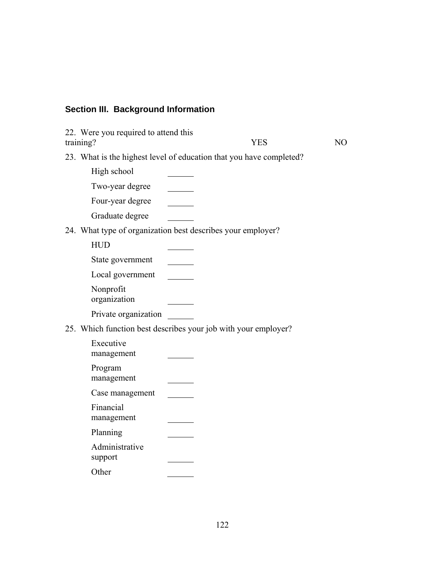## **Section III. Background Information**

| 22. Were you required to attend this<br>training? | <b>YES</b>                                                          | NO. |
|---------------------------------------------------|---------------------------------------------------------------------|-----|
|                                                   | 23. What is the highest level of education that you have completed? |     |
| High school                                       |                                                                     |     |
| Two-year degree                                   |                                                                     |     |
| Four-year degree                                  |                                                                     |     |
| Graduate degree                                   |                                                                     |     |
|                                                   | 24. What type of organization best describes your employer?         |     |
| <b>HUD</b>                                        |                                                                     |     |
| State government                                  |                                                                     |     |
| Local government                                  |                                                                     |     |
| Nonprofit<br>organization                         |                                                                     |     |
| Private organization                              |                                                                     |     |
|                                                   | 25. Which function best describes your job with your employer?      |     |
| Executive<br>management                           |                                                                     |     |
| Program<br>management                             |                                                                     |     |
| Case management                                   |                                                                     |     |
| Financial<br>management                           |                                                                     |     |
| Planning                                          |                                                                     |     |
| Administrative<br>support                         |                                                                     |     |
| Other                                             |                                                                     |     |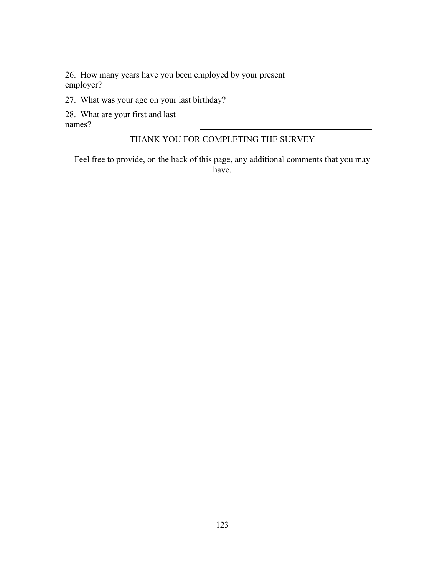26. How many years have you been employed by your present employer?

27. What was your age on your last birthday?

28. What are your first and last

names?

### THANK YOU FOR COMPLETING THE SURVEY

Feel free to provide, on the back of this page, any additional comments that you may have.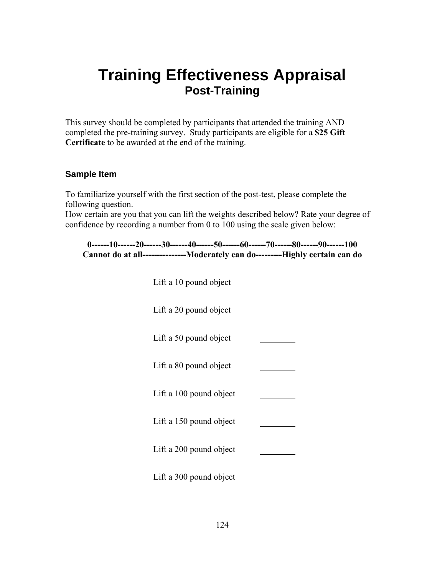# **Training Effectiveness Appraisal Post-Training**

This survey should be completed by participants that attended the training AND completed the pre-training survey. Study participants are eligible for a **\$25 Gift Certificate** to be awarded at the end of the training.

### **Sample Item**

To familiarize yourself with the first section of the post-test, please complete the following question.

How certain are you that you can lift the weights described below? Rate your degree of confidence by recording a number from 0 to 100 using the scale given below:

**0------10------20------30------40------50------60------70------80------90------100 Cannot do at all---------------Moderately can do---------Highly certain can do** 

| Lift a 10 pound object  |  |
|-------------------------|--|
| Lift a 20 pound object  |  |
| Lift a 50 pound object  |  |
| Lift a 80 pound object  |  |
| Lift a 100 pound object |  |
| Lift a 150 pound object |  |
| Lift a 200 pound object |  |
| Lift a 300 pound object |  |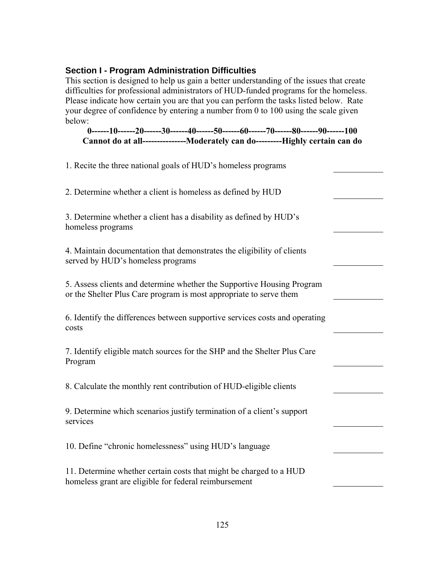### **Section I - Program Administration Difficulties**

This section is designed to help us gain a better understanding of the issues that create difficulties for professional administrators of HUD-funded programs for the homeless. Please indicate how certain you are that you can perform the tasks listed below. Rate your degree of confidence by entering a number from 0 to 100 using the scale given below:

**0------10------20------30------40------50------60------70------80------90------100 Cannot do at all---------------Moderately can do---------Highly certain can do**

| 1. Recite the three national goals of HUD's homeless programs                                                                                |  |
|----------------------------------------------------------------------------------------------------------------------------------------------|--|
| 2. Determine whether a client is homeless as defined by HUD                                                                                  |  |
| 3. Determine whether a client has a disability as defined by HUD's<br>homeless programs                                                      |  |
| 4. Maintain documentation that demonstrates the eligibility of clients<br>served by HUD's homeless programs                                  |  |
| 5. Assess clients and determine whether the Supportive Housing Program<br>or the Shelter Plus Care program is most appropriate to serve them |  |
| 6. Identify the differences between supportive services costs and operating<br>costs                                                         |  |
| 7. Identify eligible match sources for the SHP and the Shelter Plus Care<br>Program                                                          |  |
| 8. Calculate the monthly rent contribution of HUD-eligible clients                                                                           |  |
| 9. Determine which scenarios justify termination of a client's support<br>services                                                           |  |
| 10. Define "chronic homelessness" using HUD's language                                                                                       |  |
| 11. Determine whether certain costs that might be charged to a HUD<br>homeless grant are eligible for federal reimbursement                  |  |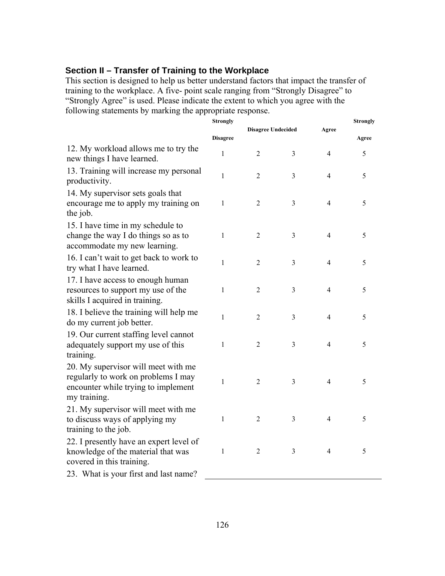### **Section II – Transfer of Training to the Workplace**

This section is designed to help us better understand factors that impact the transfer of training to the workplace. A five- point scale ranging from "Strongly Disagree" to "Strongly Agree" is used. Please indicate the extent to which you agree with the following statements by marking the appropriate response.

|                                                                                                                                   | <b>Strongly</b> |                           |                |                | <b>Strongly</b> |
|-----------------------------------------------------------------------------------------------------------------------------------|-----------------|---------------------------|----------------|----------------|-----------------|
|                                                                                                                                   | <b>Disagree</b> | <b>Disagree Undecided</b> |                | Agree          | Agree           |
| 12. My workload allows me to try the<br>new things I have learned.                                                                | $\mathbf{1}$    | $\overline{2}$            | 3              | 4              | 5               |
| 13. Training will increase my personal<br>productivity.                                                                           | $\mathbf{1}$    | $\overline{2}$            | $\mathfrak{Z}$ | $\overline{4}$ | 5               |
| 14. My supervisor sets goals that<br>encourage me to apply my training on<br>the job.                                             | $\mathbf{1}$    | $\overline{2}$            | 3              | $\overline{4}$ | 5               |
| 15. I have time in my schedule to<br>change the way I do things so as to<br>accommodate my new learning.                          | $\mathbf{1}$    | $\overline{2}$            | 3              | $\overline{4}$ | 5               |
| 16. I can't wait to get back to work to<br>try what I have learned.                                                               | $\mathbf{1}$    | $\overline{2}$            | $\mathfrak{Z}$ | 4              | 5               |
| 17. I have access to enough human<br>resources to support my use of the<br>skills I acquired in training.                         | $\mathbf{1}$    | $\overline{2}$            | 3              | $\overline{4}$ | 5               |
| 18. I believe the training will help me<br>do my current job better.                                                              | $\mathbf{1}$    | $\overline{2}$            | 3              | $\overline{4}$ | 5               |
| 19. Our current staffing level cannot<br>adequately support my use of this<br>training.                                           | $\mathbf{1}$    | $\overline{2}$            | $\mathfrak{Z}$ | $\overline{4}$ | 5               |
| 20. My supervisor will meet with me<br>regularly to work on problems I may<br>encounter while trying to implement<br>my training. | 1               | $\overline{2}$            | $\mathfrak{Z}$ | $\overline{4}$ | 5               |
| 21. My supervisor will meet with me<br>to discuss ways of applying my<br>training to the job.                                     | $\mathbf{1}$    | $\overline{2}$            | 3              | $\overline{4}$ | 5               |
| 22. I presently have an expert level of<br>knowledge of the material that was<br>covered in this training.                        | $\mathbf{1}$    | $\overline{2}$            | 3              | $\overline{4}$ | 5               |
| 23. What is your first and last name?                                                                                             |                 |                           |                |                |                 |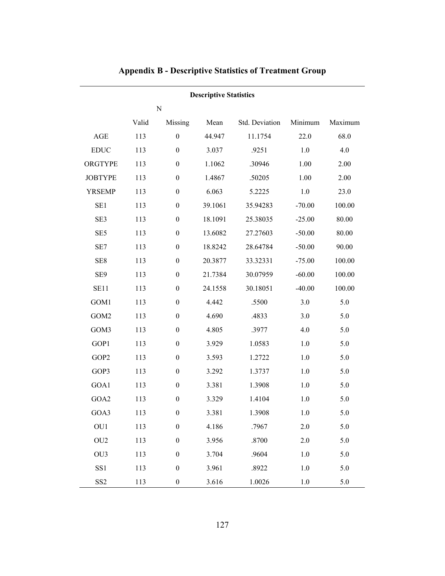|  |  |  |  | <b>Appendix B - Descriptive Statistics of Treatment Group</b> |  |
|--|--|--|--|---------------------------------------------------------------|--|
|--|--|--|--|---------------------------------------------------------------|--|

### **Descriptive Statistics**

N

|                              | Valid | Missing          | Mean    | Std. Deviation | Minimum  | Maximum |
|------------------------------|-------|------------------|---------|----------------|----------|---------|
| $\mathbf{AGE}$               | 113   | $\boldsymbol{0}$ | 44.947  | 11.1754        | 22.0     | 68.0    |
| $\mathop{\rm EDUC}\nolimits$ | 113   | $\boldsymbol{0}$ | 3.037   | .9251          | 1.0      | 4.0     |
| ORGTYPE                      | 113   | $\boldsymbol{0}$ | 1.1062  | .30946         | 1.00     | 2.00    |
| <b>JOBTYPE</b>               | 113   | $\boldsymbol{0}$ | 1.4867  | .50205         | 1.00     | 2.00    |
| <b>YRSEMP</b>                | 113   | $\boldsymbol{0}$ | 6.063   | 5.2225         | 1.0      | 23.0    |
| SE1                          | 113   | $\boldsymbol{0}$ | 39.1061 | 35.94283       | $-70.00$ | 100.00  |
| SE3                          | 113   | $\boldsymbol{0}$ | 18.1091 | 25.38035       | $-25.00$ | 80.00   |
| SE <sub>5</sub>              | 113   | $\boldsymbol{0}$ | 13.6082 | 27.27603       | $-50.00$ | 80.00   |
| SE7                          | 113   | $\boldsymbol{0}$ | 18.8242 | 28.64784       | $-50.00$ | 90.00   |
| SE8                          | 113   | $\boldsymbol{0}$ | 20.3877 | 33.32331       | $-75.00$ | 100.00  |
| SE9                          | 113   | $\boldsymbol{0}$ | 21.7384 | 30.07959       | $-60.00$ | 100.00  |
| <b>SE11</b>                  | 113   | $\boldsymbol{0}$ | 24.1558 | 30.18051       | $-40.00$ | 100.00  |
| GOM1                         | 113   | $\boldsymbol{0}$ | 4.442   | .5500          | 3.0      | 5.0     |
| GOM2                         | 113   | $\boldsymbol{0}$ | 4.690   | .4833          | 3.0      | 5.0     |
| GOM3                         | 113   | $\boldsymbol{0}$ | 4.805   | .3977          | 4.0      | 5.0     |
| GOP1                         | 113   | $\boldsymbol{0}$ | 3.929   | 1.0583         | 1.0      | 5.0     |
| GOP2                         | 113   | $\boldsymbol{0}$ | 3.593   | 1.2722         | 1.0      | 5.0     |
| GOP3                         | 113   | $\boldsymbol{0}$ | 3.292   | 1.3737         | 1.0      | $5.0\,$ |
| GOA1                         | 113   | $\boldsymbol{0}$ | 3.381   | 1.3908         | $1.0\,$  | 5.0     |
| GOA2                         | 113   | $\boldsymbol{0}$ | 3.329   | 1.4104         | 1.0      | 5.0     |
| GOA3                         | 113   | $\boldsymbol{0}$ | 3.381   | 1.3908         | $1.0\,$  | 5.0     |
| OU1                          | 113   | $\boldsymbol{0}$ | 4.186   | .7967          | 2.0      | 5.0     |
| OU <sub>2</sub>              | 113   | $\boldsymbol{0}$ | 3.956   | .8700          | 2.0      | 5.0     |
| OU3                          | 113   | $\boldsymbol{0}$ | 3.704   | .9604          | 1.0      | 5.0     |
| SS1                          | 113   | $\boldsymbol{0}$ | 3.961   | .8922          | 1.0      | 5.0     |
| SS <sub>2</sub>              | 113   | $\boldsymbol{0}$ | 3.616   | 1.0026         | 1.0      | 5.0     |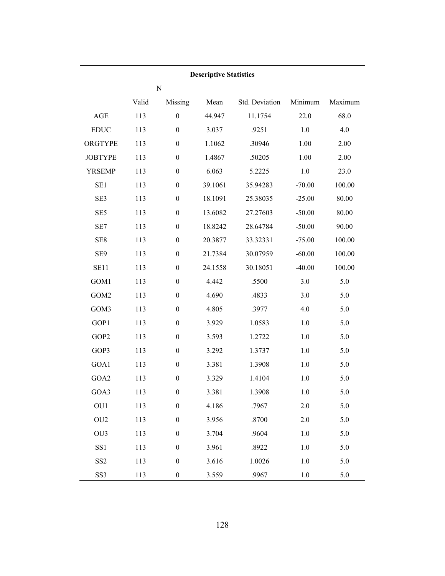|                 |       |                  | <b>Descriptive Statistics</b> |                |          |         |
|-----------------|-------|------------------|-------------------------------|----------------|----------|---------|
|                 |       | ${\bf N}$        |                               |                |          |         |
|                 | Valid | Missing          | Mean                          | Std. Deviation | Minimum  | Maximum |
| AGE             | 113   | $\boldsymbol{0}$ | 44.947                        | 11.1754        | 22.0     | 68.0    |
| <b>EDUC</b>     | 113   | $\boldsymbol{0}$ | 3.037                         | .9251          | 1.0      | 4.0     |
| ORGTYPE         | 113   | $\boldsymbol{0}$ | 1.1062                        | .30946         | 1.00     | 2.00    |
| <b>JOBTYPE</b>  | 113   | $\boldsymbol{0}$ | 1.4867                        | .50205         | 1.00     | 2.00    |
| <b>YRSEMP</b>   | 113   | $\boldsymbol{0}$ | 6.063                         | 5.2225         | 1.0      | 23.0    |
| SE <sub>1</sub> | 113   | $\boldsymbol{0}$ | 39.1061                       | 35.94283       | $-70.00$ | 100.00  |
| SE3             | 113   | $\boldsymbol{0}$ | 18.1091                       | 25.38035       | $-25.00$ | 80.00   |
| SE <sub>5</sub> | 113   | $\boldsymbol{0}$ | 13.6082                       | 27.27603       | $-50.00$ | 80.00   |
| SE7             | 113   | $\boldsymbol{0}$ | 18.8242                       | 28.64784       | $-50.00$ | 90.00   |
| SE8             | 113   | $\boldsymbol{0}$ | 20.3877                       | 33.32331       | $-75.00$ | 100.00  |
| SE9             | 113   | $\boldsymbol{0}$ | 21.7384                       | 30.07959       | $-60.00$ | 100.00  |
| <b>SE11</b>     | 113   | $\boldsymbol{0}$ | 24.1558                       | 30.18051       | $-40.00$ | 100.00  |
| GOM1            | 113   | $\boldsymbol{0}$ | 4.442                         | .5500          | 3.0      | 5.0     |
| GOM2            | 113   | $\boldsymbol{0}$ | 4.690                         | .4833          | 3.0      | 5.0     |
| GOM3            | 113   | $\boldsymbol{0}$ | 4.805                         | .3977          | 4.0      | 5.0     |
| GOP1            | 113   | $\boldsymbol{0}$ | 3.929                         | 1.0583         | 1.0      | 5.0     |
| GOP2            | 113   | $\boldsymbol{0}$ | 3.593                         | 1.2722         | 1.0      | 5.0     |
| GOP3            | 113   | $\boldsymbol{0}$ | 3.292                         | 1.3737         | 1.0      | 5.0     |
| GOA1            | 113   | $\boldsymbol{0}$ | 3.381                         | 1.3908         | 1.0      | 5.0     |
| GOA2            | 113   | $\boldsymbol{0}$ | 3.329                         | 1.4104         | 1.0      | 5.0     |
| GOA3            | 113   | $\boldsymbol{0}$ | 3.381                         | 1.3908         | 1.0      | 5.0     |
| OU1             | 113   | $\boldsymbol{0}$ | 4.186                         | .7967          | 2.0      | 5.0     |
| OU <sub>2</sub> | 113   | $\boldsymbol{0}$ | 3.956                         | .8700          | 2.0      | 5.0     |
| OU3             | 113   | $\boldsymbol{0}$ | 3.704                         | .9604          | 1.0      | 5.0     |
| SS1             | 113   | $\boldsymbol{0}$ | 3.961                         | .8922          | 1.0      | 5.0     |
| SS <sub>2</sub> | 113   | $\boldsymbol{0}$ | 3.616                         | 1.0026         | 1.0      | 5.0     |
| SS3             | 113   | $\boldsymbol{0}$ | 3.559                         | .9967          | 1.0      | 5.0     |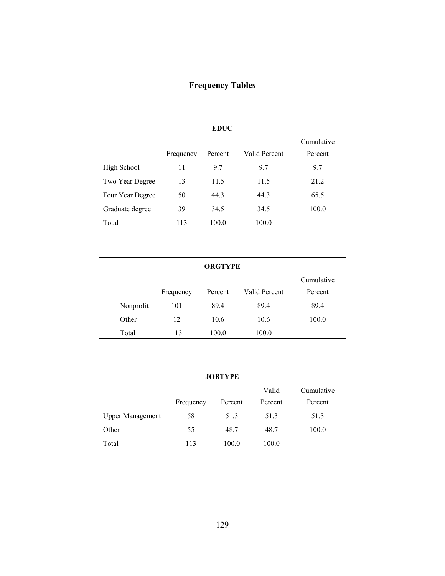# **Frequency Tables**

|                  |           | <b>EDUC</b> |               |                       |
|------------------|-----------|-------------|---------------|-----------------------|
|                  | Frequency | Percent     | Valid Percent | Cumulative<br>Percent |
| High School      | 11        | 9.7         | 9.7           | 9.7                   |
| Two Year Degree  | 13        | 11.5        | 11.5          | 21.2                  |
| Four Year Degree | 50        | 44.3        | 44.3          | 65.5                  |
| Graduate degree  | 39        | 34.5        | 34.5          | 100.0                 |
| Total            | 113       | 100.0       | 100.0         |                       |

### **ORGTYPE**

|           |           |         |               | Cumulative |
|-----------|-----------|---------|---------------|------------|
|           | Frequency | Percent | Valid Percent | Percent    |
| Nonprofit | 101       | 89.4    | 89.4          | 89.4       |
| Other     | 12        | 10.6    | 10.6          | 100.0      |
| Total     | 113       | 100.0   | 100.0         |            |

| <b>JOBTYPE</b>          |           |         |         |            |
|-------------------------|-----------|---------|---------|------------|
|                         |           |         | Valid   | Cumulative |
|                         | Frequency | Percent | Percent | Percent    |
| <b>Upper Management</b> | 58        | 51.3    | 51.3    | 51.3       |
| Other                   | 55        | 48.7    | 48.7    | 100.0      |
| Total                   | 113       | 100.0   | 100.0   |            |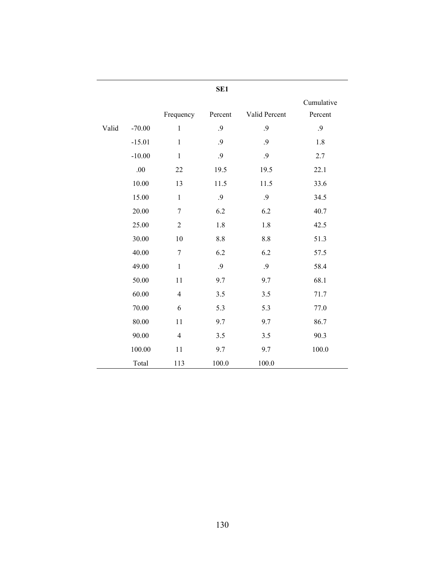|       |          |                | SE <sub>1</sub> |               |                       |
|-------|----------|----------------|-----------------|---------------|-----------------------|
|       |          | Frequency      | Percent         | Valid Percent | Cumulative<br>Percent |
| Valid | $-70.00$ | $\mathbf{1}$   | .9              | .9            | .9                    |
|       | $-15.01$ | $\mathbf{1}$   | .9              | .9            | 1.8                   |
|       | $-10.00$ | $\mathbf{1}$   | .9              | .9            | 2.7                   |
|       | .00      | 22             | 19.5            | 19.5          | 22.1                  |
|       | 10.00    | 13             | 11.5            | 11.5          | 33.6                  |
|       | 15.00    | $\mathbf{1}$   | .9              | .9            | 34.5                  |
|       | 20.00    | $\overline{7}$ | 6.2             | 6.2           | 40.7                  |
|       | 25.00    | $\overline{2}$ | 1.8             | 1.8           | 42.5                  |
|       | 30.00    | 10             | 8.8             | 8.8           | 51.3                  |
|       | 40.00    | $\overline{7}$ | 6.2             | 6.2           | 57.5                  |
|       | 49.00    | $\mathbf{1}$   | .9              | .9            | 58.4                  |
|       | 50.00    | 11             | 9.7             | 9.7           | 68.1                  |
|       | 60.00    | $\overline{4}$ | 3.5             | 3.5           | 71.7                  |
|       | 70.00    | 6              | 5.3             | 5.3           | 77.0                  |
|       | 80.00    | 11             | 9.7             | 9.7           | 86.7                  |
|       | 90.00    | $\overline{4}$ | 3.5             | 3.5           | 90.3                  |
|       | 100.00   | 11             | 9.7             | 9.7           | 100.0                 |
|       | Total    | 113            | 100.0           | 100.0         |                       |

130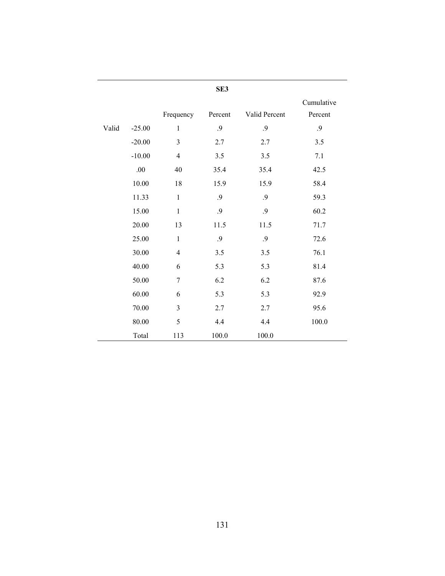|       |          |                          | SE3        |                   |                       |
|-------|----------|--------------------------|------------|-------------------|-----------------------|
|       |          | Frequency                | Percent    | Valid Percent     | Cumulative<br>Percent |
| Valid | $-25.00$ | $\mathbf{1}$             | .9         | .9                | $\cdot$ .9            |
|       | $-20.00$ | 3                        | 2.7        | 2.7               | 3.5                   |
|       | $-10.00$ | $\overline{4}$           | 3.5        | 3.5               | 7.1                   |
|       | .00      | 40                       | 35.4       | 35.4              | 42.5                  |
|       | 10.00    | 18                       | 15.9       | 15.9              | 58.4                  |
|       | 11.33    | $\mathbf{1}$             | .9         | .9                | 59.3                  |
|       | 15.00    | $\,1$                    | $\cdot$ .9 | $\boldsymbol{.9}$ | 60.2                  |
|       | 20.00    | 13                       | 11.5       | 11.5              | 71.7                  |
|       | 25.00    | $\mathbf{1}$             | .9         | .9                | 72.6                  |
|       | 30.00    | $\overline{\mathcal{A}}$ | 3.5        | 3.5               | 76.1                  |
|       | 40.00    | 6                        | 5.3        | 5.3               | 81.4                  |
|       | 50.00    | 7                        | 6.2        | 6.2               | 87.6                  |
|       | 60.00    | 6                        | 5.3        | 5.3               | 92.9                  |
|       | 70.00    | 3                        | 2.7        | 2.7               | 95.6                  |
|       | 80.00    | 5                        | 4.4        | 4.4               | 100.0                 |
|       | Total    | 113                      | 100.0      | 100.0             |                       |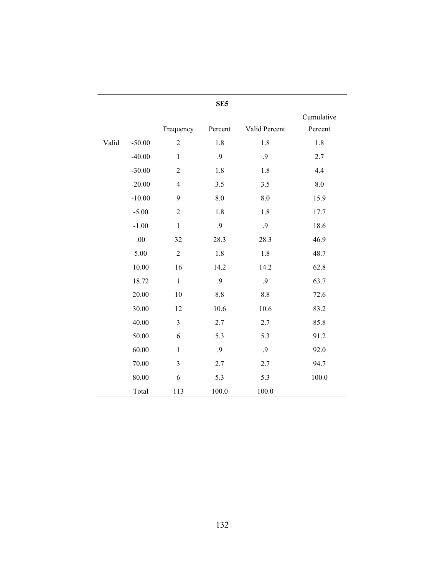|       |          |                | ЭĽЈ     |               |                       |  |
|-------|----------|----------------|---------|---------------|-----------------------|--|
|       |          | Frequency      | Percent | Valid Percent | Cumulative<br>Percent |  |
| Valid | $-50.00$ | $\overline{2}$ | 1.8     | 1.8           | 1.8                   |  |
|       | $-40.00$ | $\mathbf{1}$   | .9      | .9            | 2.7                   |  |
|       | $-30.00$ | $\overline{2}$ | 1.8     | 1.8           | 4.4                   |  |
|       | $-20.00$ | $\overline{4}$ | 3.5     | 3.5           | 8.0                   |  |
|       | $-10.00$ | 9              | 8.0     | 8.0           | 15.9                  |  |
|       | $-5.00$  | $\sqrt{2}$     | 1.8     | 1.8           | 17.7                  |  |
|       | $-1.00$  | $\mathbf{1}$   | .9      | .9            | 18.6                  |  |
|       | .00      | 32             | 28.3    | 28.3          | 46.9                  |  |
|       | 5.00     | $\sqrt{2}$     | $1.8\,$ | $1.8\,$       | 48.7                  |  |
|       | 10.00    | 16             | 14.2    | 14.2          | 62.8                  |  |
|       | 18.72    | $\mathbf{1}$   | .9      | .9            | 63.7                  |  |
|       | 20.00    | 10             | $8.8\,$ | $8.8\,$       | 72.6                  |  |
|       | 30.00    | 12             | 10.6    | 10.6          | 83.2                  |  |
|       | 40.00    | $\overline{3}$ | 2.7     | 2.7           | 85.8                  |  |
|       | 50.00    | 6              | 5.3     | 5.3           | 91.2                  |  |
|       | 60.00    | $\mathbf{1}$   | .9      | .9            | 92.0                  |  |
|       | 70.00    | $\mathfrak{Z}$ | 2.7     | 2.7           | 94.7                  |  |
|       | 80.00    | 6              | 5.3     | 5.3           | 100.0                 |  |
|       | Total    | 113            | 100.0   | 100.0         |                       |  |

**SE5**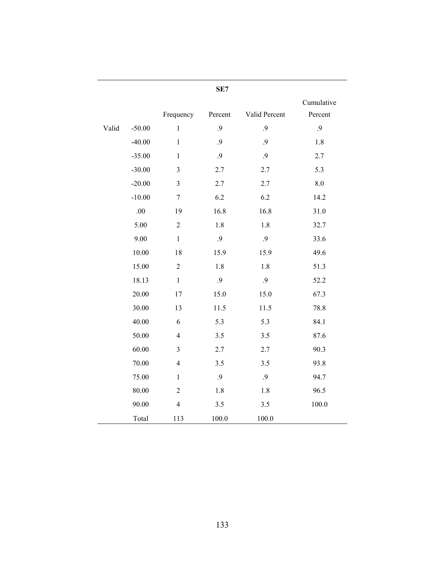|       |          |                | SE7     |               |                       |
|-------|----------|----------------|---------|---------------|-----------------------|
|       |          | Frequency      | Percent | Valid Percent | Cumulative<br>Percent |
| Valid | $-50.00$ | $\mathbf{1}$   | .9      | .9            | .9                    |
|       | $-40.00$ | $\mathbf{1}$   | .9      | .9            | 1.8                   |
|       | $-35.00$ | $\mathbf{1}$   | .9      | .9            | 2.7                   |
|       | $-30.00$ | 3              | 2.7     | 2.7           | 5.3                   |
|       | $-20.00$ | $\mathfrak{Z}$ | 2.7     | 2.7           | $8.0\,$               |
|       | $-10.00$ | $\tau$         | 6.2     | 6.2           | 14.2                  |
|       | .00      | 19             | 16.8    | 16.8          | 31.0                  |
|       | 5.00     | $\sqrt{2}$     | $1.8\,$ | 1.8           | 32.7                  |
|       | 9.00     | $\mathbf{1}$   | .9      | $\cdot$ 9     | 33.6                  |
|       | 10.00    | 18             | 15.9    | 15.9          | 49.6                  |
|       | 15.00    | $\overline{2}$ | 1.8     | 1.8           | 51.3                  |
|       | 18.13    | $\mathbf{1}$   | .9      | .9            | 52.2                  |
|       | 20.00    | 17             | 15.0    | 15.0          | 67.3                  |
|       | 30.00    | 13             | 11.5    | 11.5          | 78.8                  |
|       | 40.00    | 6              | 5.3     | 5.3           | 84.1                  |
|       | 50.00    | $\overline{4}$ | 3.5     | 3.5           | 87.6                  |
|       | 60.00    | 3              | 2.7     | 2.7           | 90.3                  |
|       | 70.00    | $\overline{4}$ | 3.5     | 3.5           | 93.8                  |
|       | 75.00    | $\mathbf{1}$   | .9      | .9            | 94.7                  |
|       | 80.00    | $\overline{2}$ | 1.8     | 1.8           | 96.5                  |
|       | 90.00    | $\overline{4}$ | 3.5     | 3.5           | 100.0                 |
|       | Total    | 113            | 100.0   | 100.0         |                       |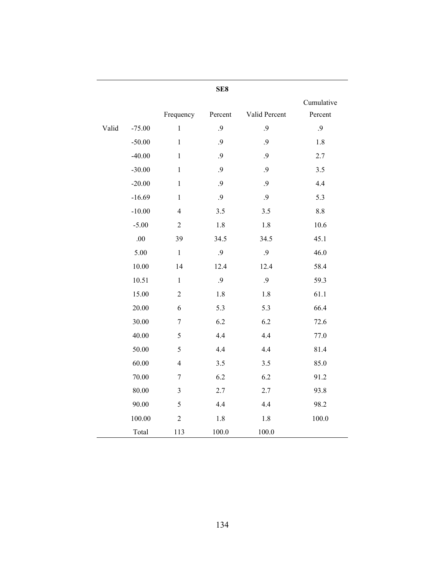|       |          |                | SE8        |               |                       |
|-------|----------|----------------|------------|---------------|-----------------------|
|       |          | Frequency      | Percent    | Valid Percent | Cumulative<br>Percent |
| Valid | $-75.00$ | $\mathbf{1}$   | .9         | .9            | .9                    |
|       | $-50.00$ | $\mathbf{1}$   | .9         | .9            | 1.8                   |
|       | $-40.00$ | $\mathbf{1}$   | $\cdot$ .9 | .9            | 2.7                   |
|       | $-30.00$ | $\mathbf{1}$   | $\cdot$ 9  | .9            | 3.5                   |
|       | $-20.00$ | $\mathbf{1}$   | $\cdot$ .9 | .9            | 4.4                   |
|       | $-16.69$ | $\mathbf{1}$   | .9         | .9            | 5.3                   |
|       | $-10.00$ | $\overline{4}$ | 3.5        | 3.5           | $8.8\,$               |
|       | $-5.00$  | $\overline{2}$ | 1.8        | 1.8           | 10.6                  |
|       | .00      | 39             | 34.5       | 34.5          | 45.1                  |
|       | 5.00     | $\mathbf{1}$   | $\cdot$ 9  | $\cdot$ 9     | 46.0                  |
|       | 10.00    | 14             | 12.4       | 12.4          | 58.4                  |
|       | 10.51    | $\mathbf{1}$   | $\cdot$ .9 | .9            | 59.3                  |
|       | 15.00    | $\sqrt{2}$     | $1.8\,$    | 1.8           | 61.1                  |
|       | 20.00    | 6              | 5.3        | 5.3           | 66.4                  |
|       | 30.00    | $\tau$         | 6.2        | 6.2           | 72.6                  |
|       | 40.00    | 5              | 4.4        | 4.4           | 77.0                  |
|       | 50.00    | 5              | 4.4        | 4.4           | 81.4                  |
|       | 60.00    | $\overline{4}$ | $3.5$      | 3.5           | 85.0                  |
|       | 70.00    | $\tau$         | 6.2        | 6.2           | 91.2                  |
|       | 80.00    | 3              | 2.7        | 2.7           | 93.8                  |
|       | 90.00    | 5              | 4.4        | 4.4           | 98.2                  |
|       | 100.00   | $\overline{2}$ | 1.8        | 1.8           | $100.0$               |
|       | Total    | 113            | 100.0      | 100.0         |                       |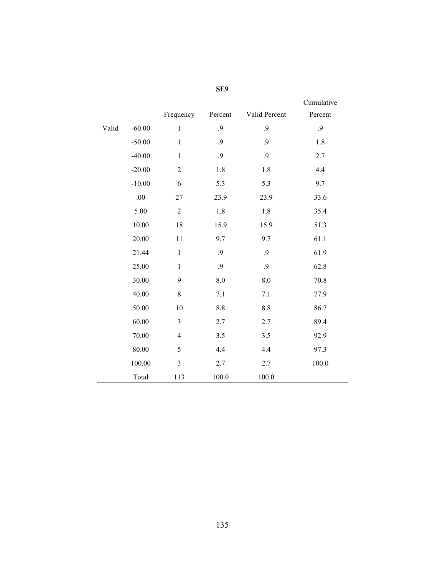|       |          |                | SE9     |               |                       |
|-------|----------|----------------|---------|---------------|-----------------------|
|       |          | Frequency      | Percent | Valid Percent | Cumulative<br>Percent |
| Valid | $-60.00$ | $\mathbf{1}$   | .9      | .9            | .9                    |
|       | $-50.00$ | $\mathbf{1}$   | .9      | .9            | 1.8                   |
|       | $-40.00$ | $\,1$          | .9      | .9            | 2.7                   |
|       | $-20.00$ | $\overline{2}$ | 1.8     | 1.8           | 4.4                   |
|       | $-10.00$ | 6              | 5.3     | 5.3           | 9.7                   |
|       | .00      | 27             | 23.9    | 23.9          | 33.6                  |
|       | 5.00     | $\overline{2}$ | 1.8     | 1.8           | 35.4                  |
|       | 10.00    | 18             | 15.9    | 15.9          | 51.3                  |
|       | 20.00    | 11             | 9.7     | 9.7           | 61.1                  |
|       | 21.44    | $\mathbf{1}$   | .9      | .9            | 61.9                  |
|       | 25.00    | $\mathbf{1}$   | .9      | .9            | 62.8                  |
|       | 30.00    | 9              | $\,8.0$ | 8.0           | 70.8                  |
|       | 40.00    | $\,8\,$        | 7.1     | 7.1           | 77.9                  |
|       | 50.00    | 10             | 8.8     | 8.8           | 86.7                  |
|       | 60.00    | 3              | 2.7     | 2.7           | 89.4                  |
|       | 70.00    | $\overline{4}$ | 3.5     | 3.5           | 92.9                  |
|       | 80.00    | 5              | 4.4     | 4.4           | 97.3                  |
|       | 100.00   | $\mathfrak{Z}$ | 2.7     | 2.7           | 100.0                 |
|       | Total    | 113            | 100.0   | 100.0         |                       |

135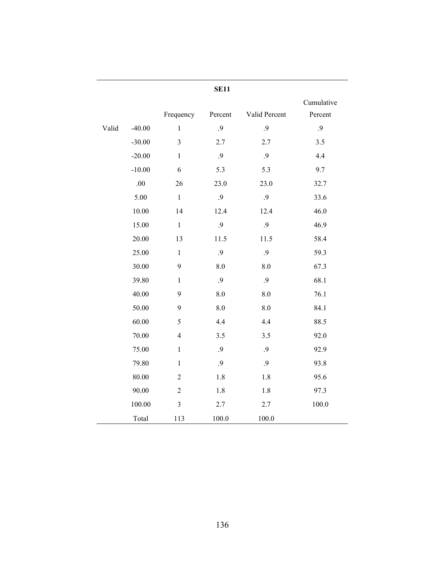|       |          |                | <b>SE11</b> |               |                       |
|-------|----------|----------------|-------------|---------------|-----------------------|
|       |          | Frequency      | Percent     | Valid Percent | Cumulative<br>Percent |
| Valid | $-40.00$ | $\mathbf{1}$   | .9          | .9            | .9                    |
|       | $-30.00$ | $\overline{3}$ | 2.7         | 2.7           | 3.5                   |
|       | $-20.00$ | $\mathbf{1}$   | .9          | .9            | 4.4                   |
|       | $-10.00$ | 6              | 5.3         | 5.3           | 9.7                   |
|       | .00      | 26             | 23.0        | 23.0          | 32.7                  |
|       | 5.00     | $\mathbf{1}$   | .9          | .9            | 33.6                  |
|       | 10.00    | 14             | 12.4        | 12.4          | 46.0                  |
|       | 15.00    | $\mathbf{1}$   | .9          | .9            | 46.9                  |
|       | 20.00    | 13             | 11.5        | 11.5          | 58.4                  |
|       | 25.00    | $\mathbf{1}$   | .9          | .9            | 59.3                  |
|       | 30.00    | 9              | 8.0         | 8.0           | 67.3                  |
|       | 39.80    | $\mathbf{1}$   | .9          | .9            | 68.1                  |
|       | 40.00    | 9              | 8.0         | 8.0           | 76.1                  |
|       | 50.00    | 9              | 8.0         | 8.0           | 84.1                  |
|       | 60.00    | 5              | 4.4         | 4.4           | 88.5                  |
|       | 70.00    | $\overline{4}$ | 3.5         | 3.5           | 92.0                  |
|       | 75.00    | $\mathbf{1}$   | .9          | .9            | 92.9                  |
|       | 79.80    | $\mathbf{1}$   | .9          | .9            | 93.8                  |
|       | 80.00    | $\overline{2}$ | 1.8         | 1.8           | 95.6                  |
|       | 90.00    | $\overline{2}$ | 1.8         | 1.8           | 97.3                  |
|       | 100.00   | $\overline{3}$ | 2.7         | 2.7           | $100.0\,$             |
|       | Total    | 113            | 100.0       | 100.0         |                       |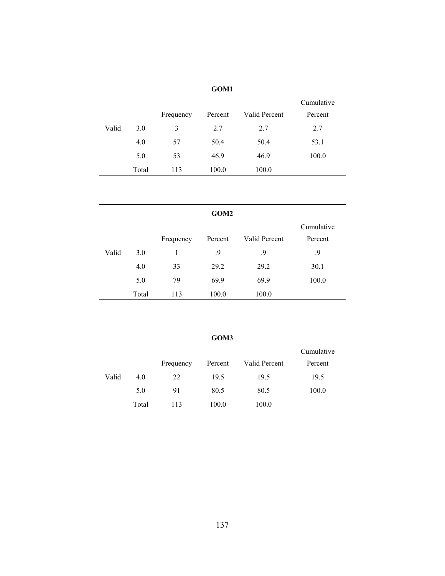|       |       |           | GOM1    |               |                       |
|-------|-------|-----------|---------|---------------|-----------------------|
|       |       | Frequency | Percent | Valid Percent | Cumulative<br>Percent |
| Valid | 3.0   | 3         | 2.7     | 2.7           | 2.7                   |
|       | 4.0   | 57        | 50.4    | 50.4          | 53.1                  |
|       | 5.0   | 53        | 46.9    | 46.9          | 100.0                 |
|       | Total | 113       | 100.0   | 100.0         |                       |

| GOM <sub>2</sub> |       |           |         |               |            |  |  |  |  |
|------------------|-------|-----------|---------|---------------|------------|--|--|--|--|
|                  |       |           |         |               | Cumulative |  |  |  |  |
|                  |       | Frequency | Percent | Valid Percent | Percent    |  |  |  |  |
| Valid            | 3.0   |           | .9      | .9            | 9.         |  |  |  |  |
|                  | 4.0   | 33        | 29.2    | 29.2          | 30.1       |  |  |  |  |
|                  | 5.0   | 79        | 69.9    | 69.9          | 100.0      |  |  |  |  |
|                  | Total | 113       | 100.0   | 100.0         |            |  |  |  |  |

|       |       |           | GOM3    |               |                       |
|-------|-------|-----------|---------|---------------|-----------------------|
|       |       | Frequency | Percent | Valid Percent | Cumulative<br>Percent |
| Valid | 4.0   | 22        | 19.5    | 19.5          | 19.5                  |
|       | 5.0   | 91        | 80.5    | 80.5          | 100.0                 |
|       | Total | 113       | 100.0   | 100.0         |                       |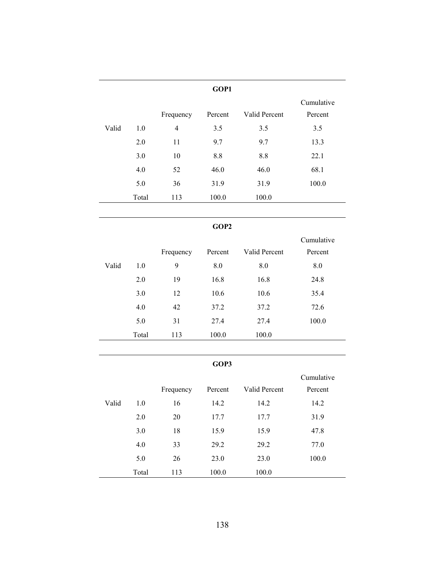|       |       |           | GOP1    |               |                       |
|-------|-------|-----------|---------|---------------|-----------------------|
|       |       | Frequency | Percent | Valid Percent | Cumulative<br>Percent |
| Valid | 1.0   | 4         | 3.5     | 3.5           | 3.5                   |
|       | 2.0   | 11        | 9.7     | 9.7           | 13.3                  |
|       | 3.0   | 10        | 8.8     | 8.8           | 22.1                  |
|       | 4.0   | 52        | 46.0    | 46.0          | 68.1                  |
|       | 5.0   | 36        | 31.9    | 31.9          | 100.0                 |
|       | Total | 113       | 100.0   | 100.0         |                       |

# **GOP2**

|       |       |           |         |               | Cumulative |
|-------|-------|-----------|---------|---------------|------------|
|       |       | Frequency | Percent | Valid Percent | Percent    |
| Valid | 1.0   | 9         | 8.0     | 8.0           | 8.0        |
|       | 2.0   | 19        | 16.8    | 16.8          | 24.8       |
|       | 3.0   | 12        | 10.6    | 10.6          | 35.4       |
|       | 4.0   | 42        | 37.2    | 37.2          | 72.6       |
|       | 5.0   | 31        | 27.4    | 27.4          | 100.0      |
|       | Total | 113       | 100.0   | 100.0         |            |

## **GOP3**

|       |       |           |         |               | Cumulative |
|-------|-------|-----------|---------|---------------|------------|
|       |       | Frequency | Percent | Valid Percent | Percent    |
| Valid | 1.0   | 16        | 14.2    | 14.2          | 14.2       |
|       | 2.0   | 20        | 17.7    | 17.7          | 31.9       |
|       | 3.0   | 18        | 15.9    | 15.9          | 47.8       |
|       | 4.0   | 33        | 29.2    | 29.2          | 77.0       |
|       | 5.0   | 26        | 23.0    | 23.0          | 100.0      |
|       | Total | 113       | 100.0   | 100.0         |            |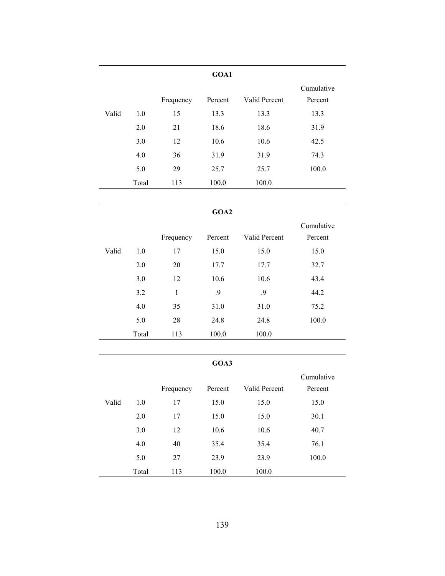|       |       |           | GOA1    |               |                       |
|-------|-------|-----------|---------|---------------|-----------------------|
|       |       | Frequency | Percent | Valid Percent | Cumulative<br>Percent |
| Valid | 1.0   | 15        | 13.3    | 13.3          | 13.3                  |
|       | 2.0   | 21        | 18.6    | 18.6          | 31.9                  |
|       | 3.0   | 12        | 10.6    | 10.6          | 42.5                  |
|       | 4.0   | 36        | 31.9    | 31.9          | 74.3                  |
|       | 5.0   | 29        | 25.7    | 25.7          | 100.0                 |
|       | Total | 113       | 100.0   | 100.0         |                       |

## **GOA2**

|       |       |           |         |               | Cumulative |
|-------|-------|-----------|---------|---------------|------------|
|       |       | Frequency | Percent | Valid Percent | Percent    |
| Valid | 1.0   | 17        | 15.0    | 15.0          | 15.0       |
|       | 2.0   | 20        | 17.7    | 17.7          | 32.7       |
|       | 3.0   | 12        | 10.6    | 10.6          | 43.4       |
|       | 3.2   | 1         | .9      | .9            | 44.2       |
|       | 4.0   | 35        | 31.0    | 31.0          | 75.2       |
|       | 5.0   | 28        | 24.8    | 24.8          | 100.0      |
|       | Total | 113       | 100.0   | 100.0         |            |

# **GOA3**

 $\overline{a}$ 

|       |       |           |         |               | Cumulative |
|-------|-------|-----------|---------|---------------|------------|
|       |       | Frequency | Percent | Valid Percent | Percent    |
| Valid | 1.0   | 17        | 15.0    | 15.0          | 15.0       |
|       | 2.0   | 17        | 15.0    | 15.0          | 30.1       |
|       | 3.0   | 12        | 10.6    | 10.6          | 40.7       |
|       | 4.0   | 40        | 35.4    | 35.4          | 76.1       |
|       | 5.0   | 27        | 23.9    | 23.9          | 100.0      |
|       | Total | 113       | 100.0   | 100.0         |            |
|       |       |           |         |               |            |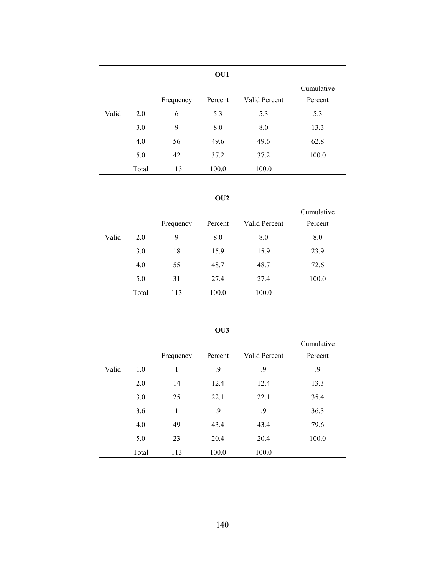|       |       |           | OU1     |               |                       |
|-------|-------|-----------|---------|---------------|-----------------------|
|       |       | Frequency | Percent | Valid Percent | Cumulative<br>Percent |
| Valid | 2.0   | 6         | 5.3     | 5.3           | 5.3                   |
|       | 3.0   | 9         | 8.0     | 8.0           | 13.3                  |
|       | 4.0   | 56        | 49.6    | 49.6          | 62.8                  |
|       | 5.0   | 42        | 37.2    | 37.2          | 100.0                 |
|       | Total | 113       | 100.0   | 100.0         |                       |

```
OU2
```

|       |       | Frequency | Percent | Valid Percent | Cumulative<br>Percent |
|-------|-------|-----------|---------|---------------|-----------------------|
| Valid | 2.0   | 9         | 8.0     | 8.0           | 8.0                   |
|       | 3.0   | 18        | 15.9    | 15.9          | 23.9                  |
|       | 4.0   | 55        | 48.7    | 48.7          | 72.6                  |
|       | 5.0   | 31        | 27.4    | 27.4          | 100.0                 |
|       | Total | 113       | 100.0   | 100.0         |                       |

|       |       |              | OU3     |               |                       |
|-------|-------|--------------|---------|---------------|-----------------------|
|       |       | Frequency    | Percent | Valid Percent | Cumulative<br>Percent |
| Valid | 1.0   | $\mathbf{1}$ | .9      | .9            | .9                    |
|       | 2.0   | 14           | 12.4    | 12.4          | 13.3                  |
|       | 3.0   | 25           | 22.1    | 22.1          | 35.4                  |
|       | 3.6   | 1            | .9      | .9            | 36.3                  |
|       | 4.0   | 49           | 43.4    | 43.4          | 79.6                  |
|       | 5.0   | 23           | 20.4    | 20.4          | 100.0                 |
|       | Total | 113          | 100.0   | 100.0         |                       |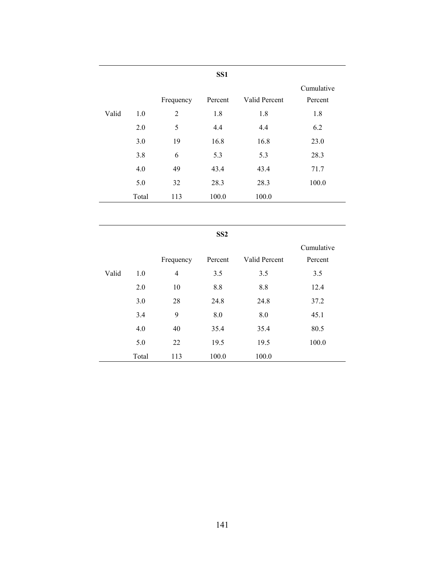|       |       |                | SS <sub>1</sub> |               |            |
|-------|-------|----------------|-----------------|---------------|------------|
|       |       |                |                 |               | Cumulative |
|       |       | Frequency      | Percent         | Valid Percent | Percent    |
| Valid | 1.0   | $\overline{2}$ | 1.8             | 1.8           | 1.8        |
|       | 2.0   | 5              | 4.4             | 4.4           | 6.2        |
|       | 3.0   | 19             | 16.8            | 16.8          | 23.0       |
|       | 3.8   | 6              | 5.3             | 5.3           | 28.3       |
|       | 4.0   | 49             | 43.4            | 43.4          | 71.7       |
|       | 5.0   | 32             | 28.3            | 28.3          | 100.0      |
|       | Total | 113            | 100.0           | 100.0         |            |

|       |       |                | SS <sub>2</sub> |               |                       |
|-------|-------|----------------|-----------------|---------------|-----------------------|
|       |       | Frequency      | Percent         | Valid Percent | Cumulative<br>Percent |
| Valid | 1.0   | $\overline{4}$ | 3.5             | 3.5           | 3.5                   |
|       | 2.0   | 10             | 8.8             | 8.8           | 12.4                  |
|       | 3.0   | 28             | 24.8            | 24.8          | 37.2                  |
|       | 3.4   | 9              | 8.0             | 8.0           | 45.1                  |
|       | 4.0   | 40             | 35.4            | 35.4          | 80.5                  |
|       | 5.0   | 22             | 19.5            | 19.5          | 100.0                 |
|       | Total | 113            | 100.0           | 100.0         |                       |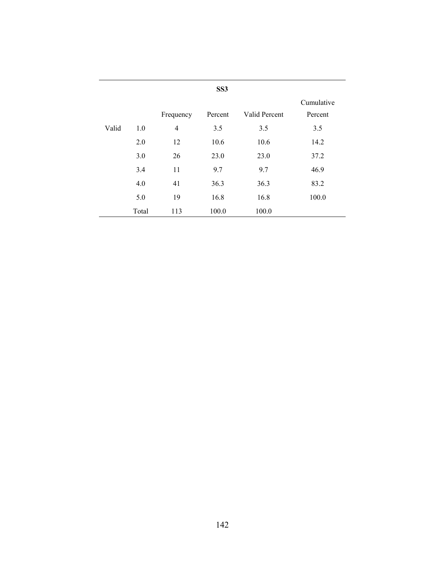|       |       |                | SS <sub>3</sub> |               |                       |
|-------|-------|----------------|-----------------|---------------|-----------------------|
|       |       | Frequency      | Percent         | Valid Percent | Cumulative<br>Percent |
| Valid | 1.0   | $\overline{4}$ | 3.5             | 3.5           | 3.5                   |
|       | 2.0   | 12             | 10.6            | 10.6          | 14.2                  |
|       | 3.0   | 26             | 23.0            | 23.0          | 37.2                  |
|       | 3.4   | 11             | 9.7             | 9.7           | 46.9                  |
|       | 4.0   | 41             | 36.3            | 36.3          | 83.2                  |
|       | 5.0   | 19             | 16.8            | 16.8          | 100.0                 |
|       | Total | 113            | 100.0           | 100.0         |                       |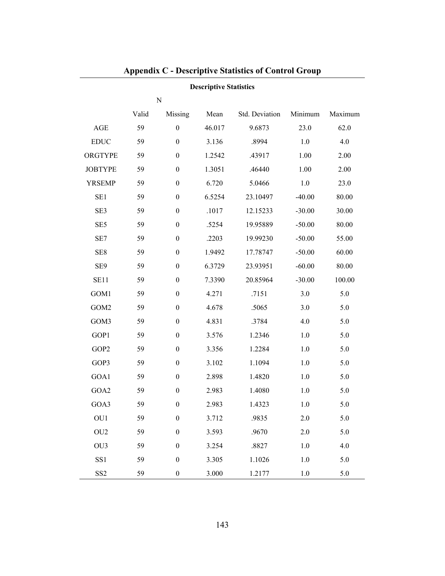| <b>Descriptive Statistics</b> |       |                  |        |                |          |         |  |  |
|-------------------------------|-------|------------------|--------|----------------|----------|---------|--|--|
|                               |       | ${\bf N}$        |        |                |          |         |  |  |
|                               | Valid | Missing          | Mean   | Std. Deviation | Minimum  | Maximum |  |  |
| <b>AGE</b>                    | 59    | $\boldsymbol{0}$ | 46.017 | 9.6873         | 23.0     | 62.0    |  |  |
| <b>EDUC</b>                   | 59    | $\boldsymbol{0}$ | 3.136  | .8994          | 1.0      | 4.0     |  |  |
| ORGTYPE                       | 59    | $\boldsymbol{0}$ | 1.2542 | .43917         | 1.00     | 2.00    |  |  |
| <b>JOBTYPE</b>                | 59    | $\boldsymbol{0}$ | 1.3051 | .46440         | 1.00     | 2.00    |  |  |
| <b>YRSEMP</b>                 | 59    | $\boldsymbol{0}$ | 6.720  | 5.0466         | 1.0      | 23.0    |  |  |
| SE1                           | 59    | $\boldsymbol{0}$ | 6.5254 | 23.10497       | $-40.00$ | 80.00   |  |  |
| SE3                           | 59    | $\boldsymbol{0}$ | .1017  | 12.15233       | $-30.00$ | 30.00   |  |  |
| SE <sub>5</sub>               | 59    | $\boldsymbol{0}$ | .5254  | 19.95889       | $-50.00$ | 80.00   |  |  |
| SE7                           | 59    | $\boldsymbol{0}$ | .2203  | 19.99230       | $-50.00$ | 55.00   |  |  |
| SE <sub>8</sub>               | 59    | $\boldsymbol{0}$ | 1.9492 | 17.78747       | $-50.00$ | 60.00   |  |  |
| SE9                           | 59    | $\boldsymbol{0}$ | 6.3729 | 23.93951       | $-60.00$ | 80.00   |  |  |
| SE11                          | 59    | $\boldsymbol{0}$ | 7.3390 | 20.85964       | $-30.00$ | 100.00  |  |  |
| GOM1                          | 59    | $\boldsymbol{0}$ | 4.271  | .7151          | 3.0      | 5.0     |  |  |
| GOM2                          | 59    | $\boldsymbol{0}$ | 4.678  | .5065          | 3.0      | 5.0     |  |  |
| GOM3                          | 59    | $\boldsymbol{0}$ | 4.831  | .3784          | 4.0      | 5.0     |  |  |
| GOP1                          | 59    | $\boldsymbol{0}$ | 3.576  | 1.2346         | 1.0      | 5.0     |  |  |
| GOP2                          | 59    | $\boldsymbol{0}$ | 3.356  | 1.2284         | 1.0      | 5.0     |  |  |
| GOP3                          | 59    | $\boldsymbol{0}$ | 3.102  | 1.1094         | 1.0      | 5.0     |  |  |
| GOA1                          | 59    | $\boldsymbol{0}$ | 2.898  | 1.4820         | $1.0\,$  | 5.0     |  |  |
| GOA2                          | 59    | $\boldsymbol{0}$ | 2.983  | 1.4080         | 1.0      | 5.0     |  |  |
| GOA3                          | 59    | $\boldsymbol{0}$ | 2.983  | 1.4323         | 1.0      | 5.0     |  |  |
| OU1                           | 59    | $\boldsymbol{0}$ | 3.712  | .9835          | 2.0      | 5.0     |  |  |
| OU <sub>2</sub>               | 59    | $\boldsymbol{0}$ | 3.593  | .9670          | 2.0      | 5.0     |  |  |
| OU3                           | 59    | $\boldsymbol{0}$ | 3.254  | .8827          | $1.0$    | 4.0     |  |  |
| SS1                           | 59    | $\boldsymbol{0}$ | 3.305  | 1.1026         | $1.0\,$  | 5.0     |  |  |
| SS <sub>2</sub>               | 59    | $\boldsymbol{0}$ | 3.000  | 1.2177         | $1.0\,$  | 5.0     |  |  |

# **Appendix C - Descriptive Statistics of Control Group**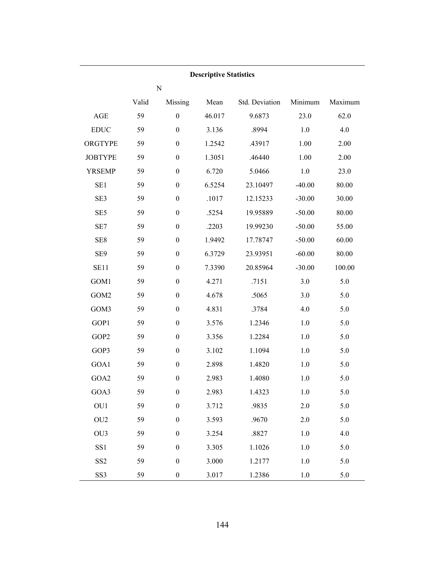| <b>Descriptive Statistics</b> |       |                  |        |                |          |         |  |
|-------------------------------|-------|------------------|--------|----------------|----------|---------|--|
|                               |       | ${\bf N}$        |        |                |          |         |  |
|                               | Valid | Missing          | Mean   | Std. Deviation | Minimum  | Maximum |  |
| $\mathbf{AGE}$                | 59    | $\boldsymbol{0}$ | 46.017 | 9.6873         | 23.0     | 62.0    |  |
| <b>EDUC</b>                   | 59    | $\boldsymbol{0}$ | 3.136  | .8994          | 1.0      | 4.0     |  |
| ORGTYPE                       | 59    | $\boldsymbol{0}$ | 1.2542 | .43917         | 1.00     | 2.00    |  |
| <b>JOBTYPE</b>                | 59    | $\boldsymbol{0}$ | 1.3051 | .46440         | 1.00     | 2.00    |  |
| <b>YRSEMP</b>                 | 59    | $\boldsymbol{0}$ | 6.720  | 5.0466         | $1.0$    | 23.0    |  |
| SE1                           | 59    | $\boldsymbol{0}$ | 6.5254 | 23.10497       | $-40.00$ | 80.00   |  |
| SE3                           | 59    | $\boldsymbol{0}$ | .1017  | 12.15233       | $-30.00$ | 30.00   |  |
| SE <sub>5</sub>               | 59    | $\boldsymbol{0}$ | .5254  | 19.95889       | $-50.00$ | 80.00   |  |
| SE7                           | 59    | $\boldsymbol{0}$ | .2203  | 19.99230       | $-50.00$ | 55.00   |  |
| SE8                           | 59    | $\boldsymbol{0}$ | 1.9492 | 17.78747       | $-50.00$ | 60.00   |  |
| SE <sub>9</sub>               | 59    | $\boldsymbol{0}$ | 6.3729 | 23.93951       | $-60.00$ | 80.00   |  |
| <b>SE11</b>                   | 59    | $\boldsymbol{0}$ | 7.3390 | 20.85964       | $-30.00$ | 100.00  |  |
| GOM1                          | 59    | $\boldsymbol{0}$ | 4.271  | .7151          | 3.0      | 5.0     |  |
| GOM2                          | 59    | $\boldsymbol{0}$ | 4.678  | .5065          | 3.0      | 5.0     |  |
| GOM3                          | 59    | $\boldsymbol{0}$ | 4.831  | .3784          | 4.0      | 5.0     |  |
| GOP1                          | 59    | $\boldsymbol{0}$ | 3.576  | 1.2346         | $1.0\,$  | 5.0     |  |
| GOP2                          | 59    | $\boldsymbol{0}$ | 3.356  | 1.2284         | $1.0\,$  | 5.0     |  |
| GOP3                          | 59    | $\boldsymbol{0}$ | 3.102  | 1.1094         | 1.0      | 5.0     |  |
| GOA1                          | 59    | $\boldsymbol{0}$ | 2.898  | 1.4820         | $1.0\,$  | 5.0     |  |
| GOA2                          | 59    | $\boldsymbol{0}$ | 2.983  | 1.4080         | 1.0      | 5.0     |  |
| GOA3                          | 59    | $\overline{0}$   | 2.983  | 1.4323         | 1.0      | 5.0     |  |
| OU1                           | 59    | $\boldsymbol{0}$ | 3.712  | .9835          | 2.0      | 5.0     |  |
| OU <sub>2</sub>               | 59    | $\boldsymbol{0}$ | 3.593  | .9670          | 2.0      | 5.0     |  |
| OU <sub>3</sub>               | 59    | $\boldsymbol{0}$ | 3.254  | .8827          | 1.0      | 4.0     |  |
| SS1                           | 59    | $\boldsymbol{0}$ | 3.305  | 1.1026         | 1.0      | 5.0     |  |
| SS <sub>2</sub>               | 59    | $\boldsymbol{0}$ | 3.000  | 1.2177         | $1.0\,$  | 5.0     |  |
| SS <sub>3</sub>               | 59    | $\boldsymbol{0}$ | 3.017  | 1.2386         | $1.0\,$  | 5.0     |  |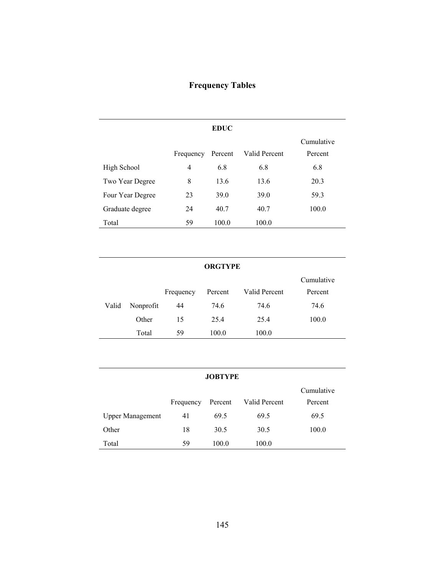# **Frequency Tables**

|                  |           | <b>EDUC</b> |               |                       |
|------------------|-----------|-------------|---------------|-----------------------|
|                  | Frequency | Percent     | Valid Percent | Cumulative<br>Percent |
| High School      | 4         | 6.8         | 6.8           | 6.8                   |
| Two Year Degree  | 8         | 13.6        | 13.6          | 20.3                  |
| Four Year Degree | 23        | 39.0        | 39.0          | 59.3                  |
| Graduate degree  | 24        | 40.7        | 40.7          | 100.0                 |
| Total            | 59        | 100.0       | 100.0         |                       |

## **ORGTYPE**

|       |           |           |         |               | Cumulative |
|-------|-----------|-----------|---------|---------------|------------|
|       |           | Frequency | Percent | Valid Percent | Percent    |
| Valid | Nonprofit | 44        | 74.6    | 74.6          | 74.6       |
|       | Other     | 15        | 25.4    | 25.4          | 100.0      |
|       | Total     | 59        | 100.0   | 100.0         |            |

| <b>JOBTYPE</b>          |           |         |               |            |  |  |  |
|-------------------------|-----------|---------|---------------|------------|--|--|--|
|                         |           |         |               | Cumulative |  |  |  |
|                         | Frequency | Percent | Valid Percent | Percent    |  |  |  |
| <b>Upper Management</b> | 41        | 69.5    | 69.5          | 69.5       |  |  |  |
| Other                   | 18        | 30.5    | 30.5          | 100.0      |  |  |  |
| Total                   | 59        | 100.0   | 100.0         |            |  |  |  |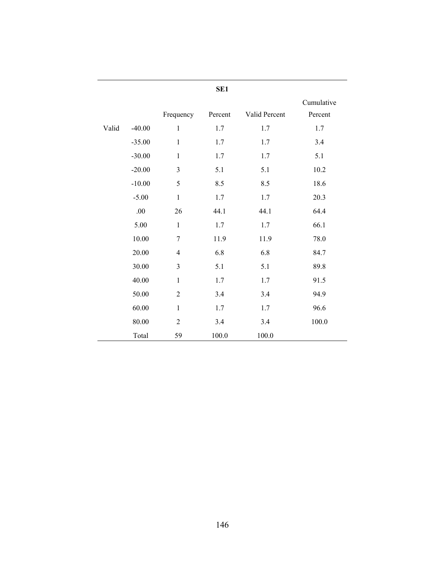|       |          |                          | SE <sub>1</sub> |               |                       |
|-------|----------|--------------------------|-----------------|---------------|-----------------------|
|       |          | Frequency                | Percent         | Valid Percent | Cumulative<br>Percent |
| Valid | $-40.00$ | $\mathbf{1}$             | 1.7             | 1.7           | 1.7                   |
|       | $-35.00$ | $\mathbf{1}$             | 1.7             | 1.7           | 3.4                   |
|       | $-30.00$ | $\mathbf 1$              | 1.7             | 1.7           | 5.1                   |
|       | $-20.00$ | 3                        | 5.1             | 5.1           | 10.2                  |
|       | $-10.00$ | 5                        | 8.5             | 8.5           | 18.6                  |
|       | $-5.00$  | $\mathbf{1}$             | 1.7             | $1.7\,$       | 20.3                  |
|       | $.00\,$  | 26                       | 44.1            | 44.1          | 64.4                  |
|       | 5.00     | $\,1$                    | 1.7             | 1.7           | 66.1                  |
|       | 10.00    | $\sqrt{ }$               | 11.9            | 11.9          | 78.0                  |
|       | 20.00    | $\overline{\mathcal{A}}$ | 6.8             | 6.8           | 84.7                  |
|       | 30.00    | 3                        | 5.1             | 5.1           | 89.8                  |
|       | 40.00    | $\mathbf{1}$             | 1.7             | 1.7           | 91.5                  |
|       | 50.00    | $\overline{2}$           | 3.4             | 3.4           | 94.9                  |
|       | 60.00    | $\mathbf{1}$             | 1.7             | 1.7           | 96.6                  |
|       | 80.00    | $\overline{2}$           | 3.4             | 3.4           | 100.0                 |
|       | Total    | 59                       | 100.0           | 100.0         |                       |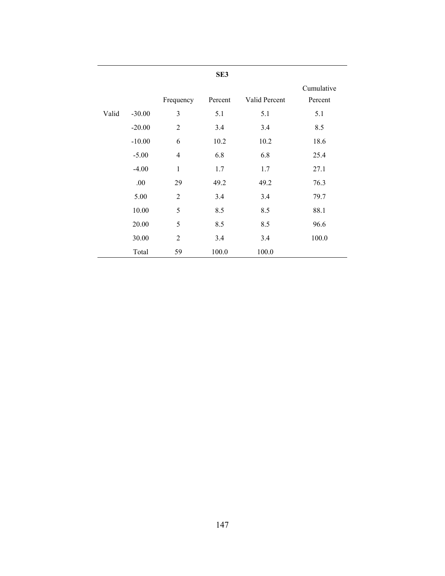|       |          |                | SE3     |               |            |
|-------|----------|----------------|---------|---------------|------------|
|       |          |                |         |               | Cumulative |
|       |          | Frequency      | Percent | Valid Percent | Percent    |
| Valid | $-30.00$ | 3              | 5.1     | 5.1           | 5.1        |
|       | $-20.00$ | $\overline{2}$ | 3.4     | 3.4           | 8.5        |
|       | $-10.00$ | 6              | 10.2    | 10.2          | 18.6       |
|       | $-5.00$  | $\overline{4}$ | 6.8     | 6.8           | 25.4       |
|       | $-4.00$  | 1              | 1.7     | 1.7           | 27.1       |
|       | .00      | 29             | 49.2    | 49.2          | 76.3       |
|       | 5.00     | $\overline{2}$ | 3.4     | 3.4           | 79.7       |
|       | 10.00    | 5              | 8.5     | 8.5           | 88.1       |
|       | 20.00    | 5              | 8.5     | 8.5           | 96.6       |
|       | 30.00    | $\overline{2}$ | 3.4     | 3.4           | 100.0      |
|       | Total    | 59             | 100.0   | 100.0         |            |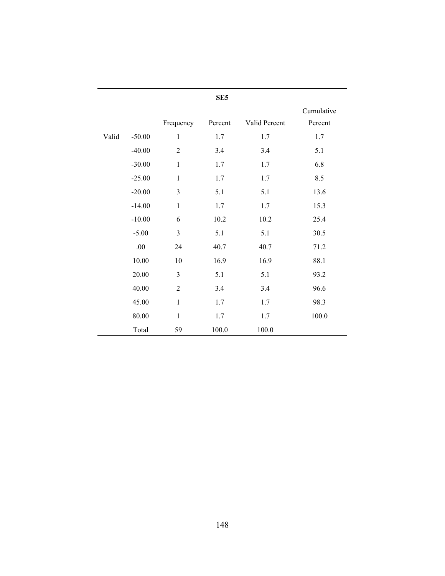|       |          |                | SE <sub>5</sub> |               |            |
|-------|----------|----------------|-----------------|---------------|------------|
|       |          |                |                 |               | Cumulative |
|       |          | Frequency      | Percent         | Valid Percent | Percent    |
| Valid | $-50.00$ | $\mathbf{1}$   | 1.7             | 1.7           | 1.7        |
|       | $-40.00$ | $\overline{2}$ | 3.4             | 3.4           | 5.1        |
|       | $-30.00$ | $\mathbf{1}$   | 1.7             | 1.7           | 6.8        |
|       | $-25.00$ | $\mathbf{1}$   | 1.7             | 1.7           | 8.5        |
|       | $-20.00$ | 3              | 5.1             | 5.1           | 13.6       |
|       | $-14.00$ | $\mathbf{1}$   | 1.7             | 1.7           | 15.3       |
|       | $-10.00$ | 6              | 10.2            | 10.2          | 25.4       |
|       | $-5.00$  | $\overline{3}$ | 5.1             | 5.1           | 30.5       |
|       | .00.     | 24             | 40.7            | 40.7          | 71.2       |
|       | 10.00    | 10             | 16.9            | 16.9          | 88.1       |
|       | 20.00    | $\mathfrak{Z}$ | 5.1             | 5.1           | 93.2       |
|       | 40.00    | $\overline{2}$ | 3.4             | 3.4           | 96.6       |
|       | 45.00    | $\mathbf{1}$   | 1.7             | 1.7           | 98.3       |
|       | 80.00    | $\mathbf{1}$   | 1.7             | 1.7           | 100.0      |
|       | Total    | 59             | 100.0           | 100.0         |            |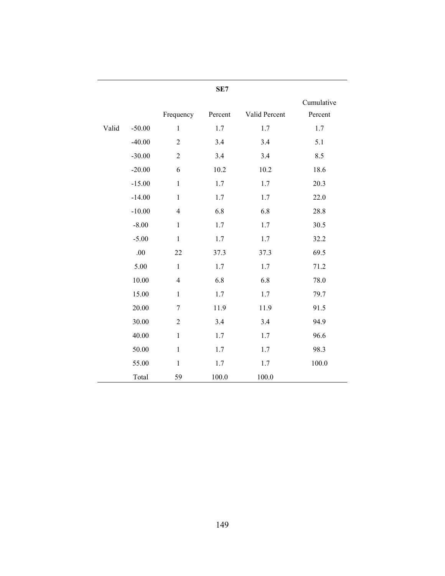|       |          |                | SE7     |               |                       |
|-------|----------|----------------|---------|---------------|-----------------------|
|       |          | Frequency      | Percent | Valid Percent | Cumulative<br>Percent |
| Valid | $-50.00$ | $\mathbf{1}$   | 1.7     | 1.7           | 1.7                   |
|       | $-40.00$ | $\overline{2}$ | 3.4     | 3.4           | 5.1                   |
|       | $-30.00$ | $\overline{2}$ | 3.4     | 3.4           | 8.5                   |
|       | $-20.00$ | 6              | 10.2    | 10.2          | 18.6                  |
|       | $-15.00$ | $\mathbf{1}$   | 1.7     | 1.7           | 20.3                  |
|       | $-14.00$ | $\mathbf{1}$   | 1.7     | 1.7           | 22.0                  |
|       | $-10.00$ | $\overline{4}$ | 6.8     | 6.8           | 28.8                  |
|       | $-8.00$  | $\mathbf{1}$   | 1.7     | 1.7           | 30.5                  |
|       | $-5.00$  | $\mathbf{1}$   | 1.7     | 1.7           | 32.2                  |
|       | .00      | 22             | 37.3    | 37.3          | 69.5                  |
|       | 5.00     | $\mathbf{1}$   | 1.7     | 1.7           | 71.2                  |
|       | 10.00    | $\overline{4}$ | 6.8     | 6.8           | 78.0                  |
|       | 15.00    | $\mathbf{1}$   | 1.7     | 1.7           | 79.7                  |
|       | 20.00    | $\overline{7}$ | 11.9    | 11.9          | 91.5                  |
|       | 30.00    | $\overline{2}$ | 3.4     | 3.4           | 94.9                  |
|       | 40.00    | $\mathbf{1}$   | 1.7     | 1.7           | 96.6                  |
|       | 50.00    | $\mathbf{1}$   | 1.7     | 1.7           | 98.3                  |
|       | 55.00    | $\mathbf{1}$   | 1.7     | 1.7           | 100.0                 |
|       | Total    | 59             | 100.0   | 100.0         |                       |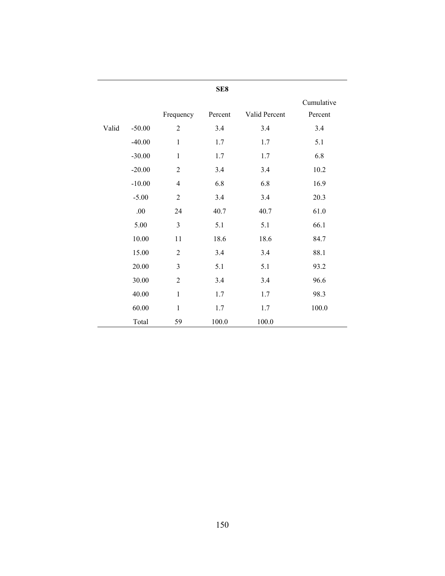|       |          |                  | SE8     |               |            |
|-------|----------|------------------|---------|---------------|------------|
|       |          |                  |         |               | Cumulative |
|       |          | Frequency        | Percent | Valid Percent | Percent    |
| Valid | $-50.00$ | $\sqrt{2}$       | 3.4     | 3.4           | 3.4        |
|       | $-40.00$ | $\mathbf{1}$     | 1.7     | 1.7           | 5.1        |
|       | $-30.00$ | $\mathbf{1}$     | 1.7     | 1.7           | 6.8        |
|       | $-20.00$ | $\sqrt{2}$       | 3.4     | 3.4           | 10.2       |
|       | $-10.00$ | $\overline{4}$   | 6.8     | 6.8           | 16.9       |
|       | $-5.00$  | $\sqrt{2}$       | 3.4     | 3.4           | 20.3       |
|       | $.00\,$  | 24               | 40.7    | 40.7          | 61.0       |
|       | 5.00     | $\mathfrak{Z}$   | 5.1     | 5.1           | 66.1       |
|       | 10.00    | 11               | 18.6    | 18.6          | 84.7       |
|       | 15.00    | $\overline{2}$   | 3.4     | 3.4           | 88.1       |
|       | 20.00    | $\overline{3}$   | 5.1     | 5.1           | 93.2       |
|       | 30.00    | $\boldsymbol{2}$ | 3.4     | 3.4           | 96.6       |
|       | 40.00    | $\mathbf{1}$     | 1.7     | 1.7           | 98.3       |
|       | 60.00    | $\mathbf{1}$     | 1.7     | 1.7           | 100.0      |
|       | Total    | 59               | 100.0   | 100.0         |            |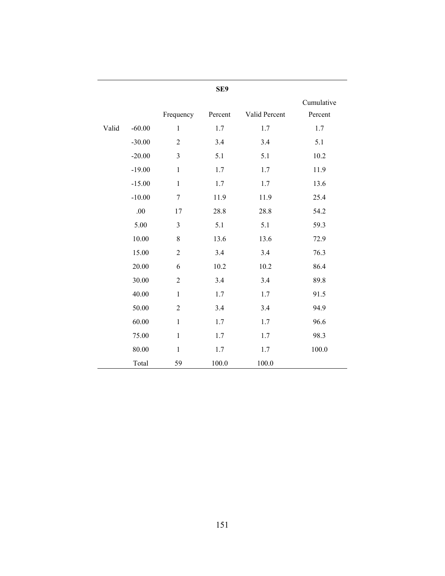|       |          |                | SE9     |               |                       |
|-------|----------|----------------|---------|---------------|-----------------------|
|       |          | Frequency      | Percent | Valid Percent | Cumulative<br>Percent |
| Valid | $-60.00$ | $\mathbf{1}$   | 1.7     | 1.7           | 1.7                   |
|       | $-30.00$ | $\overline{2}$ | 3.4     | 3.4           | 5.1                   |
|       | $-20.00$ | 3              | 5.1     | 5.1           | 10.2                  |
|       | $-19.00$ | $\mathbf{1}$   | 1.7     | 1.7           | 11.9                  |
|       | $-15.00$ | $\mathbf{1}$   | 1.7     | 1.7           | 13.6                  |
|       | $-10.00$ | $\overline{7}$ | 11.9    | 11.9          | 25.4                  |
|       | .00      | 17             | 28.8    | 28.8          | 54.2                  |
|       | 5.00     | 3              | 5.1     | 5.1           | 59.3                  |
|       | 10.00    | $\,8\,$        | 13.6    | 13.6          | 72.9                  |
|       | 15.00    | $\overline{2}$ | 3.4     | 3.4           | 76.3                  |
|       | 20.00    | 6              | 10.2    | 10.2          | 86.4                  |
|       | 30.00    | $\overline{2}$ | 3.4     | 3.4           | 89.8                  |
|       | 40.00    | $\mathbf{1}$   | 1.7     | 1.7           | 91.5                  |
|       | 50.00    | $\overline{2}$ | 3.4     | 3.4           | 94.9                  |
|       | 60.00    | $\mathbf{1}$   | 1.7     | 1.7           | 96.6                  |
|       | 75.00    | $\,1$          | 1.7     | 1.7           | 98.3                  |
|       | 80.00    | $\mathbf{1}$   | 1.7     | 1.7           | $100.0\,$             |
|       | Total    | 59             | 100.0   | 100.0         |                       |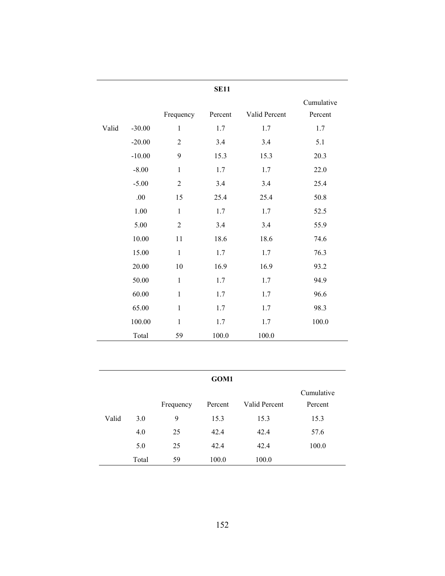|       |          |                | <b>SE11</b> |               |                       |
|-------|----------|----------------|-------------|---------------|-----------------------|
|       |          | Frequency      | Percent     | Valid Percent | Cumulative<br>Percent |
| Valid | $-30.00$ | $\mathbf{1}$   | 1.7         | 1.7           | 1.7                   |
|       | $-20.00$ | $\overline{2}$ | 3.4         | 3.4           | 5.1                   |
|       | $-10.00$ | 9              | 15.3        | 15.3          | 20.3                  |
|       | $-8.00$  | $\mathbf{1}$   | 1.7         | 1.7           | 22.0                  |
|       | $-5.00$  | $\sqrt{2}$     | 3.4         | 3.4           | 25.4                  |
|       | .00      | 15             | 25.4        | 25.4          | 50.8                  |
|       | 1.00     | $\mathbf{1}$   | 1.7         | 1.7           | 52.5                  |
|       | 5.00     | $\overline{2}$ | 3.4         | 3.4           | 55.9                  |
|       | 10.00    | 11             | 18.6        | 18.6          | 74.6                  |
|       | 15.00    | $\mathbf{1}$   | 1.7         | 1.7           | 76.3                  |
|       | 20.00    | 10             | 16.9        | 16.9          | 93.2                  |
|       | 50.00    | $\mathbf{1}$   | 1.7         | 1.7           | 94.9                  |
|       | 60.00    | $\mathbf{1}$   | 1.7         | 1.7           | 96.6                  |
|       | 65.00    | $\mathbf{1}$   | 1.7         | 1.7           | 98.3                  |
|       | 100.00   | $\mathbf{1}$   | 1.7         | 1.7           | 100.0                 |
|       | Total    | 59             | 100.0       | 100.0         |                       |

|       |       |           | GOM1    |               |                       |
|-------|-------|-----------|---------|---------------|-----------------------|
|       |       | Frequency | Percent | Valid Percent | Cumulative<br>Percent |
| Valid | 3.0   | 9         | 15.3    | 15.3          | 15.3                  |
|       | 4.0   | 25        | 42.4    | 42.4          | 57.6                  |
|       | 5.0   | 25        | 42.4    | 42.4          | 100.0                 |
|       | Total | 59        | 100.0   | 100.0         |                       |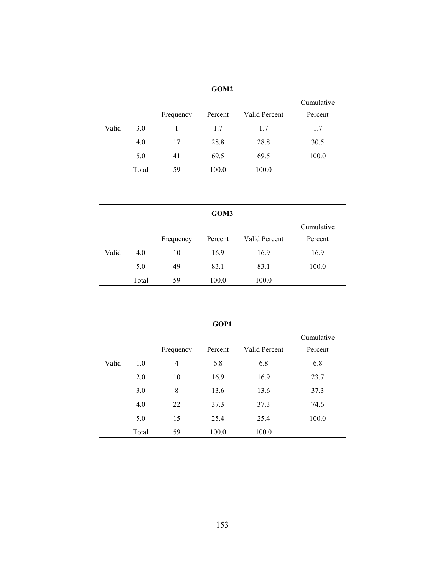|       |       |           | GOM <sub>2</sub> |               |                       |
|-------|-------|-----------|------------------|---------------|-----------------------|
|       |       | Frequency | Percent          | Valid Percent | Cumulative<br>Percent |
| Valid | 3.0   |           | 1.7              | 1.7           | 1.7                   |
|       | 4.0   | 17        | 28.8             | 28.8          | 30.5                  |
|       | 5.0   | 41        | 69.5             | 69.5          | 100.0                 |
|       | Total | 59        | 100.0            | 100.0         |                       |

|       |       |           | GOM3    |               |            |
|-------|-------|-----------|---------|---------------|------------|
|       |       |           |         |               | Cumulative |
|       |       | Frequency | Percent | Valid Percent | Percent    |
| Valid | 4.0   | 10        | 16.9    | 16.9          | 16.9       |
|       | 5.0   | 49        | 83.1    | 83.1          | 100.0      |
|       | Total | 59        | 100.0   | 100.0         |            |

|       |       |           | GOP1    |               |            |
|-------|-------|-----------|---------|---------------|------------|
|       |       |           |         |               | Cumulative |
|       |       | Frequency | Percent | Valid Percent | Percent    |
| Valid | 1.0   | 4         | 6.8     | 6.8           | 6.8        |
|       | 2.0   | 10        | 16.9    | 16.9          | 23.7       |
|       | 3.0   | 8         | 13.6    | 13.6          | 37.3       |
|       | 4.0   | 22        | 37.3    | 37.3          | 74.6       |
|       | 5.0   | 15        | 25.4    | 25.4          | 100.0      |
|       | Total | 59        | 100.0   | 100.0         |            |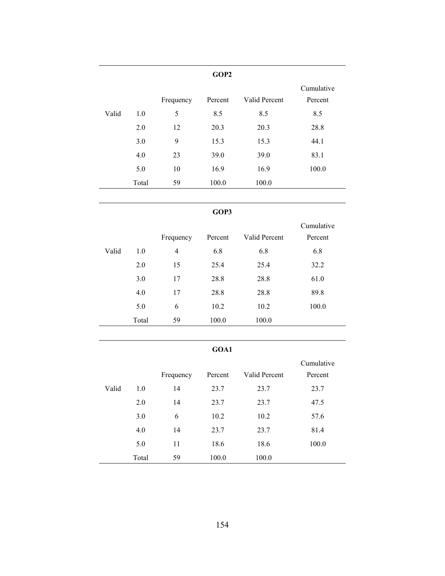|       |       |           | GOP <sub>2</sub> |               |                       |
|-------|-------|-----------|------------------|---------------|-----------------------|
|       |       | Frequency | Percent          | Valid Percent | Cumulative<br>Percent |
| Valid | 1.0   | 5         | 8.5              | 8.5           | 8.5                   |
|       | 2.0   | 12        | 20.3             | 20.3          | 28.8                  |
|       | 3.0   | 9         | 15.3             | 15.3          | 44.1                  |
|       | 4.0   | 23        | 39.0             | 39.0          | 83.1                  |
|       | 5.0   | 10        | 16.9             | 16.9          | 100.0                 |
|       | Total | 59        | 100.0            | 100.0         |                       |

## **GOP3**

|       |       |           |         |               | Cumulative |
|-------|-------|-----------|---------|---------------|------------|
|       |       | Frequency | Percent | Valid Percent | Percent    |
| Valid | 1.0   | 4         | 6.8     | 6.8           | 6.8        |
|       | 2.0   | 15        | 25.4    | 25.4          | 32.2       |
|       | 3.0   | 17        | 28.8    | 28.8          | 61.0       |
|       | 4.0   | 17        | 28.8    | 28.8          | 89.8       |
|       | 5.0   | 6         | 10.2    | 10.2          | 100.0      |
|       | Total | 59        | 100.0   | 100.0         |            |

# **GOA1**

|       |       |           |         |               | Cumulative |
|-------|-------|-----------|---------|---------------|------------|
|       |       | Frequency | Percent | Valid Percent | Percent    |
| Valid | 1.0   | 14        | 23.7    | 23.7          | 23.7       |
|       | 2.0   | 14        | 23.7    | 23.7          | 47.5       |
|       | 3.0   | 6         | 10.2    | 10.2          | 57.6       |
|       | 4.0   | 14        | 23.7    | 23.7          | 81.4       |
|       | 5.0   | 11        | 18.6    | 18.6          | 100.0      |
|       | Total | 59        | 100.0   | 100.0         |            |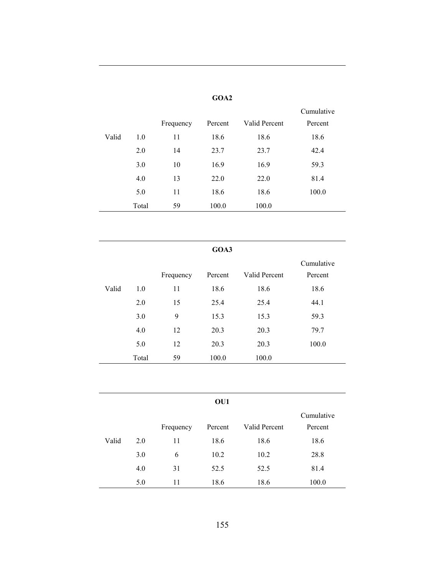|       |           |         |               | Cumulative |
|-------|-----------|---------|---------------|------------|
|       | Frequency | Percent | Valid Percent | Percent    |
| 1.0   | 11        | 18.6    | 18.6          | 18.6       |
| 2.0   | 14        | 23.7    | 23.7          | 42.4       |
| 3.0   | 10        | 16.9    | 16.9          | 59.3       |
| 4.0   | 13        | 22.0    | 22.0          | 81.4       |
| 5.0   | 11        | 18.6    | 18.6          | 100.0      |
| Total | 59        | 100.0   | 100.0         |            |
|       |           |         |               |            |

# **GOA2**

|       | GOA3  |           |         |               |            |  |  |  |  |
|-------|-------|-----------|---------|---------------|------------|--|--|--|--|
|       |       |           |         |               | Cumulative |  |  |  |  |
|       |       | Frequency | Percent | Valid Percent | Percent    |  |  |  |  |
| Valid | 1.0   | 11        | 18.6    | 18.6          | 18.6       |  |  |  |  |
|       | 2.0   | 15        | 25.4    | 25.4          | 44.1       |  |  |  |  |
|       | 3.0   | 9         | 15.3    | 15.3          | 59.3       |  |  |  |  |
|       | 4.0   | 12        | 20.3    | 20.3          | 79.7       |  |  |  |  |
|       | 5.0   | 12        | 20.3    | 20.3          | 100.0      |  |  |  |  |
|       | Total | 59        | 100.0   | 100.0         |            |  |  |  |  |
|       |       |           |         |               |            |  |  |  |  |

|       |     | Frequency | Percent | Valid Percent | Cumulative<br>Percent |
|-------|-----|-----------|---------|---------------|-----------------------|
| Valid | 2.0 | 11        | 18.6    | 18.6          | 18.6                  |
|       | 3.0 | 6         | 10.2    | 10.2          | 28.8                  |
|       | 4.0 | 31        | 52.5    | 52.5          | 81.4                  |
|       | 5.0 | 11        | 18.6    | 18.6          | 100.0                 |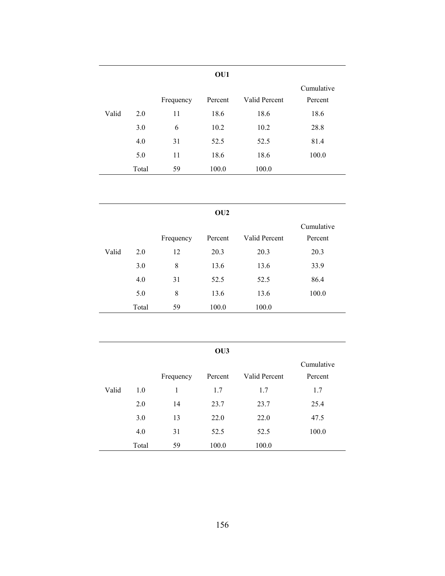|       |       |           | OU1     |               |                       |
|-------|-------|-----------|---------|---------------|-----------------------|
|       |       | Frequency | Percent | Valid Percent | Cumulative<br>Percent |
| Valid | 2.0   | 11        | 18.6    | 18.6          | 18.6                  |
|       | 3.0   | 6         | 10.2    | 10.2          | 28.8                  |
|       | 4.0   | 31        | 52.5    | 52.5          | 81.4                  |
|       | 5.0   | 11        | 18.6    | 18.6          | 100.0                 |
|       | Total | 59        | 100.0   | 100.0         |                       |

```
OU2
```

|       |       |           |         |               | Cumulative |
|-------|-------|-----------|---------|---------------|------------|
|       |       | Frequency | Percent | Valid Percent | Percent    |
| Valid | 2.0   | 12        | 20.3    | 20.3          | 20.3       |
|       | 3.0   | 8         | 13.6    | 13.6          | 33.9       |
|       | 4.0   | 31        | 52.5    | 52.5          | 86.4       |
|       | 5.0   | 8         | 13.6    | 13.6          | 100.0      |
|       | Total | 59        | 100.0   | 100.0         |            |

|       |       |           | OU <sub>3</sub> |               |            |
|-------|-------|-----------|-----------------|---------------|------------|
|       |       |           |                 |               | Cumulative |
|       |       | Frequency | Percent         | Valid Percent | Percent    |
| Valid | 1.0   | 1         | 1.7             | 1.7           | 1.7        |
|       | 2.0   | 14        | 23.7            | 23.7          | 25.4       |
|       | 3.0   | 13        | 22.0            | 22.0          | 47.5       |
|       | 4.0   | 31        | 52.5            | 52.5          | 100.0      |
|       | Total | 59        | 100.0           | 100.0         |            |